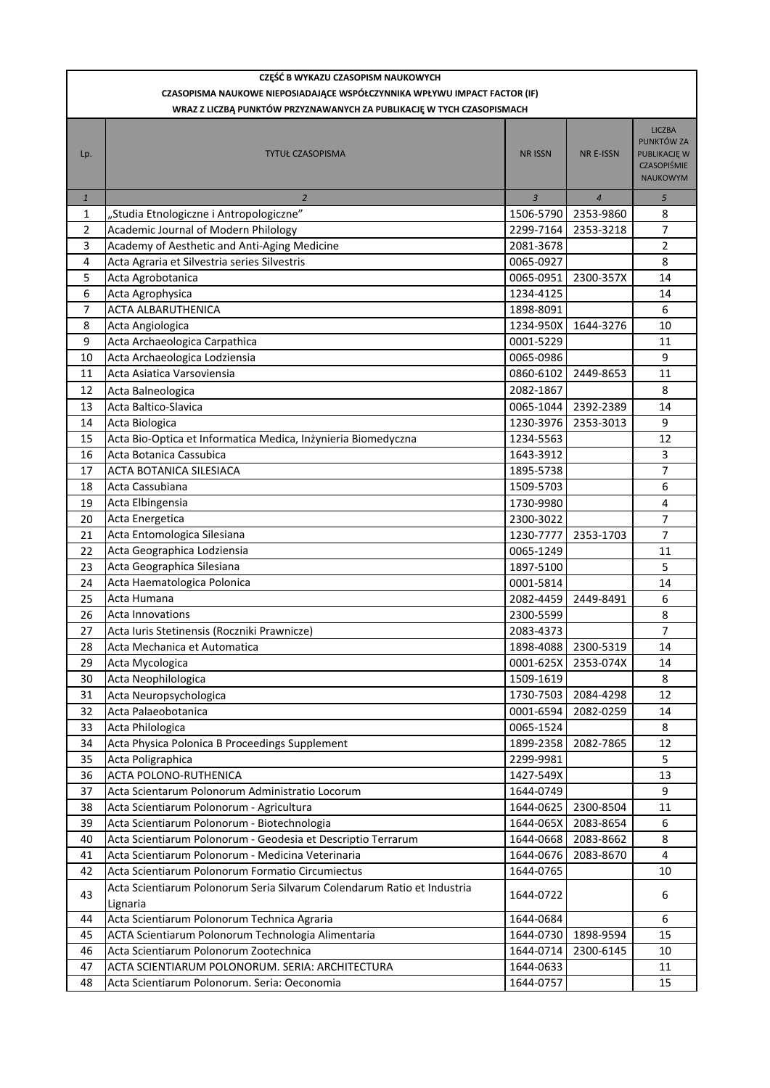| CZASOPISMA NAUKOWE NIEPOSIADAJĄCE WSPÓŁCZYNNIKA WPŁYWU IMPACT FACTOR (IF)<br>WRAZ Z LICZBĄ PUNKTÓW PRZYZNAWANYCH ZA PUBLIKACJĘ W TYCH CZASOPISMACH<br><b>LICZBA</b><br>PUNKTÓW ZA<br><b>NR E-ISSN</b><br>PUBLIKACJĘ W<br><b>TYTUŁ CZASOPISMA</b><br><b>NR ISSN</b><br>Lp.<br>CZASOPIŚMIE<br><b>NAUKOWYM</b><br>$\mathbf{1}$<br>$\overline{2}$<br>$\overline{3}$<br>$\overline{4}$<br>$\sqrt{5}$<br>"Studia Etnologiczne i Antropologiczne"<br>1506-5790<br>2353-9860<br>1<br>8<br>Academic Journal of Modern Philology<br>2<br>2299-7164<br>2353-3218<br>7<br>3<br>$\overline{2}$<br>Academy of Aesthetic and Anti-Aging Medicine<br>2081-3678<br>Acta Agraria et Silvestria series Silvestris<br>8<br>4<br>0065-0927<br>5<br>Acta Agrobotanica<br>14<br>0065-0951<br>2300-357X<br>6<br>1234-4125<br>14<br>Acta Agrophysica<br>7<br><b>ACTA ALBARUTHENICA</b><br>6<br>1898-8091<br>8<br>Acta Angiologica<br>1234-950X<br>1644-3276<br>10<br>9<br>Acta Archaeologica Carpathica<br>0001-5229<br>11<br>9<br>10<br>Acta Archaeologica Lodziensia<br>0065-0986<br>11<br>Acta Asiatica Varsoviensia<br>0860-6102<br>11<br>2449-8653<br>12<br>2082-1867<br>8<br>Acta Balneologica<br>0065-1044<br>2392-2389<br>13<br>Acta Baltico-Slavica<br>14<br>1230-3976<br>2353-3013<br>9<br>14<br>Acta Biologica<br>15<br>Acta Bio-Optica et Informatica Medica, Inżynieria Biomedyczna<br>1234-5563<br>12<br>3<br>16<br>Acta Botanica Cassubica<br>1643-3912<br>7<br>17<br>ACTA BOTANICA SILESIACA<br>1895-5738<br>Acta Cassubiana<br>6<br>18<br>1509-5703<br>19<br>Acta Elbingensia<br>1730-9980<br>4<br>$\overline{7}$<br>20<br>Acta Energetica<br>2300-3022<br>7<br>21<br>Acta Entomologica Silesiana<br>1230-7777<br>2353-1703<br>Acta Geographica Lodziensia<br>22<br>0065-1249<br>11<br>Acta Geographica Silesiana<br>5<br>23<br>1897-5100<br>24<br>Acta Haematologica Polonica<br>0001-5814<br>14<br>6<br>25<br>Acta Humana<br>2082-4459<br>2449-8491<br>26<br><b>Acta Innovations</b><br>2300-5599<br>8<br>27<br>Acta Iuris Stetinensis (Roczniki Prawnicze)<br>2083-4373<br>7<br>28<br>1898-4088 2300-5319<br>14<br>Acta Mechanica et Automatica<br>0001-625X<br>29<br>Acta Mycologica<br>2353-074X<br>14<br>Acta Neophilologica<br>1509-1619<br>30<br>8<br>1730-7503<br>2084-4298<br>12<br>31<br>Acta Neuropsychologica<br>Acta Palaeobotanica<br>32<br>0001-6594<br>2082-0259<br>14<br>Acta Philologica<br>0065-1524<br>8<br>33<br>34<br>Acta Physica Polonica B Proceedings Supplement<br>1899-2358<br>2082-7865<br>12<br>5<br>35<br>Acta Poligraphica<br>2299-9981<br>ACTA POLONO-RUTHENICA<br>36<br>1427-549X<br>13<br>9<br>37<br>Acta Scientarum Polonorum Administratio Locorum<br>1644-0749<br>38<br>Acta Scientiarum Polonorum - Agricultura<br>1644-0625<br>2300-8504<br>11<br>39<br>Acta Scientiarum Polonorum - Biotechnologia<br>1644-065X<br>2083-8654<br>6<br>40<br>Acta Scientiarum Polonorum - Geodesia et Descriptio Terrarum<br>1644-0668<br>2083-8662<br>8<br>Acta Scientiarum Polonorum - Medicina Veterinaria<br>1644-0676<br>41<br>2083-8670<br>4<br>42<br>Acta Scientiarum Polonorum Formatio Circumiectus<br>1644-0765<br>10<br>Acta Scientiarum Polonorum Seria Silvarum Colendarum Ratio et Industria<br>43<br>1644-0722<br>6<br>Lignaria<br>1644-0684<br>44<br>Acta Scientiarum Polonorum Technica Agraria<br>6<br>ACTA Scientiarum Polonorum Technologia Alimentaria<br>1644-0730<br>15<br>45<br>1898-9594<br>Acta Scientiarum Polonorum Zootechnica<br>46<br>1644-0714<br>2300-6145<br>10<br>47<br>ACTA SCIENTIARUM POLONORUM. SERIA: ARCHITECTURA<br>1644-0633<br>11<br>1644-0757<br>48<br>Acta Scientiarum Polonorum. Seria: Oeconomia<br>15 | CZĘŚĆ B WYKAZU CZASOPISM NAUKOWYCH |  |  |
|------------------------------------------------------------------------------------------------------------------------------------------------------------------------------------------------------------------------------------------------------------------------------------------------------------------------------------------------------------------------------------------------------------------------------------------------------------------------------------------------------------------------------------------------------------------------------------------------------------------------------------------------------------------------------------------------------------------------------------------------------------------------------------------------------------------------------------------------------------------------------------------------------------------------------------------------------------------------------------------------------------------------------------------------------------------------------------------------------------------------------------------------------------------------------------------------------------------------------------------------------------------------------------------------------------------------------------------------------------------------------------------------------------------------------------------------------------------------------------------------------------------------------------------------------------------------------------------------------------------------------------------------------------------------------------------------------------------------------------------------------------------------------------------------------------------------------------------------------------------------------------------------------------------------------------------------------------------------------------------------------------------------------------------------------------------------------------------------------------------------------------------------------------------------------------------------------------------------------------------------------------------------------------------------------------------------------------------------------------------------------------------------------------------------------------------------------------------------------------------------------------------------------------------------------------------------------------------------------------------------------------------------------------------------------------------------------------------------------------------------------------------------------------------------------------------------------------------------------------------------------------------------------------------------------------------------------------------------------------------------------------------------------------------------------------------------------------------------------------------------------------------------------------------------------------------------------------------------------------------------------------------------------------------------------------------------------------------------------------------------------------------------------------------------------------------------------------------------------------------------------------------------------------------------------------------------------------------------------------------------------------------------------------------------|------------------------------------|--|--|
|                                                                                                                                                                                                                                                                                                                                                                                                                                                                                                                                                                                                                                                                                                                                                                                                                                                                                                                                                                                                                                                                                                                                                                                                                                                                                                                                                                                                                                                                                                                                                                                                                                                                                                                                                                                                                                                                                                                                                                                                                                                                                                                                                                                                                                                                                                                                                                                                                                                                                                                                                                                                                                                                                                                                                                                                                                                                                                                                                                                                                                                                                                                                                                                                                                                                                                                                                                                                                                                                                                                                                                                                                                                                        |                                    |  |  |
|                                                                                                                                                                                                                                                                                                                                                                                                                                                                                                                                                                                                                                                                                                                                                                                                                                                                                                                                                                                                                                                                                                                                                                                                                                                                                                                                                                                                                                                                                                                                                                                                                                                                                                                                                                                                                                                                                                                                                                                                                                                                                                                                                                                                                                                                                                                                                                                                                                                                                                                                                                                                                                                                                                                                                                                                                                                                                                                                                                                                                                                                                                                                                                                                                                                                                                                                                                                                                                                                                                                                                                                                                                                                        |                                    |  |  |
|                                                                                                                                                                                                                                                                                                                                                                                                                                                                                                                                                                                                                                                                                                                                                                                                                                                                                                                                                                                                                                                                                                                                                                                                                                                                                                                                                                                                                                                                                                                                                                                                                                                                                                                                                                                                                                                                                                                                                                                                                                                                                                                                                                                                                                                                                                                                                                                                                                                                                                                                                                                                                                                                                                                                                                                                                                                                                                                                                                                                                                                                                                                                                                                                                                                                                                                                                                                                                                                                                                                                                                                                                                                                        |                                    |  |  |
|                                                                                                                                                                                                                                                                                                                                                                                                                                                                                                                                                                                                                                                                                                                                                                                                                                                                                                                                                                                                                                                                                                                                                                                                                                                                                                                                                                                                                                                                                                                                                                                                                                                                                                                                                                                                                                                                                                                                                                                                                                                                                                                                                                                                                                                                                                                                                                                                                                                                                                                                                                                                                                                                                                                                                                                                                                                                                                                                                                                                                                                                                                                                                                                                                                                                                                                                                                                                                                                                                                                                                                                                                                                                        |                                    |  |  |
|                                                                                                                                                                                                                                                                                                                                                                                                                                                                                                                                                                                                                                                                                                                                                                                                                                                                                                                                                                                                                                                                                                                                                                                                                                                                                                                                                                                                                                                                                                                                                                                                                                                                                                                                                                                                                                                                                                                                                                                                                                                                                                                                                                                                                                                                                                                                                                                                                                                                                                                                                                                                                                                                                                                                                                                                                                                                                                                                                                                                                                                                                                                                                                                                                                                                                                                                                                                                                                                                                                                                                                                                                                                                        |                                    |  |  |
|                                                                                                                                                                                                                                                                                                                                                                                                                                                                                                                                                                                                                                                                                                                                                                                                                                                                                                                                                                                                                                                                                                                                                                                                                                                                                                                                                                                                                                                                                                                                                                                                                                                                                                                                                                                                                                                                                                                                                                                                                                                                                                                                                                                                                                                                                                                                                                                                                                                                                                                                                                                                                                                                                                                                                                                                                                                                                                                                                                                                                                                                                                                                                                                                                                                                                                                                                                                                                                                                                                                                                                                                                                                                        |                                    |  |  |
|                                                                                                                                                                                                                                                                                                                                                                                                                                                                                                                                                                                                                                                                                                                                                                                                                                                                                                                                                                                                                                                                                                                                                                                                                                                                                                                                                                                                                                                                                                                                                                                                                                                                                                                                                                                                                                                                                                                                                                                                                                                                                                                                                                                                                                                                                                                                                                                                                                                                                                                                                                                                                                                                                                                                                                                                                                                                                                                                                                                                                                                                                                                                                                                                                                                                                                                                                                                                                                                                                                                                                                                                                                                                        |                                    |  |  |
|                                                                                                                                                                                                                                                                                                                                                                                                                                                                                                                                                                                                                                                                                                                                                                                                                                                                                                                                                                                                                                                                                                                                                                                                                                                                                                                                                                                                                                                                                                                                                                                                                                                                                                                                                                                                                                                                                                                                                                                                                                                                                                                                                                                                                                                                                                                                                                                                                                                                                                                                                                                                                                                                                                                                                                                                                                                                                                                                                                                                                                                                                                                                                                                                                                                                                                                                                                                                                                                                                                                                                                                                                                                                        |                                    |  |  |
|                                                                                                                                                                                                                                                                                                                                                                                                                                                                                                                                                                                                                                                                                                                                                                                                                                                                                                                                                                                                                                                                                                                                                                                                                                                                                                                                                                                                                                                                                                                                                                                                                                                                                                                                                                                                                                                                                                                                                                                                                                                                                                                                                                                                                                                                                                                                                                                                                                                                                                                                                                                                                                                                                                                                                                                                                                                                                                                                                                                                                                                                                                                                                                                                                                                                                                                                                                                                                                                                                                                                                                                                                                                                        |                                    |  |  |
|                                                                                                                                                                                                                                                                                                                                                                                                                                                                                                                                                                                                                                                                                                                                                                                                                                                                                                                                                                                                                                                                                                                                                                                                                                                                                                                                                                                                                                                                                                                                                                                                                                                                                                                                                                                                                                                                                                                                                                                                                                                                                                                                                                                                                                                                                                                                                                                                                                                                                                                                                                                                                                                                                                                                                                                                                                                                                                                                                                                                                                                                                                                                                                                                                                                                                                                                                                                                                                                                                                                                                                                                                                                                        |                                    |  |  |
|                                                                                                                                                                                                                                                                                                                                                                                                                                                                                                                                                                                                                                                                                                                                                                                                                                                                                                                                                                                                                                                                                                                                                                                                                                                                                                                                                                                                                                                                                                                                                                                                                                                                                                                                                                                                                                                                                                                                                                                                                                                                                                                                                                                                                                                                                                                                                                                                                                                                                                                                                                                                                                                                                                                                                                                                                                                                                                                                                                                                                                                                                                                                                                                                                                                                                                                                                                                                                                                                                                                                                                                                                                                                        |                                    |  |  |
|                                                                                                                                                                                                                                                                                                                                                                                                                                                                                                                                                                                                                                                                                                                                                                                                                                                                                                                                                                                                                                                                                                                                                                                                                                                                                                                                                                                                                                                                                                                                                                                                                                                                                                                                                                                                                                                                                                                                                                                                                                                                                                                                                                                                                                                                                                                                                                                                                                                                                                                                                                                                                                                                                                                                                                                                                                                                                                                                                                                                                                                                                                                                                                                                                                                                                                                                                                                                                                                                                                                                                                                                                                                                        |                                    |  |  |
|                                                                                                                                                                                                                                                                                                                                                                                                                                                                                                                                                                                                                                                                                                                                                                                                                                                                                                                                                                                                                                                                                                                                                                                                                                                                                                                                                                                                                                                                                                                                                                                                                                                                                                                                                                                                                                                                                                                                                                                                                                                                                                                                                                                                                                                                                                                                                                                                                                                                                                                                                                                                                                                                                                                                                                                                                                                                                                                                                                                                                                                                                                                                                                                                                                                                                                                                                                                                                                                                                                                                                                                                                                                                        |                                    |  |  |
|                                                                                                                                                                                                                                                                                                                                                                                                                                                                                                                                                                                                                                                                                                                                                                                                                                                                                                                                                                                                                                                                                                                                                                                                                                                                                                                                                                                                                                                                                                                                                                                                                                                                                                                                                                                                                                                                                                                                                                                                                                                                                                                                                                                                                                                                                                                                                                                                                                                                                                                                                                                                                                                                                                                                                                                                                                                                                                                                                                                                                                                                                                                                                                                                                                                                                                                                                                                                                                                                                                                                                                                                                                                                        |                                    |  |  |
|                                                                                                                                                                                                                                                                                                                                                                                                                                                                                                                                                                                                                                                                                                                                                                                                                                                                                                                                                                                                                                                                                                                                                                                                                                                                                                                                                                                                                                                                                                                                                                                                                                                                                                                                                                                                                                                                                                                                                                                                                                                                                                                                                                                                                                                                                                                                                                                                                                                                                                                                                                                                                                                                                                                                                                                                                                                                                                                                                                                                                                                                                                                                                                                                                                                                                                                                                                                                                                                                                                                                                                                                                                                                        |                                    |  |  |
|                                                                                                                                                                                                                                                                                                                                                                                                                                                                                                                                                                                                                                                                                                                                                                                                                                                                                                                                                                                                                                                                                                                                                                                                                                                                                                                                                                                                                                                                                                                                                                                                                                                                                                                                                                                                                                                                                                                                                                                                                                                                                                                                                                                                                                                                                                                                                                                                                                                                                                                                                                                                                                                                                                                                                                                                                                                                                                                                                                                                                                                                                                                                                                                                                                                                                                                                                                                                                                                                                                                                                                                                                                                                        |                                    |  |  |
|                                                                                                                                                                                                                                                                                                                                                                                                                                                                                                                                                                                                                                                                                                                                                                                                                                                                                                                                                                                                                                                                                                                                                                                                                                                                                                                                                                                                                                                                                                                                                                                                                                                                                                                                                                                                                                                                                                                                                                                                                                                                                                                                                                                                                                                                                                                                                                                                                                                                                                                                                                                                                                                                                                                                                                                                                                                                                                                                                                                                                                                                                                                                                                                                                                                                                                                                                                                                                                                                                                                                                                                                                                                                        |                                    |  |  |
|                                                                                                                                                                                                                                                                                                                                                                                                                                                                                                                                                                                                                                                                                                                                                                                                                                                                                                                                                                                                                                                                                                                                                                                                                                                                                                                                                                                                                                                                                                                                                                                                                                                                                                                                                                                                                                                                                                                                                                                                                                                                                                                                                                                                                                                                                                                                                                                                                                                                                                                                                                                                                                                                                                                                                                                                                                                                                                                                                                                                                                                                                                                                                                                                                                                                                                                                                                                                                                                                                                                                                                                                                                                                        |                                    |  |  |
|                                                                                                                                                                                                                                                                                                                                                                                                                                                                                                                                                                                                                                                                                                                                                                                                                                                                                                                                                                                                                                                                                                                                                                                                                                                                                                                                                                                                                                                                                                                                                                                                                                                                                                                                                                                                                                                                                                                                                                                                                                                                                                                                                                                                                                                                                                                                                                                                                                                                                                                                                                                                                                                                                                                                                                                                                                                                                                                                                                                                                                                                                                                                                                                                                                                                                                                                                                                                                                                                                                                                                                                                                                                                        |                                    |  |  |
|                                                                                                                                                                                                                                                                                                                                                                                                                                                                                                                                                                                                                                                                                                                                                                                                                                                                                                                                                                                                                                                                                                                                                                                                                                                                                                                                                                                                                                                                                                                                                                                                                                                                                                                                                                                                                                                                                                                                                                                                                                                                                                                                                                                                                                                                                                                                                                                                                                                                                                                                                                                                                                                                                                                                                                                                                                                                                                                                                                                                                                                                                                                                                                                                                                                                                                                                                                                                                                                                                                                                                                                                                                                                        |                                    |  |  |
|                                                                                                                                                                                                                                                                                                                                                                                                                                                                                                                                                                                                                                                                                                                                                                                                                                                                                                                                                                                                                                                                                                                                                                                                                                                                                                                                                                                                                                                                                                                                                                                                                                                                                                                                                                                                                                                                                                                                                                                                                                                                                                                                                                                                                                                                                                                                                                                                                                                                                                                                                                                                                                                                                                                                                                                                                                                                                                                                                                                                                                                                                                                                                                                                                                                                                                                                                                                                                                                                                                                                                                                                                                                                        |                                    |  |  |
|                                                                                                                                                                                                                                                                                                                                                                                                                                                                                                                                                                                                                                                                                                                                                                                                                                                                                                                                                                                                                                                                                                                                                                                                                                                                                                                                                                                                                                                                                                                                                                                                                                                                                                                                                                                                                                                                                                                                                                                                                                                                                                                                                                                                                                                                                                                                                                                                                                                                                                                                                                                                                                                                                                                                                                                                                                                                                                                                                                                                                                                                                                                                                                                                                                                                                                                                                                                                                                                                                                                                                                                                                                                                        |                                    |  |  |
|                                                                                                                                                                                                                                                                                                                                                                                                                                                                                                                                                                                                                                                                                                                                                                                                                                                                                                                                                                                                                                                                                                                                                                                                                                                                                                                                                                                                                                                                                                                                                                                                                                                                                                                                                                                                                                                                                                                                                                                                                                                                                                                                                                                                                                                                                                                                                                                                                                                                                                                                                                                                                                                                                                                                                                                                                                                                                                                                                                                                                                                                                                                                                                                                                                                                                                                                                                                                                                                                                                                                                                                                                                                                        |                                    |  |  |
|                                                                                                                                                                                                                                                                                                                                                                                                                                                                                                                                                                                                                                                                                                                                                                                                                                                                                                                                                                                                                                                                                                                                                                                                                                                                                                                                                                                                                                                                                                                                                                                                                                                                                                                                                                                                                                                                                                                                                                                                                                                                                                                                                                                                                                                                                                                                                                                                                                                                                                                                                                                                                                                                                                                                                                                                                                                                                                                                                                                                                                                                                                                                                                                                                                                                                                                                                                                                                                                                                                                                                                                                                                                                        |                                    |  |  |
|                                                                                                                                                                                                                                                                                                                                                                                                                                                                                                                                                                                                                                                                                                                                                                                                                                                                                                                                                                                                                                                                                                                                                                                                                                                                                                                                                                                                                                                                                                                                                                                                                                                                                                                                                                                                                                                                                                                                                                                                                                                                                                                                                                                                                                                                                                                                                                                                                                                                                                                                                                                                                                                                                                                                                                                                                                                                                                                                                                                                                                                                                                                                                                                                                                                                                                                                                                                                                                                                                                                                                                                                                                                                        |                                    |  |  |
|                                                                                                                                                                                                                                                                                                                                                                                                                                                                                                                                                                                                                                                                                                                                                                                                                                                                                                                                                                                                                                                                                                                                                                                                                                                                                                                                                                                                                                                                                                                                                                                                                                                                                                                                                                                                                                                                                                                                                                                                                                                                                                                                                                                                                                                                                                                                                                                                                                                                                                                                                                                                                                                                                                                                                                                                                                                                                                                                                                                                                                                                                                                                                                                                                                                                                                                                                                                                                                                                                                                                                                                                                                                                        |                                    |  |  |
|                                                                                                                                                                                                                                                                                                                                                                                                                                                                                                                                                                                                                                                                                                                                                                                                                                                                                                                                                                                                                                                                                                                                                                                                                                                                                                                                                                                                                                                                                                                                                                                                                                                                                                                                                                                                                                                                                                                                                                                                                                                                                                                                                                                                                                                                                                                                                                                                                                                                                                                                                                                                                                                                                                                                                                                                                                                                                                                                                                                                                                                                                                                                                                                                                                                                                                                                                                                                                                                                                                                                                                                                                                                                        |                                    |  |  |
|                                                                                                                                                                                                                                                                                                                                                                                                                                                                                                                                                                                                                                                                                                                                                                                                                                                                                                                                                                                                                                                                                                                                                                                                                                                                                                                                                                                                                                                                                                                                                                                                                                                                                                                                                                                                                                                                                                                                                                                                                                                                                                                                                                                                                                                                                                                                                                                                                                                                                                                                                                                                                                                                                                                                                                                                                                                                                                                                                                                                                                                                                                                                                                                                                                                                                                                                                                                                                                                                                                                                                                                                                                                                        |                                    |  |  |
|                                                                                                                                                                                                                                                                                                                                                                                                                                                                                                                                                                                                                                                                                                                                                                                                                                                                                                                                                                                                                                                                                                                                                                                                                                                                                                                                                                                                                                                                                                                                                                                                                                                                                                                                                                                                                                                                                                                                                                                                                                                                                                                                                                                                                                                                                                                                                                                                                                                                                                                                                                                                                                                                                                                                                                                                                                                                                                                                                                                                                                                                                                                                                                                                                                                                                                                                                                                                                                                                                                                                                                                                                                                                        |                                    |  |  |
|                                                                                                                                                                                                                                                                                                                                                                                                                                                                                                                                                                                                                                                                                                                                                                                                                                                                                                                                                                                                                                                                                                                                                                                                                                                                                                                                                                                                                                                                                                                                                                                                                                                                                                                                                                                                                                                                                                                                                                                                                                                                                                                                                                                                                                                                                                                                                                                                                                                                                                                                                                                                                                                                                                                                                                                                                                                                                                                                                                                                                                                                                                                                                                                                                                                                                                                                                                                                                                                                                                                                                                                                                                                                        |                                    |  |  |
|                                                                                                                                                                                                                                                                                                                                                                                                                                                                                                                                                                                                                                                                                                                                                                                                                                                                                                                                                                                                                                                                                                                                                                                                                                                                                                                                                                                                                                                                                                                                                                                                                                                                                                                                                                                                                                                                                                                                                                                                                                                                                                                                                                                                                                                                                                                                                                                                                                                                                                                                                                                                                                                                                                                                                                                                                                                                                                                                                                                                                                                                                                                                                                                                                                                                                                                                                                                                                                                                                                                                                                                                                                                                        |                                    |  |  |
|                                                                                                                                                                                                                                                                                                                                                                                                                                                                                                                                                                                                                                                                                                                                                                                                                                                                                                                                                                                                                                                                                                                                                                                                                                                                                                                                                                                                                                                                                                                                                                                                                                                                                                                                                                                                                                                                                                                                                                                                                                                                                                                                                                                                                                                                                                                                                                                                                                                                                                                                                                                                                                                                                                                                                                                                                                                                                                                                                                                                                                                                                                                                                                                                                                                                                                                                                                                                                                                                                                                                                                                                                                                                        |                                    |  |  |
|                                                                                                                                                                                                                                                                                                                                                                                                                                                                                                                                                                                                                                                                                                                                                                                                                                                                                                                                                                                                                                                                                                                                                                                                                                                                                                                                                                                                                                                                                                                                                                                                                                                                                                                                                                                                                                                                                                                                                                                                                                                                                                                                                                                                                                                                                                                                                                                                                                                                                                                                                                                                                                                                                                                                                                                                                                                                                                                                                                                                                                                                                                                                                                                                                                                                                                                                                                                                                                                                                                                                                                                                                                                                        |                                    |  |  |
|                                                                                                                                                                                                                                                                                                                                                                                                                                                                                                                                                                                                                                                                                                                                                                                                                                                                                                                                                                                                                                                                                                                                                                                                                                                                                                                                                                                                                                                                                                                                                                                                                                                                                                                                                                                                                                                                                                                                                                                                                                                                                                                                                                                                                                                                                                                                                                                                                                                                                                                                                                                                                                                                                                                                                                                                                                                                                                                                                                                                                                                                                                                                                                                                                                                                                                                                                                                                                                                                                                                                                                                                                                                                        |                                    |  |  |
|                                                                                                                                                                                                                                                                                                                                                                                                                                                                                                                                                                                                                                                                                                                                                                                                                                                                                                                                                                                                                                                                                                                                                                                                                                                                                                                                                                                                                                                                                                                                                                                                                                                                                                                                                                                                                                                                                                                                                                                                                                                                                                                                                                                                                                                                                                                                                                                                                                                                                                                                                                                                                                                                                                                                                                                                                                                                                                                                                                                                                                                                                                                                                                                                                                                                                                                                                                                                                                                                                                                                                                                                                                                                        |                                    |  |  |
|                                                                                                                                                                                                                                                                                                                                                                                                                                                                                                                                                                                                                                                                                                                                                                                                                                                                                                                                                                                                                                                                                                                                                                                                                                                                                                                                                                                                                                                                                                                                                                                                                                                                                                                                                                                                                                                                                                                                                                                                                                                                                                                                                                                                                                                                                                                                                                                                                                                                                                                                                                                                                                                                                                                                                                                                                                                                                                                                                                                                                                                                                                                                                                                                                                                                                                                                                                                                                                                                                                                                                                                                                                                                        |                                    |  |  |
|                                                                                                                                                                                                                                                                                                                                                                                                                                                                                                                                                                                                                                                                                                                                                                                                                                                                                                                                                                                                                                                                                                                                                                                                                                                                                                                                                                                                                                                                                                                                                                                                                                                                                                                                                                                                                                                                                                                                                                                                                                                                                                                                                                                                                                                                                                                                                                                                                                                                                                                                                                                                                                                                                                                                                                                                                                                                                                                                                                                                                                                                                                                                                                                                                                                                                                                                                                                                                                                                                                                                                                                                                                                                        |                                    |  |  |
|                                                                                                                                                                                                                                                                                                                                                                                                                                                                                                                                                                                                                                                                                                                                                                                                                                                                                                                                                                                                                                                                                                                                                                                                                                                                                                                                                                                                                                                                                                                                                                                                                                                                                                                                                                                                                                                                                                                                                                                                                                                                                                                                                                                                                                                                                                                                                                                                                                                                                                                                                                                                                                                                                                                                                                                                                                                                                                                                                                                                                                                                                                                                                                                                                                                                                                                                                                                                                                                                                                                                                                                                                                                                        |                                    |  |  |
|                                                                                                                                                                                                                                                                                                                                                                                                                                                                                                                                                                                                                                                                                                                                                                                                                                                                                                                                                                                                                                                                                                                                                                                                                                                                                                                                                                                                                                                                                                                                                                                                                                                                                                                                                                                                                                                                                                                                                                                                                                                                                                                                                                                                                                                                                                                                                                                                                                                                                                                                                                                                                                                                                                                                                                                                                                                                                                                                                                                                                                                                                                                                                                                                                                                                                                                                                                                                                                                                                                                                                                                                                                                                        |                                    |  |  |
|                                                                                                                                                                                                                                                                                                                                                                                                                                                                                                                                                                                                                                                                                                                                                                                                                                                                                                                                                                                                                                                                                                                                                                                                                                                                                                                                                                                                                                                                                                                                                                                                                                                                                                                                                                                                                                                                                                                                                                                                                                                                                                                                                                                                                                                                                                                                                                                                                                                                                                                                                                                                                                                                                                                                                                                                                                                                                                                                                                                                                                                                                                                                                                                                                                                                                                                                                                                                                                                                                                                                                                                                                                                                        |                                    |  |  |
|                                                                                                                                                                                                                                                                                                                                                                                                                                                                                                                                                                                                                                                                                                                                                                                                                                                                                                                                                                                                                                                                                                                                                                                                                                                                                                                                                                                                                                                                                                                                                                                                                                                                                                                                                                                                                                                                                                                                                                                                                                                                                                                                                                                                                                                                                                                                                                                                                                                                                                                                                                                                                                                                                                                                                                                                                                                                                                                                                                                                                                                                                                                                                                                                                                                                                                                                                                                                                                                                                                                                                                                                                                                                        |                                    |  |  |
|                                                                                                                                                                                                                                                                                                                                                                                                                                                                                                                                                                                                                                                                                                                                                                                                                                                                                                                                                                                                                                                                                                                                                                                                                                                                                                                                                                                                                                                                                                                                                                                                                                                                                                                                                                                                                                                                                                                                                                                                                                                                                                                                                                                                                                                                                                                                                                                                                                                                                                                                                                                                                                                                                                                                                                                                                                                                                                                                                                                                                                                                                                                                                                                                                                                                                                                                                                                                                                                                                                                                                                                                                                                                        |                                    |  |  |
|                                                                                                                                                                                                                                                                                                                                                                                                                                                                                                                                                                                                                                                                                                                                                                                                                                                                                                                                                                                                                                                                                                                                                                                                                                                                                                                                                                                                                                                                                                                                                                                                                                                                                                                                                                                                                                                                                                                                                                                                                                                                                                                                                                                                                                                                                                                                                                                                                                                                                                                                                                                                                                                                                                                                                                                                                                                                                                                                                                                                                                                                                                                                                                                                                                                                                                                                                                                                                                                                                                                                                                                                                                                                        |                                    |  |  |
|                                                                                                                                                                                                                                                                                                                                                                                                                                                                                                                                                                                                                                                                                                                                                                                                                                                                                                                                                                                                                                                                                                                                                                                                                                                                                                                                                                                                                                                                                                                                                                                                                                                                                                                                                                                                                                                                                                                                                                                                                                                                                                                                                                                                                                                                                                                                                                                                                                                                                                                                                                                                                                                                                                                                                                                                                                                                                                                                                                                                                                                                                                                                                                                                                                                                                                                                                                                                                                                                                                                                                                                                                                                                        |                                    |  |  |
|                                                                                                                                                                                                                                                                                                                                                                                                                                                                                                                                                                                                                                                                                                                                                                                                                                                                                                                                                                                                                                                                                                                                                                                                                                                                                                                                                                                                                                                                                                                                                                                                                                                                                                                                                                                                                                                                                                                                                                                                                                                                                                                                                                                                                                                                                                                                                                                                                                                                                                                                                                                                                                                                                                                                                                                                                                                                                                                                                                                                                                                                                                                                                                                                                                                                                                                                                                                                                                                                                                                                                                                                                                                                        |                                    |  |  |
|                                                                                                                                                                                                                                                                                                                                                                                                                                                                                                                                                                                                                                                                                                                                                                                                                                                                                                                                                                                                                                                                                                                                                                                                                                                                                                                                                                                                                                                                                                                                                                                                                                                                                                                                                                                                                                                                                                                                                                                                                                                                                                                                                                                                                                                                                                                                                                                                                                                                                                                                                                                                                                                                                                                                                                                                                                                                                                                                                                                                                                                                                                                                                                                                                                                                                                                                                                                                                                                                                                                                                                                                                                                                        |                                    |  |  |
|                                                                                                                                                                                                                                                                                                                                                                                                                                                                                                                                                                                                                                                                                                                                                                                                                                                                                                                                                                                                                                                                                                                                                                                                                                                                                                                                                                                                                                                                                                                                                                                                                                                                                                                                                                                                                                                                                                                                                                                                                                                                                                                                                                                                                                                                                                                                                                                                                                                                                                                                                                                                                                                                                                                                                                                                                                                                                                                                                                                                                                                                                                                                                                                                                                                                                                                                                                                                                                                                                                                                                                                                                                                                        |                                    |  |  |
|                                                                                                                                                                                                                                                                                                                                                                                                                                                                                                                                                                                                                                                                                                                                                                                                                                                                                                                                                                                                                                                                                                                                                                                                                                                                                                                                                                                                                                                                                                                                                                                                                                                                                                                                                                                                                                                                                                                                                                                                                                                                                                                                                                                                                                                                                                                                                                                                                                                                                                                                                                                                                                                                                                                                                                                                                                                                                                                                                                                                                                                                                                                                                                                                                                                                                                                                                                                                                                                                                                                                                                                                                                                                        |                                    |  |  |
|                                                                                                                                                                                                                                                                                                                                                                                                                                                                                                                                                                                                                                                                                                                                                                                                                                                                                                                                                                                                                                                                                                                                                                                                                                                                                                                                                                                                                                                                                                                                                                                                                                                                                                                                                                                                                                                                                                                                                                                                                                                                                                                                                                                                                                                                                                                                                                                                                                                                                                                                                                                                                                                                                                                                                                                                                                                                                                                                                                                                                                                                                                                                                                                                                                                                                                                                                                                                                                                                                                                                                                                                                                                                        |                                    |  |  |
|                                                                                                                                                                                                                                                                                                                                                                                                                                                                                                                                                                                                                                                                                                                                                                                                                                                                                                                                                                                                                                                                                                                                                                                                                                                                                                                                                                                                                                                                                                                                                                                                                                                                                                                                                                                                                                                                                                                                                                                                                                                                                                                                                                                                                                                                                                                                                                                                                                                                                                                                                                                                                                                                                                                                                                                                                                                                                                                                                                                                                                                                                                                                                                                                                                                                                                                                                                                                                                                                                                                                                                                                                                                                        |                                    |  |  |
|                                                                                                                                                                                                                                                                                                                                                                                                                                                                                                                                                                                                                                                                                                                                                                                                                                                                                                                                                                                                                                                                                                                                                                                                                                                                                                                                                                                                                                                                                                                                                                                                                                                                                                                                                                                                                                                                                                                                                                                                                                                                                                                                                                                                                                                                                                                                                                                                                                                                                                                                                                                                                                                                                                                                                                                                                                                                                                                                                                                                                                                                                                                                                                                                                                                                                                                                                                                                                                                                                                                                                                                                                                                                        |                                    |  |  |
|                                                                                                                                                                                                                                                                                                                                                                                                                                                                                                                                                                                                                                                                                                                                                                                                                                                                                                                                                                                                                                                                                                                                                                                                                                                                                                                                                                                                                                                                                                                                                                                                                                                                                                                                                                                                                                                                                                                                                                                                                                                                                                                                                                                                                                                                                                                                                                                                                                                                                                                                                                                                                                                                                                                                                                                                                                                                                                                                                                                                                                                                                                                                                                                                                                                                                                                                                                                                                                                                                                                                                                                                                                                                        |                                    |  |  |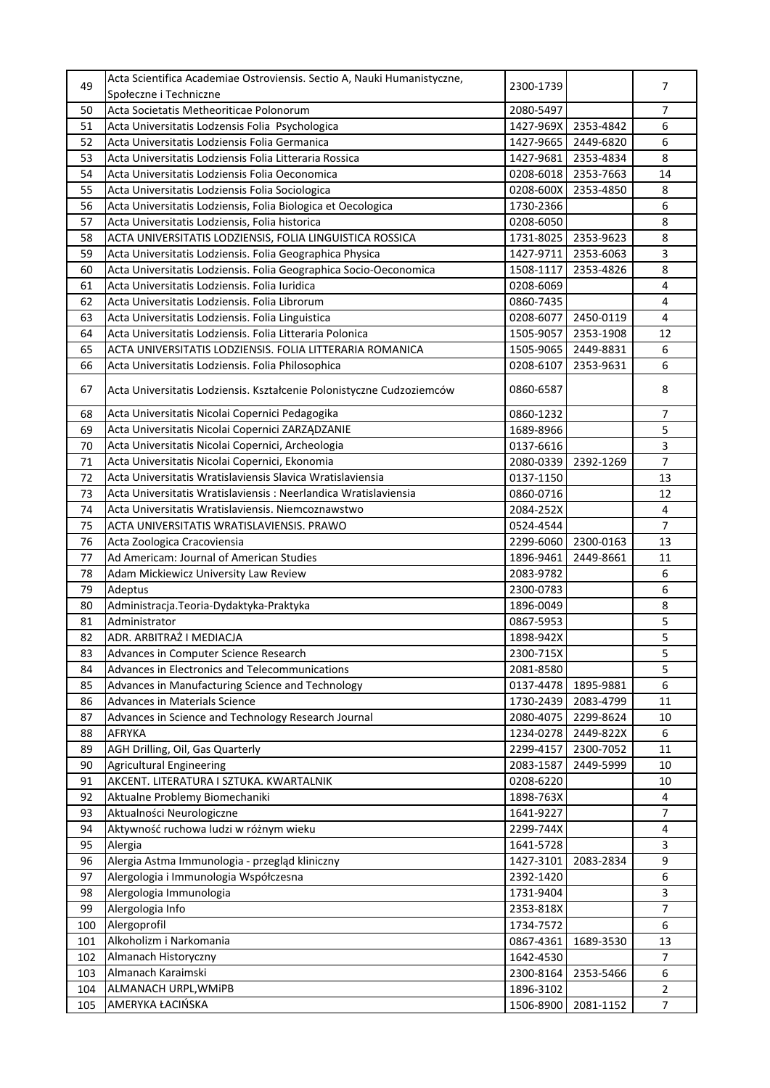| 49  | Acta Scientifica Academiae Ostroviensis. Sectio A, Nauki Humanistyczne, | 2300-1739 |           | 7              |
|-----|-------------------------------------------------------------------------|-----------|-----------|----------------|
|     | Społeczne i Techniczne                                                  |           |           |                |
| 50  | Acta Societatis Metheoriticae Polonorum                                 | 2080-5497 |           | $\overline{7}$ |
| 51  | Acta Universitatis Lodzensis Folia Psychologica                         | 1427-969X | 2353-4842 | 6              |
| 52  | Acta Universitatis Lodziensis Folia Germanica                           | 1427-9665 | 2449-6820 | 6              |
| 53  | Acta Universitatis Lodziensis Folia Litteraria Rossica                  | 1427-9681 | 2353-4834 | 8              |
| 54  | Acta Universitatis Lodziensis Folia Oeconomica                          | 0208-6018 | 2353-7663 | 14             |
| 55  | Acta Universitatis Lodziensis Folia Sociologica                         | 0208-600X | 2353-4850 | 8              |
| 56  | Acta Universitatis Lodziensis, Folia Biologica et Oecologica            | 1730-2366 |           | 6              |
| 57  | Acta Universitatis Lodziensis, Folia historica                          | 0208-6050 |           | 8              |
| 58  | ACTA UNIVERSITATIS LODZIENSIS, FOLIA LINGUISTICA ROSSICA                | 1731-8025 | 2353-9623 | 8              |
| 59  | Acta Universitatis Lodziensis. Folia Geographica Physica                | 1427-9711 | 2353-6063 | 3              |
| 60  | Acta Universitatis Lodziensis. Folia Geographica Socio-Oeconomica       | 1508-1117 | 2353-4826 | 8              |
| 61  | Acta Universitatis Lodziensis. Folia Iuridica                           | 0208-6069 |           | 4              |
| 62  | Acta Universitatis Lodziensis. Folia Librorum                           | 0860-7435 |           | 4              |
| 63  | Acta Universitatis Lodziensis. Folia Linguistica                        | 0208-6077 | 2450-0119 | $\overline{4}$ |
| 64  | Acta Universitatis Lodziensis. Folia Litteraria Polonica                | 1505-9057 | 2353-1908 | 12             |
| 65  | ACTA UNIVERSITATIS LODZIENSIS. FOLIA LITTERARIA ROMANICA                | 1505-9065 | 2449-8831 | 6              |
| 66  | Acta Universitatis Lodziensis. Folia Philosophica                       | 0208-6107 | 2353-9631 | 6              |
|     |                                                                         |           |           |                |
| 67  | Acta Universitatis Lodziensis. Kształcenie Polonistyczne Cudzoziemców   | 0860-6587 |           | 8              |
| 68  | Acta Universitatis Nicolai Copernici Pedagogika                         | 0860-1232 |           | $\overline{7}$ |
| 69  | Acta Universitatis Nicolai Copernici ZARZĄDZANIE                        | 1689-8966 |           | 5              |
| 70  | Acta Universitatis Nicolai Copernici, Archeologia                       | 0137-6616 |           | 3              |
| 71  | Acta Universitatis Nicolai Copernici, Ekonomia                          | 2080-0339 | 2392-1269 | $\overline{7}$ |
| 72  | Acta Universitatis Wratislaviensis Slavica Wratislaviensia              | 0137-1150 |           | 13             |
| 73  | Acta Universitatis Wratislaviensis : Neerlandica Wratislaviensia        | 0860-0716 |           | 12             |
| 74  | Acta Universitatis Wratislaviensis. Niemcoznawstwo                      | 2084-252X |           | 4              |
| 75  | ACTA UNIVERSITATIS WRATISLAVIENSIS. PRAWO                               | 0524-4544 |           | $\overline{7}$ |
| 76  | Acta Zoologica Cracoviensia                                             | 2299-6060 | 2300-0163 | 13             |
| 77  | Ad Americam: Journal of American Studies                                | 1896-9461 | 2449-8661 | 11             |
| 78  | Adam Mickiewicz University Law Review                                   | 2083-9782 |           | 6              |
| 79  | Adeptus                                                                 | 2300-0783 |           | 6              |
| 80  | Administracja. Teoria-Dydaktyka-Praktyka                                | 1896-0049 |           | 8              |
| 81  | Administrator                                                           | 0867-5953 |           | 5              |
| 82  | ADR. ARBITRAŻ I MEDIACJA                                                | 1898-942X |           | 5              |
| 83  | Advances in Computer Science Research                                   | 2300-715X |           | 5              |
| 84  | Advances in Electronics and Telecommunications                          | 2081-8580 |           | 5              |
| 85  | Advances in Manufacturing Science and Technology                        | 0137-4478 | 1895-9881 | 6              |
| 86  | <b>Advances in Materials Science</b>                                    | 1730-2439 | 2083-4799 | 11             |
| 87  | Advances in Science and Technology Research Journal                     | 2080-4075 | 2299-8624 | 10             |
| 88  | <b>AFRYKA</b>                                                           | 1234-0278 | 2449-822X | 6              |
| 89  | AGH Drilling, Oil, Gas Quarterly                                        | 2299-4157 | 2300-7052 | 11             |
| 90  | <b>Agricultural Engineering</b>                                         | 2083-1587 | 2449-5999 | 10             |
| 91  | AKCENT. LITERATURA I SZTUKA. KWARTALNIK                                 | 0208-6220 |           | 10             |
| 92  | Aktualne Problemy Biomechaniki                                          | 1898-763X |           | 4              |
| 93  | Aktualności Neurologiczne                                               | 1641-9227 |           | $\overline{7}$ |
| 94  | Aktywność ruchowa ludzi w różnym wieku                                  | 2299-744X |           | 4              |
| 95  | Alergia                                                                 | 1641-5728 |           | 3              |
| 96  | Alergia Astma Immunologia - przegląd kliniczny                          | 1427-3101 | 2083-2834 | 9              |
| 97  | Alergologia i Immunologia Współczesna                                   | 2392-1420 |           | 6              |
| 98  | Alergologia Immunologia                                                 | 1731-9404 |           | 3              |
| 99  | Alergologia Info                                                        | 2353-818X |           | 7              |
|     | Alergoprofil                                                            |           |           | 6              |
| 100 | Alkoholizm i Narkomania                                                 | 1734-7572 |           |                |
| 101 |                                                                         | 0867-4361 | 1689-3530 | 13             |
| 102 | Almanach Historyczny                                                    | 1642-4530 |           | 7              |
| 103 | Almanach Karaimski                                                      | 2300-8164 | 2353-5466 | 6              |
| 104 | ALMANACH URPL, WMiPB                                                    | 1896-3102 |           | $\overline{2}$ |
| 105 | AMERYKA ŁACIŃSKA                                                        | 1506-8900 | 2081-1152 | $\overline{7}$ |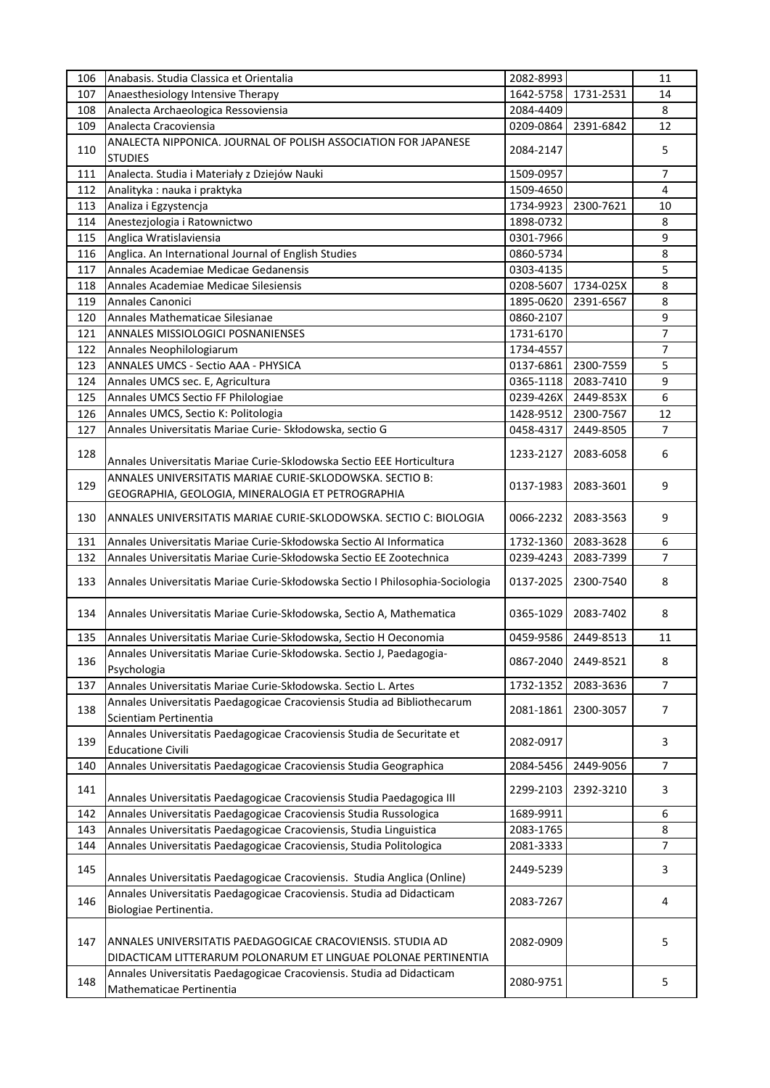| 106 | Anabasis. Studia Classica et Orientalia                                                           | 2082-8993 |           | 11             |
|-----|---------------------------------------------------------------------------------------------------|-----------|-----------|----------------|
| 107 | Anaesthesiology Intensive Therapy                                                                 | 1642-5758 | 1731-2531 | 14             |
| 108 | Analecta Archaeologica Ressoviensia                                                               | 2084-4409 |           | 8              |
| 109 | Analecta Cracoviensia                                                                             | 0209-0864 | 2391-6842 | 12             |
|     | ANALECTA NIPPONICA. JOURNAL OF POLISH ASSOCIATION FOR JAPANESE                                    |           |           |                |
| 110 | <b>STUDIES</b>                                                                                    | 2084-2147 |           | 5              |
| 111 | Analecta. Studia i Materiały z Dziejów Nauki                                                      | 1509-0957 |           | 7              |
| 112 | Analityka: nauka i praktyka                                                                       | 1509-4650 |           | $\overline{4}$ |
| 113 | Analiza i Egzystencja                                                                             | 1734-9923 | 2300-7621 | 10             |
| 114 | Anestezjologia i Ratownictwo                                                                      | 1898-0732 |           | 8              |
| 115 | Anglica Wratislaviensia                                                                           | 0301-7966 |           | 9              |
| 116 | Anglica. An International Journal of English Studies                                              | 0860-5734 |           | 8              |
| 117 | Annales Academiae Medicae Gedanensis                                                              | 0303-4135 |           | 5              |
|     |                                                                                                   |           |           |                |
| 118 | Annales Academiae Medicae Silesiensis                                                             | 0208-5607 | 1734-025X | 8              |
| 119 | Annales Canonici                                                                                  | 1895-0620 | 2391-6567 | 8              |
| 120 | Annales Mathematicae Silesianae                                                                   | 0860-2107 |           | 9              |
| 121 | ANNALES MISSIOLOGICI POSNANIENSES                                                                 | 1731-6170 |           | $\overline{7}$ |
| 122 | Annales Neophilologiarum                                                                          | 1734-4557 |           | 7              |
| 123 | ANNALES UMCS - Sectio AAA - PHYSICA                                                               | 0137-6861 | 2300-7559 | 5              |
| 124 | Annales UMCS sec. E, Agricultura                                                                  | 0365-1118 | 2083-7410 | 9              |
| 125 | Annales UMCS Sectio FF Philologiae                                                                | 0239-426X | 2449-853X | 6              |
| 126 | Annales UMCS, Sectio K: Politologia                                                               | 1428-9512 | 2300-7567 | 12             |
| 127 | Annales Universitatis Mariae Curie- Skłodowska, sectio G                                          | 0458-4317 | 2449-8505 | $\overline{7}$ |
|     |                                                                                                   |           |           |                |
| 128 | Annales Universitatis Mariae Curie-Sklodowska Sectio EEE Horticultura                             | 1233-2127 | 2083-6058 | 6              |
|     | ANNALES UNIVERSITATIS MARIAE CURIE-SKLODOWSKA. SECTIO B:                                          |           |           |                |
| 129 | GEOGRAPHIA, GEOLOGIA, MINERALOGIA ET PETROGRAPHIA                                                 | 0137-1983 | 2083-3601 | 9              |
|     |                                                                                                   |           |           |                |
| 130 | ANNALES UNIVERSITATIS MARIAE CURIE-SKLODOWSKA. SECTIO C: BIOLOGIA                                 | 0066-2232 | 2083-3563 | 9              |
| 131 | Annales Universitatis Mariae Curie-Skłodowska Sectio Al Informatica                               | 1732-1360 | 2083-3628 | 6              |
|     |                                                                                                   |           |           | 7              |
| 132 | Annales Universitatis Mariae Curie-Skłodowska Sectio EE Zootechnica                               | 0239-4243 | 2083-7399 |                |
| 133 | Annales Universitatis Mariae Curie-Skłodowska Sectio I Philosophia-Sociologia                     | 0137-2025 | 2300-7540 | 8              |
|     |                                                                                                   |           |           |                |
| 134 | Annales Universitatis Mariae Curie-Skłodowska, Sectio A, Mathematica                              | 0365-1029 | 2083-7402 | 8              |
|     | Annales Universitatis Mariae Curie-Skłodowska, Sectio H Oeconomia                                 |           |           |                |
| 135 |                                                                                                   | 0459-9586 | 2449-8513 | 11             |
| 136 | Annales Universitatis Mariae Curie-Skłodowska. Sectio J, Paedagogia-                              | 0867-2040 | 2449-8521 | 8              |
|     | Psychologia                                                                                       |           |           |                |
| 137 | Annales Universitatis Mariae Curie-Skłodowska. Sectio L. Artes                                    | 1732-1352 | 2083-3636 | 7              |
| 138 | Annales Universitatis Paedagogicae Cracoviensis Studia ad Bibliothecarum                          | 2081-1861 | 2300-3057 | $\overline{7}$ |
|     | Scientiam Pertinentia                                                                             |           |           |                |
| 139 | Annales Universitatis Paedagogicae Cracoviensis Studia de Securitate et                           | 2082-0917 |           | 3              |
|     |                                                                                                   |           |           |                |
|     | <b>Educatione Civili</b>                                                                          |           |           |                |
| 140 | Annales Universitatis Paedagogicae Cracoviensis Studia Geographica                                | 2084-5456 | 2449-9056 | $\overline{7}$ |
|     |                                                                                                   |           |           |                |
| 141 | Annales Universitatis Paedagogicae Cracoviensis Studia Paedagogica III                            | 2299-2103 | 2392-3210 | 3              |
| 142 | Annales Universitatis Paedagogicae Cracoviensis Studia Russologica                                | 1689-9911 |           | 6              |
| 143 |                                                                                                   |           |           | 8              |
|     | Annales Universitatis Paedagogicae Cracoviensis, Studia Linguistica                               | 2083-1765 |           |                |
| 144 | Annales Universitatis Paedagogicae Cracoviensis, Studia Politologica                              | 2081-3333 |           | 7              |
| 145 |                                                                                                   | 2449-5239 |           | 3              |
|     | Annales Universitatis Paedagogicae Cracoviensis. Studia Anglica (Online)                          |           |           |                |
| 146 | Annales Universitatis Paedagogicae Cracoviensis. Studia ad Didacticam                             | 2083-7267 |           | 4              |
|     | Biologiae Pertinentia.                                                                            |           |           |                |
|     |                                                                                                   |           |           |                |
| 147 | ANNALES UNIVERSITATIS PAEDAGOGICAE CRACOVIENSIS. STUDIA AD                                        | 2082-0909 |           | 5              |
|     | DIDACTICAM LITTERARUM POLONARUM ET LINGUAE POLONAE PERTINENTIA                                    |           |           |                |
| 148 | Annales Universitatis Paedagogicae Cracoviensis. Studia ad Didacticam<br>Mathematicae Pertinentia | 2080-9751 |           | 5              |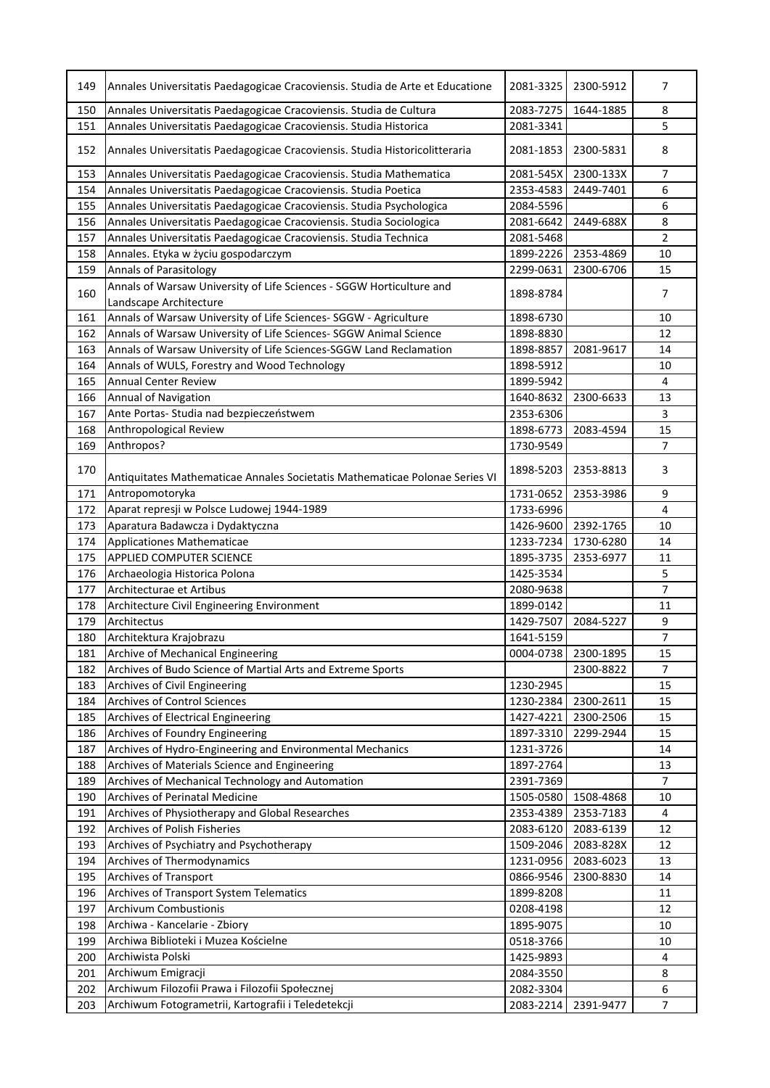| 149 | Annales Universitatis Paedagogicae Cracoviensis. Studia de Arte et Educatione | 2081-3325 | 2300-5912           | 7              |
|-----|-------------------------------------------------------------------------------|-----------|---------------------|----------------|
| 150 | Annales Universitatis Paedagogicae Cracoviensis. Studia de Cultura            | 2083-7275 | 1644-1885           | 8              |
| 151 | Annales Universitatis Paedagogicae Cracoviensis. Studia Historica             | 2081-3341 |                     | 5              |
| 152 | Annales Universitatis Paedagogicae Cracoviensis. Studia Historicolitteraria   | 2081-1853 | 2300-5831           | 8              |
| 153 | Annales Universitatis Paedagogicae Cracoviensis. Studia Mathematica           | 2081-545X | 2300-133X           | 7              |
| 154 | Annales Universitatis Paedagogicae Cracoviensis. Studia Poetica               | 2353-4583 | 2449-7401           | 6              |
| 155 | Annales Universitatis Paedagogicae Cracoviensis. Studia Psychologica          | 2084-5596 |                     | 6              |
| 156 | Annales Universitatis Paedagogicae Cracoviensis. Studia Sociologica           | 2081-6642 | 2449-688X           | 8              |
| 157 | Annales Universitatis Paedagogicae Cracoviensis. Studia Technica              | 2081-5468 |                     | 2              |
| 158 | Annales. Etyka w życiu gospodarczym                                           | 1899-2226 | 2353-4869           | 10             |
| 159 | <b>Annals of Parasitology</b>                                                 | 2299-0631 | 2300-6706           | 15             |
|     | Annals of Warsaw University of Life Sciences - SGGW Horticulture and          |           |                     |                |
| 160 | Landscape Architecture                                                        | 1898-8784 |                     | 7              |
| 161 | Annals of Warsaw University of Life Sciences- SGGW - Agriculture              | 1898-6730 |                     | 10             |
| 162 | Annals of Warsaw University of Life Sciences- SGGW Animal Science             | 1898-8830 |                     | 12             |
| 163 | Annals of Warsaw University of Life Sciences-SGGW Land Reclamation            | 1898-8857 | 2081-9617           | 14             |
| 164 | Annals of WULS, Forestry and Wood Technology                                  | 1898-5912 |                     | 10             |
| 165 | <b>Annual Center Review</b>                                                   | 1899-5942 |                     | $\overline{4}$ |
| 166 | Annual of Navigation                                                          | 1640-8632 | 2300-6633           | 13             |
| 167 | Ante Portas- Studia nad bezpieczeństwem                                       | 2353-6306 |                     | 3              |
| 168 | Anthropological Review                                                        | 1898-6773 | 2083-4594           | 15             |
| 169 | Anthropos?                                                                    | 1730-9549 |                     | 7              |
|     |                                                                               |           |                     |                |
| 170 | Antiquitates Mathematicae Annales Societatis Mathematicae Polonae Series VI   | 1898-5203 | 2353-8813           | 3              |
| 171 | Antropomotoryka                                                               | 1731-0652 | 2353-3986           | 9              |
| 172 | Aparat represji w Polsce Ludowej 1944-1989                                    | 1733-6996 |                     | $\overline{4}$ |
| 173 | Aparatura Badawcza i Dydaktyczna                                              | 1426-9600 | 2392-1765           | 10             |
| 174 | Applicationes Mathematicae                                                    | 1233-7234 | 1730-6280           | 14             |
| 175 | <b>APPLIED COMPUTER SCIENCE</b>                                               | 1895-3735 | 2353-6977           | 11             |
| 176 | Archaeologia Historica Polona                                                 | 1425-3534 |                     | 5              |
| 177 | Architecturae et Artibus                                                      | 2080-9638 |                     | $\overline{7}$ |
| 178 | Architecture Civil Engineering Environment                                    | 1899-0142 |                     | 11             |
| 179 | Architectus                                                                   | 1429-7507 | 2084-5227           | 9              |
| 180 | Architektura Krajobrazu                                                       | 1641-5159 |                     | $\overline{7}$ |
| 181 | Archive of Mechanical Engineering                                             |           | 0004-0738 2300-1895 | 15             |
| 182 | Archives of Budo Science of Martial Arts and Extreme Sports                   |           | 2300-8822           | 7              |
| 183 | Archives of Civil Engineering                                                 | 1230-2945 |                     | 15             |
| 184 | <b>Archives of Control Sciences</b>                                           | 1230-2384 | 2300-2611           | 15             |
| 185 | Archives of Electrical Engineering                                            | 1427-4221 | 2300-2506           | 15             |
| 186 | Archives of Foundry Engineering                                               | 1897-3310 | 2299-2944           | 15             |
| 187 | Archives of Hydro-Engineering and Environmental Mechanics                     | 1231-3726 |                     | 14             |
| 188 | Archives of Materials Science and Engineering                                 | 1897-2764 |                     | 13             |
| 189 | Archives of Mechanical Technology and Automation                              | 2391-7369 |                     | $\overline{7}$ |
| 190 | <b>Archives of Perinatal Medicine</b>                                         | 1505-0580 | 1508-4868           | 10             |
| 191 | Archives of Physiotherapy and Global Researches                               | 2353-4389 | 2353-7183           | 4              |
| 192 | Archives of Polish Fisheries                                                  | 2083-6120 | 2083-6139           | 12             |
| 193 | Archives of Psychiatry and Psychotherapy                                      | 1509-2046 | 2083-828X           | 12             |
| 194 | Archives of Thermodynamics                                                    | 1231-0956 | 2083-6023           | 13             |
| 195 | Archives of Transport                                                         | 0866-9546 | 2300-8830           | 14             |
| 196 | Archives of Transport System Telematics                                       | 1899-8208 |                     | 11             |
| 197 | <b>Archivum Combustionis</b>                                                  | 0208-4198 |                     | 12             |
| 198 | Archiwa - Kancelarie - Zbiory                                                 | 1895-9075 |                     | 10             |
| 199 | Archiwa Biblioteki i Muzea Kościelne                                          | 0518-3766 |                     | 10             |
| 200 | Archiwista Polski                                                             | 1425-9893 |                     | 4              |
| 201 | Archiwum Emigracji                                                            | 2084-3550 |                     | 8              |
| 202 | Archiwum Filozofii Prawa i Filozofii Społecznej                               | 2082-3304 |                     | 6              |
| 203 | Archiwum Fotogrametrii, Kartografii i Teledetekcji                            | 2083-2214 | 2391-9477           | $\overline{7}$ |
|     |                                                                               |           |                     |                |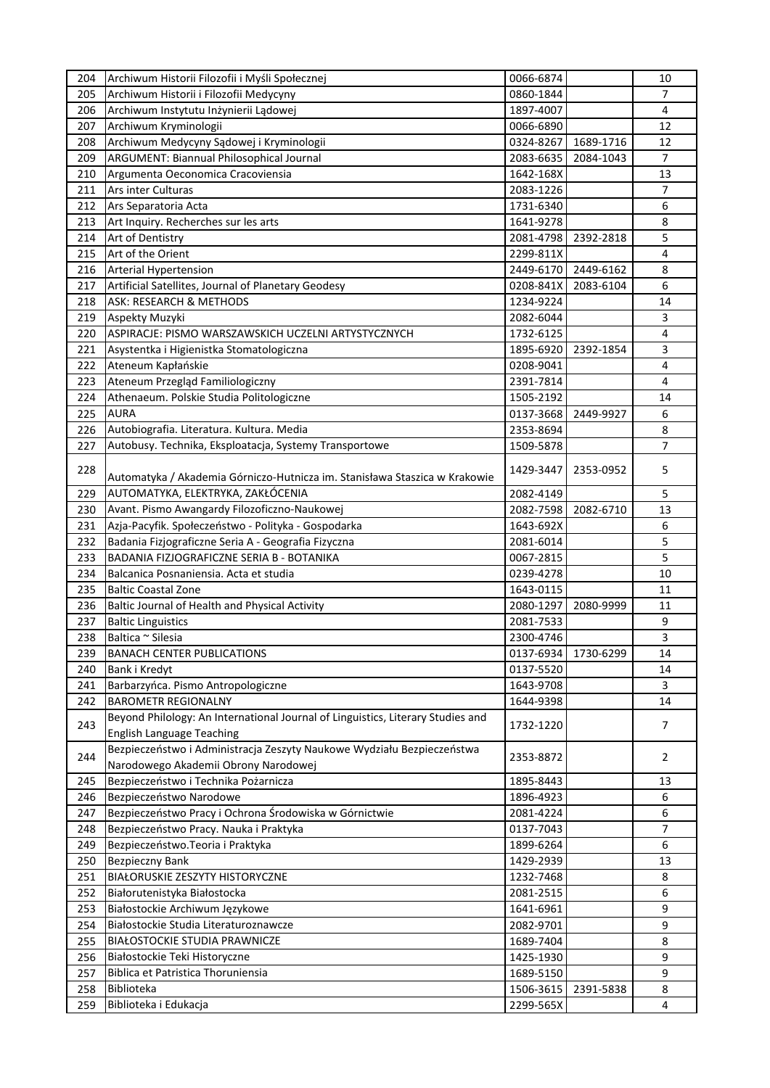| 204 | Archiwum Historii Filozofii i Myśli Społecznej                                  | 0066-6874 |           | 10             |
|-----|---------------------------------------------------------------------------------|-----------|-----------|----------------|
| 205 | Archiwum Historii i Filozofii Medycyny                                          | 0860-1844 |           | 7              |
| 206 | Archiwum Instytutu Inżynierii Lądowej                                           | 1897-4007 |           | 4              |
| 207 | Archiwum Kryminologii                                                           | 0066-6890 |           | 12             |
| 208 | Archiwum Medycyny Sądowej i Kryminologii                                        | 0324-8267 | 1689-1716 | 12             |
| 209 | ARGUMENT: Biannual Philosophical Journal                                        | 2083-6635 | 2084-1043 | $\overline{7}$ |
| 210 | Argumenta Oeconomica Cracoviensia                                               | 1642-168X |           | 13             |
| 211 | Ars inter Culturas                                                              | 2083-1226 |           | 7              |
| 212 |                                                                                 | 1731-6340 |           | 6              |
|     | Ars Separatoria Acta                                                            |           |           |                |
| 213 | Art Inquiry. Recherches sur les arts                                            | 1641-9278 |           | 8              |
| 214 | Art of Dentistry                                                                | 2081-4798 | 2392-2818 | 5              |
| 215 | Art of the Orient                                                               | 2299-811X |           | 4              |
| 216 | Arterial Hypertension                                                           | 2449-6170 | 2449-6162 | 8              |
| 217 | Artificial Satellites, Journal of Planetary Geodesy                             | 0208-841X | 2083-6104 | 6              |
| 218 | ASK: RESEARCH & METHODS                                                         | 1234-9224 |           | 14             |
| 219 | Aspekty Muzyki                                                                  | 2082-6044 |           | 3              |
| 220 | ASPIRACJE: PISMO WARSZAWSKICH UCZELNI ARTYSTYCZNYCH                             | 1732-6125 |           | $\overline{4}$ |
| 221 | Asystentka i Higienistka Stomatologiczna                                        | 1895-6920 | 2392-1854 | 3              |
| 222 | Ateneum Kapłańskie                                                              | 0208-9041 |           | 4              |
| 223 | Ateneum Przegląd Familiologiczny                                                | 2391-7814 |           | 4              |
| 224 | Athenaeum. Polskie Studia Politologiczne                                        | 1505-2192 |           | 14             |
| 225 | <b>AURA</b>                                                                     | 0137-3668 | 2449-9927 | 6              |
| 226 | Autobiografia. Literatura. Kultura. Media                                       | 2353-8694 |           | 8              |
| 227 | Autobusy. Technika, Eksploatacja, Systemy Transportowe                          | 1509-5878 |           | 7              |
|     |                                                                                 |           |           |                |
| 228 | Automatyka / Akademia Górniczo-Hutnicza im. Stanisława Staszica w Krakowie      | 1429-3447 | 2353-0952 | 5              |
| 229 |                                                                                 |           |           | 5              |
|     | AUTOMATYKA, ELEKTRYKA, ZAKŁÓCENIA                                               | 2082-4149 |           |                |
| 230 | Avant. Pismo Awangardy Filozoficzno-Naukowej                                    | 2082-7598 | 2082-6710 | 13             |
| 231 | Azja-Pacyfik. Społeczeństwo - Polityka - Gospodarka                             | 1643-692X |           | 6              |
| 232 | Badania Fizjograficzne Seria A - Geografia Fizyczna                             | 2081-6014 |           | 5              |
| 233 | BADANIA FIZJOGRAFICZNE SERIA B - BOTANIKA                                       | 0067-2815 |           | 5              |
| 234 | Balcanica Posnaniensia. Acta et studia                                          | 0239-4278 |           | 10             |
| 235 | <b>Baltic Coastal Zone</b>                                                      | 1643-0115 |           | 11             |
| 236 | Baltic Journal of Health and Physical Activity                                  | 2080-1297 | 2080-9999 | 11             |
| 237 | <b>Baltic Linguistics</b>                                                       | 2081-7533 |           | 9              |
| 238 | Baltica ~ Silesia                                                               | 2300-4746 |           | 3              |
| 239 | <b>BANACH CENTER PUBLICATIONS</b>                                               | 0137-6934 | 1730-6299 | 14             |
| 240 | Bank i Kredyt                                                                   | 0137-5520 |           | 14             |
| 241 | Barbarzyńca. Pismo Antropologiczne                                              | 1643-9708 |           | 3              |
| 242 | <b>BAROMETR REGIONALNY</b>                                                      | 1644-9398 |           | 14             |
|     | Beyond Philology: An International Journal of Linguistics, Literary Studies and |           |           |                |
| 243 | <b>English Language Teaching</b>                                                | 1732-1220 |           | 7              |
|     | Bezpieczeństwo i Administracja Zeszyty Naukowe Wydziału Bezpieczeństwa          |           |           |                |
| 244 | Narodowego Akademii Obrony Narodowej                                            | 2353-8872 |           | 2              |
| 245 | Bezpieczeństwo i Technika Pożarnicza                                            | 1895-8443 |           | 13             |
| 246 | Bezpieczeństwo Narodowe                                                         | 1896-4923 |           | 6              |
| 247 | Bezpieczeństwo Pracy i Ochrona Środowiska w Górnictwie                          | 2081-4224 |           | 6              |
| 248 | Bezpieczeństwo Pracy. Nauka i Praktyka                                          | 0137-7043 |           | 7              |
| 249 |                                                                                 | 1899-6264 |           | 6              |
|     | Bezpieczeństwo. Teoria i Praktyka                                               |           |           |                |
| 250 | <b>Bezpieczny Bank</b>                                                          | 1429-2939 |           | 13             |
| 251 | BIAŁORUSKIE ZESZYTY HISTORYCZNE                                                 | 1232-7468 |           | 8              |
| 252 | Białorutenistyka Białostocka                                                    | 2081-2515 |           | 6              |
| 253 | Białostockie Archiwum Językowe                                                  | 1641-6961 |           | 9              |
| 254 | Białostockie Studia Literaturoznawcze                                           | 2082-9701 |           | 9              |
| 255 | BIAŁOSTOCKIE STUDIA PRAWNICZE                                                   | 1689-7404 |           | 8              |
| 256 | Białostockie Teki Historyczne                                                   | 1425-1930 |           | 9              |
| 257 | Biblica et Patristica Thoruniensia                                              | 1689-5150 |           | 9              |
| 258 | Biblioteka                                                                      | 1506-3615 | 2391-5838 | 8              |
| 259 | Biblioteka i Edukacja                                                           | 2299-565X |           | 4              |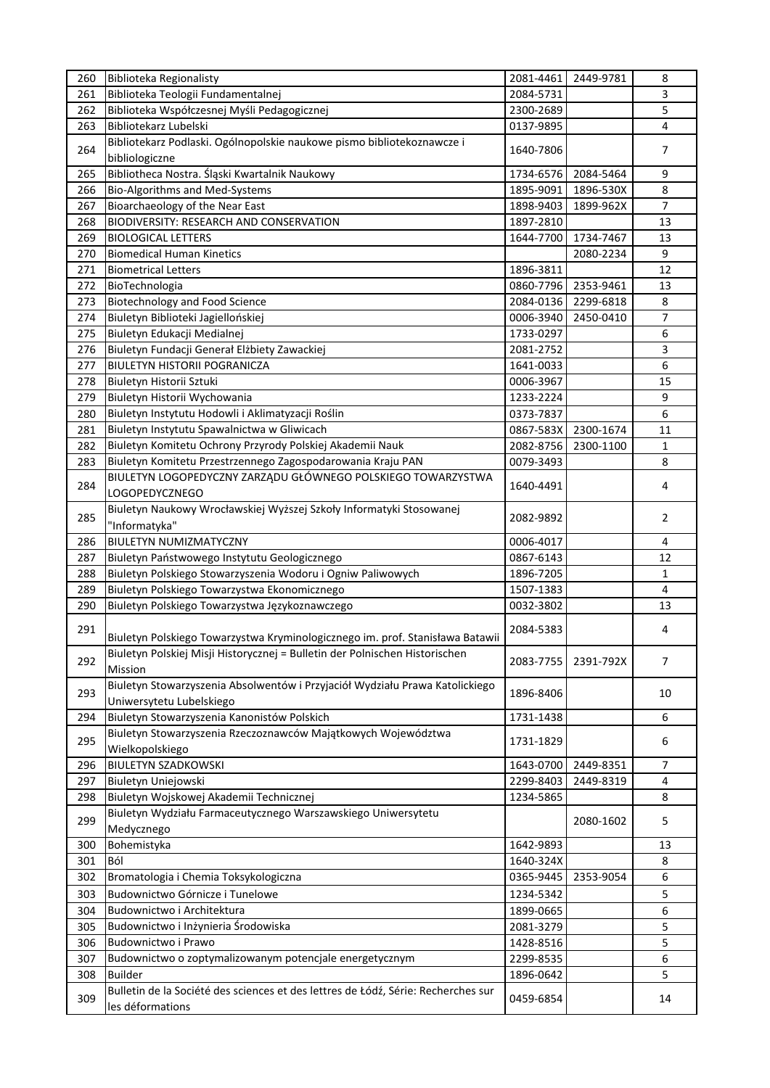| 260 | Biblioteka Regionalisty                                                                               | 2081-4461 | 2449-9781 | 8              |
|-----|-------------------------------------------------------------------------------------------------------|-----------|-----------|----------------|
| 261 | Biblioteka Teologii Fundamentalnej                                                                    | 2084-5731 |           | 3              |
| 262 | Biblioteka Współczesnej Myśli Pedagogicznej                                                           | 2300-2689 |           | 5              |
| 263 | Bibliotekarz Lubelski                                                                                 | 0137-9895 |           | $\sqrt{4}$     |
| 264 | Bibliotekarz Podlaski. Ogólnopolskie naukowe pismo bibliotekoznawcze i<br>bibliologiczne              | 1640-7806 |           | 7              |
| 265 | Bibliotheca Nostra. Śląski Kwartalnik Naukowy                                                         | 1734-6576 | 2084-5464 | 9              |
| 266 | Bio-Algorithms and Med-Systems                                                                        | 1895-9091 | 1896-530X | 8              |
| 267 | Bioarchaeology of the Near East                                                                       | 1898-9403 | 1899-962X | 7              |
| 268 | BIODIVERSITY: RESEARCH AND CONSERVATION                                                               | 1897-2810 |           | 13             |
| 269 | <b>BIOLOGICAL LETTERS</b>                                                                             | 1644-7700 | 1734-7467 | 13             |
| 270 | <b>Biomedical Human Kinetics</b>                                                                      |           | 2080-2234 | 9              |
| 271 | <b>Biometrical Letters</b>                                                                            | 1896-3811 |           | 12             |
| 272 |                                                                                                       | 0860-7796 | 2353-9461 | 13             |
|     | BioTechnologia                                                                                        |           |           |                |
| 273 | Biotechnology and Food Science                                                                        | 2084-0136 | 2299-6818 | 8              |
| 274 | Biuletyn Biblioteki Jagiellońskiej                                                                    | 0006-3940 | 2450-0410 | 7              |
| 275 | Biuletyn Edukacji Medialnej                                                                           | 1733-0297 |           | 6              |
| 276 | Biuletyn Fundacji Generał Elżbiety Zawackiej                                                          | 2081-2752 |           | 3              |
| 277 | <b>BIULETYN HISTORII POGRANICZA</b>                                                                   | 1641-0033 |           | 6              |
| 278 | Biuletyn Historii Sztuki                                                                              | 0006-3967 |           | 15             |
| 279 | Biuletyn Historii Wychowania                                                                          | 1233-2224 |           | 9              |
| 280 | Biuletyn Instytutu Hodowli i Aklimatyzacji Roślin                                                     | 0373-7837 |           | 6              |
| 281 | Biuletyn Instytutu Spawalnictwa w Gliwicach                                                           | 0867-583X | 2300-1674 | 11             |
| 282 | Biuletyn Komitetu Ochrony Przyrody Polskiej Akademii Nauk                                             | 2082-8756 | 2300-1100 | $\mathbf{1}$   |
| 283 | Biuletyn Komitetu Przestrzennego Zagospodarowania Kraju PAN                                           | 0079-3493 |           | 8              |
| 284 | BIULETYN LOGOPEDYCZNY ZARZĄDU GŁÓWNEGO POLSKIEGO TOWARZYSTWA<br><b>LOGOPEDYCZNEGO</b>                 | 1640-4491 |           | 4              |
| 285 | Biuletyn Naukowy Wrocławskiej Wyższej Szkoły Informatyki Stosowanej<br>"Informatyka"                  | 2082-9892 |           | 2              |
| 286 | BIULETYN NUMIZMATYCZNY                                                                                | 0006-4017 |           | $\overline{4}$ |
| 287 | Biuletyn Państwowego Instytutu Geologicznego                                                          | 0867-6143 |           | 12             |
| 288 | Biuletyn Polskiego Stowarzyszenia Wodoru i Ogniw Paliwowych                                           | 1896-7205 |           | $\mathbf{1}$   |
| 289 | Biuletyn Polskiego Towarzystwa Ekonomicznego                                                          | 1507-1383 |           | $\overline{4}$ |
| 290 | Biuletyn Polskiego Towarzystwa Językoznawczego                                                        | 0032-3802 |           | 13             |
|     |                                                                                                       |           |           |                |
| 291 | Biuletyn Polskiego Towarzystwa Kryminologicznego im. prof. Stanisława Batawii                         | 2084-5383 |           | 4              |
| 292 | Biuletyn Polskiej Misji Historycznej = Bulletin der Polnischen Historischen<br>Mission                | 2083-7755 | 2391-792X | 7              |
| 293 | Biuletyn Stowarzyszenia Absolwentów i Przyjaciół Wydziału Prawa Katolickiego                          | 1896-8406 |           | 10             |
|     | Uniwersytetu Lubelskiego                                                                              |           |           |                |
| 294 | Biuletyn Stowarzyszenia Kanonistów Polskich                                                           | 1731-1438 |           | 6              |
| 295 | Biuletyn Stowarzyszenia Rzeczoznawców Majątkowych Województwa<br>Wielkopolskiego                      | 1731-1829 |           | 6              |
| 296 | <b>BIULETYN SZADKOWSKI</b>                                                                            | 1643-0700 | 2449-8351 | $\overline{7}$ |
| 297 | Biuletyn Uniejowski                                                                                   | 2299-8403 | 2449-8319 | 4              |
| 298 | Biuletyn Wojskowej Akademii Technicznej                                                               | 1234-5865 |           | 8              |
| 299 | Biuletyn Wydziału Farmaceutycznego Warszawskiego Uniwersytetu<br>Medycznego                           |           | 2080-1602 | 5              |
| 300 | Bohemistyka                                                                                           | 1642-9893 |           | 13             |
| 301 | Ból                                                                                                   | 1640-324X |           | 8              |
| 302 | Bromatologia i Chemia Toksykologiczna                                                                 | 0365-9445 | 2353-9054 | 6              |
|     |                                                                                                       |           |           |                |
| 303 | Budownictwo Górnicze i Tunelowe                                                                       | 1234-5342 |           | 5              |
| 304 | Budownictwo i Architektura                                                                            | 1899-0665 |           | 6              |
| 305 | Budownictwo i Inżynieria Środowiska                                                                   | 2081-3279 |           | 5              |
| 306 | Budownictwo i Prawo                                                                                   | 1428-8516 |           | 5              |
| 307 | Budownictwo o zoptymalizowanym potencjale energetycznym                                               | 2299-8535 |           | 6              |
| 308 | <b>Builder</b>                                                                                        | 1896-0642 |           | 5              |
| 309 | Bulletin de la Société des sciences et des lettres de Łódź, Série: Recherches sur<br>les déformations | 0459-6854 |           | 14             |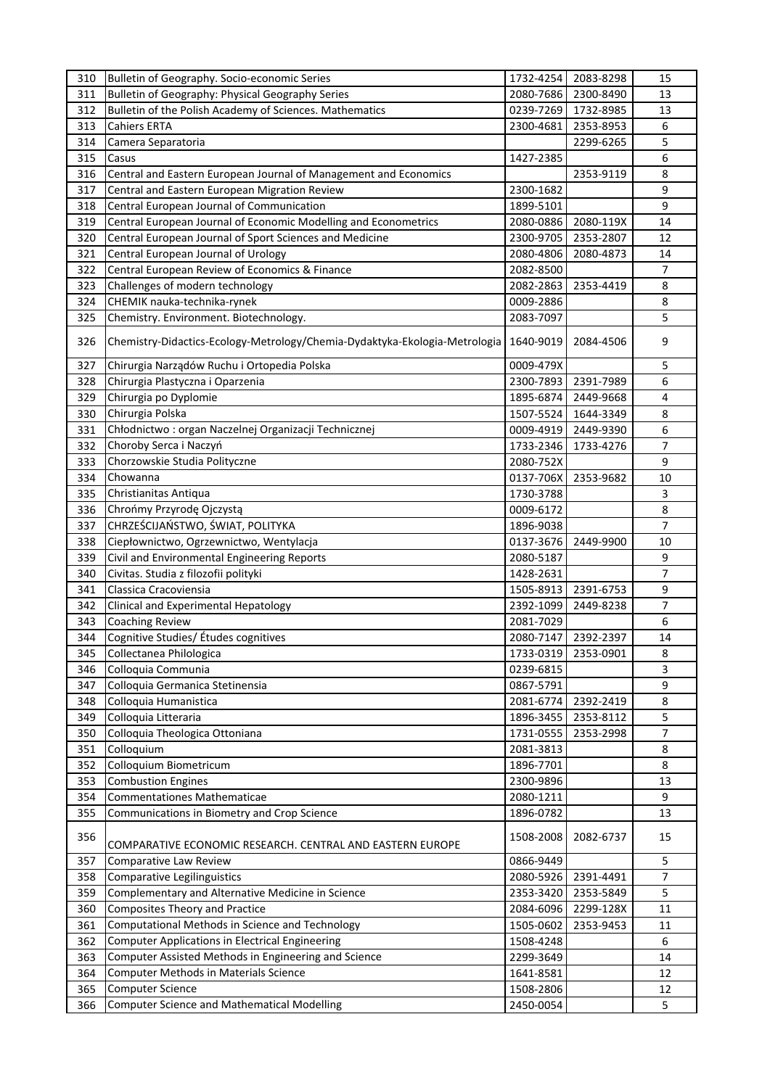| 310 | Bulletin of Geography. Socio-economic Series                               | 1732-4254 | 2083-8298 | 15             |
|-----|----------------------------------------------------------------------------|-----------|-----------|----------------|
| 311 | Bulletin of Geography: Physical Geography Series                           | 2080-7686 | 2300-8490 | 13             |
| 312 | Bulletin of the Polish Academy of Sciences. Mathematics                    | 0239-7269 | 1732-8985 | 13             |
| 313 | <b>Cahiers ERTA</b>                                                        | 2300-4681 | 2353-8953 | 6              |
| 314 | Camera Separatoria                                                         |           | 2299-6265 | 5              |
| 315 | Casus                                                                      | 1427-2385 |           | 6              |
| 316 | Central and Eastern European Journal of Management and Economics           |           | 2353-9119 | 8              |
| 317 | Central and Eastern European Migration Review                              | 2300-1682 |           | 9              |
| 318 | Central European Journal of Communication                                  | 1899-5101 |           | 9              |
| 319 | Central European Journal of Economic Modelling and Econometrics            | 2080-0886 | 2080-119X | 14             |
| 320 | Central European Journal of Sport Sciences and Medicine                    | 2300-9705 | 2353-2807 | 12             |
| 321 |                                                                            | 2080-4806 | 2080-4873 | 14             |
|     | Central European Journal of Urology                                        |           |           |                |
| 322 | Central European Review of Economics & Finance                             | 2082-8500 |           | $\overline{7}$ |
| 323 | Challenges of modern technology                                            | 2082-2863 | 2353-4419 | 8              |
| 324 | CHEMIK nauka-technika-rynek                                                | 0009-2886 |           | 8              |
| 325 | Chemistry. Environment. Biotechnology.                                     | 2083-7097 |           | 5              |
| 326 | Chemistry-Didactics-Ecology-Metrology/Chemia-Dydaktyka-Ekologia-Metrologia | 1640-9019 | 2084-4506 | 9              |
| 327 | Chirurgia Narządów Ruchu i Ortopedia Polska                                | 0009-479X |           | 5              |
| 328 | Chirurgia Plastyczna i Oparzenia                                           | 2300-7893 | 2391-7989 | 6              |
| 329 | Chirurgia po Dyplomie                                                      | 1895-6874 | 2449-9668 | 4              |
| 330 | Chirurgia Polska                                                           | 1507-5524 | 1644-3349 | 8              |
| 331 | Chłodnictwo : organ Naczelnej Organizacji Technicznej                      | 0009-4919 | 2449-9390 | 6              |
| 332 | Choroby Serca i Naczyń                                                     | 1733-2346 | 1733-4276 | 7              |
| 333 | Chorzowskie Studia Polityczne                                              | 2080-752X |           | 9              |
| 334 | Chowanna                                                                   | 0137-706X | 2353-9682 | 10             |
| 335 | Christianitas Antiqua                                                      | 1730-3788 |           | 3              |
| 336 | Chrońmy Przyrodę Ojczystą                                                  | 0009-6172 |           | $\bf 8$        |
| 337 | CHRZEŚCIJAŃSTWO, ŚWIAT, POLITYKA                                           | 1896-9038 |           | 7              |
| 338 | Ciepłownictwo, Ogrzewnictwo, Wentylacja                                    | 0137-3676 | 2449-9900 | 10             |
| 339 | Civil and Environmental Engineering Reports                                | 2080-5187 |           | 9              |
| 340 | Civitas. Studia z filozofii polityki                                       |           |           | $\overline{7}$ |
|     |                                                                            | 1428-2631 |           |                |
| 341 | Classica Cracoviensia                                                      | 1505-8913 | 2391-6753 | 9              |
| 342 | Clinical and Experimental Hepatology                                       | 2392-1099 | 2449-8238 | 7              |
| 343 | Coaching Review                                                            | 2081-7029 |           | 6              |
| 344 | Cognitive Studies/ Études cognitives                                       | 2080-7147 | 2392-2397 | 14             |
| 345 | Collectanea Philologica                                                    | 1733-0319 | 2353-0901 | 8              |
| 346 | Colloquia Communia                                                         | 0239-6815 |           | 3              |
| 347 | Colloquia Germanica Stetinensia                                            | 0867-5791 |           | 9              |
| 348 | Colloquia Humanistica                                                      | 2081-6774 | 2392-2419 | 8              |
| 349 | Colloquia Litteraria                                                       | 1896-3455 | 2353-8112 | 5              |
| 350 | Colloquia Theologica Ottoniana                                             | 1731-0555 | 2353-2998 | 7              |
| 351 | Colloquium                                                                 | 2081-3813 |           | $\bf 8$        |
| 352 | Colloquium Biometricum                                                     | 1896-7701 |           | 8              |
| 353 | <b>Combustion Engines</b>                                                  | 2300-9896 |           | 13             |
| 354 | <b>Commentationes Mathematicae</b>                                         | 2080-1211 |           | 9              |
| 355 | Communications in Biometry and Crop Science                                | 1896-0782 |           | 13             |
| 356 | COMPARATIVE ECONOMIC RESEARCH. CENTRAL AND EASTERN EUROPE                  | 1508-2008 | 2082-6737 | 15             |
|     |                                                                            |           |           | 5              |
| 357 | Comparative Law Review                                                     | 0866-9449 |           |                |
| 358 | <b>Comparative Legilinguistics</b>                                         | 2080-5926 | 2391-4491 | 7              |
| 359 | Complementary and Alternative Medicine in Science                          | 2353-3420 | 2353-5849 | 5              |
| 360 | <b>Composites Theory and Practice</b>                                      | 2084-6096 | 2299-128X | 11             |
| 361 | Computational Methods in Science and Technology                            | 1505-0602 | 2353-9453 | 11             |
| 362 | <b>Computer Applications in Electrical Engineering</b>                     | 1508-4248 |           | 6              |
| 363 | Computer Assisted Methods in Engineering and Science                       | 2299-3649 |           | 14             |
| 364 | <b>Computer Methods in Materials Science</b>                               | 1641-8581 |           | 12             |
| 365 | <b>Computer Science</b>                                                    | 1508-2806 |           | 12             |
| 366 | <b>Computer Science and Mathematical Modelling</b>                         | 2450-0054 |           | 5              |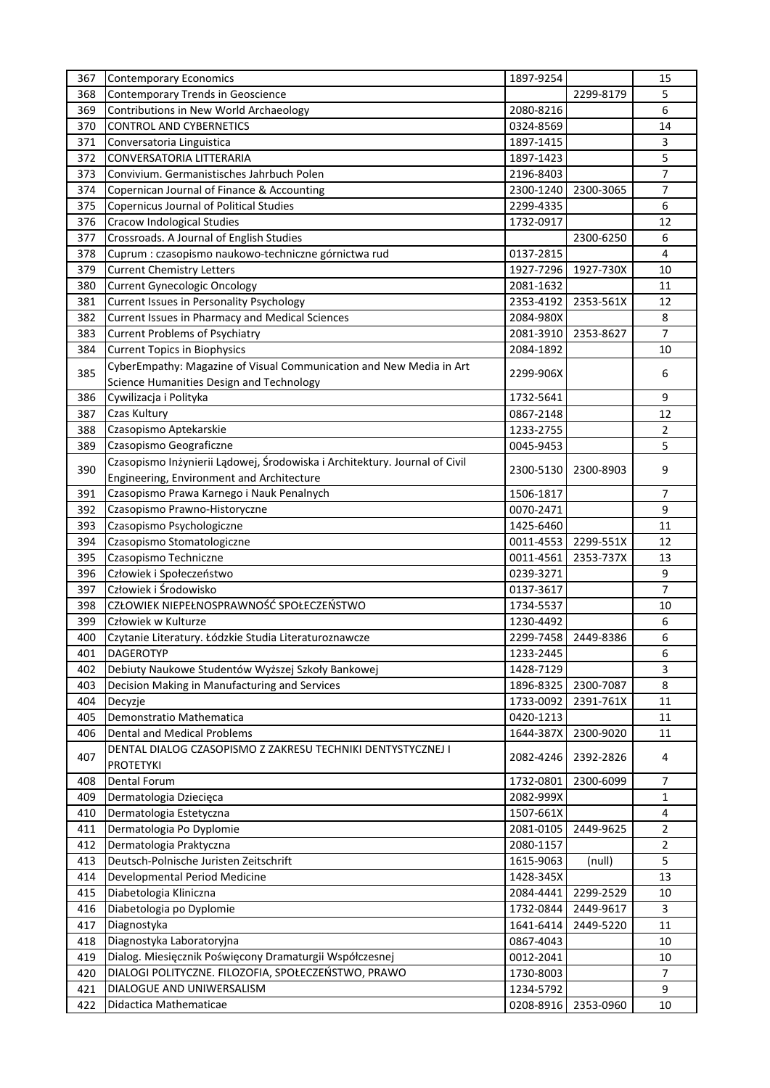| 367 | <b>Contemporary Economics</b>                                              | 1897-9254 |           | 15             |
|-----|----------------------------------------------------------------------------|-----------|-----------|----------------|
| 368 | Contemporary Trends in Geoscience                                          |           | 2299-8179 | 5              |
| 369 | Contributions in New World Archaeology                                     | 2080-8216 |           | 6              |
| 370 | <b>CONTROL AND CYBERNETICS</b>                                             | 0324-8569 |           | 14             |
| 371 | Conversatoria Linguistica                                                  | 1897-1415 |           | 3              |
| 372 | <b>CONVERSATORIA LITTERARIA</b>                                            | 1897-1423 |           | 5              |
| 373 | Convivium. Germanistisches Jahrbuch Polen                                  | 2196-8403 |           | $\overline{7}$ |
| 374 | Copernican Journal of Finance & Accounting                                 | 2300-1240 | 2300-3065 | 7              |
| 375 | <b>Copernicus Journal of Political Studies</b>                             | 2299-4335 |           | 6              |
| 376 | <b>Cracow Indological Studies</b>                                          | 1732-0917 |           | 12             |
| 377 | Crossroads. A Journal of English Studies                                   |           | 2300-6250 | 6              |
| 378 | Cuprum : czasopismo naukowo-techniczne górnictwa rud                       | 0137-2815 |           | 4              |
|     |                                                                            |           |           |                |
| 379 | <b>Current Chemistry Letters</b>                                           | 1927-7296 | 1927-730X | 10             |
| 380 | <b>Current Gynecologic Oncology</b>                                        | 2081-1632 |           | 11             |
| 381 | Current Issues in Personality Psychology                                   | 2353-4192 | 2353-561X | 12             |
| 382 | Current Issues in Pharmacy and Medical Sciences                            | 2084-980X |           | 8              |
| 383 | <b>Current Problems of Psychiatry</b>                                      | 2081-3910 | 2353-8627 | 7              |
| 384 | <b>Current Topics in Biophysics</b>                                        | 2084-1892 |           | 10             |
| 385 | CyberEmpathy: Magazine of Visual Communication and New Media in Art        | 2299-906X |           | 6              |
|     | Science Humanities Design and Technology                                   |           |           |                |
| 386 | Cywilizacja i Polityka                                                     | 1732-5641 |           | 9              |
| 387 | Czas Kultury                                                               | 0867-2148 |           | 12             |
| 388 | Czasopismo Aptekarskie                                                     | 1233-2755 |           | 2              |
| 389 | Czasopismo Geograficzne                                                    | 0045-9453 |           | 5              |
|     | Czasopismo Inżynierii Lądowej, Środowiska i Architektury. Journal of Civil |           |           |                |
| 390 | Engineering, Environment and Architecture                                  | 2300-5130 | 2300-8903 | 9              |
| 391 | Czasopismo Prawa Karnego i Nauk Penalnych                                  | 1506-1817 |           | $\overline{7}$ |
| 392 | Czasopismo Prawno-Historyczne                                              | 0070-2471 |           | 9              |
| 393 | Czasopismo Psychologiczne                                                  | 1425-6460 |           | 11             |
| 394 | Czasopismo Stomatologiczne                                                 | 0011-4553 | 2299-551X | 12             |
| 395 | Czasopismo Techniczne                                                      | 0011-4561 | 2353-737X | 13             |
| 396 | Człowiek i Społeczeństwo                                                   | 0239-3271 |           | 9              |
| 397 | Człowiek i Środowisko                                                      | 0137-3617 |           | $\overline{7}$ |
|     | CZŁOWIEK NIEPEŁNOSPRAWNOŚĆ SPOŁECZEŃSTWO                                   |           |           |                |
| 398 |                                                                            | 1734-5537 |           | 10             |
| 399 | Człowiek w Kulturze                                                        | 1230-4492 |           | 6              |
| 400 | Czytanie Literatury. Łódzkie Studia Literaturoznawcze                      | 2299-7458 | 2449-8386 | 6              |
| 401 | <b>DAGEROTYP</b>                                                           | 1233-2445 |           | 6              |
| 402 | Debiuty Naukowe Studentów Wyższej Szkoły Bankowej                          | 1428-7129 |           | 3              |
| 403 | Decision Making in Manufacturing and Services                              | 1896-8325 | 2300-7087 | 8              |
| 404 | Decyzje                                                                    | 1733-0092 | 2391-761X | 11             |
| 405 | Demonstratio Mathematica                                                   | 0420-1213 |           | 11             |
| 406 | Dental and Medical Problems                                                | 1644-387X | 2300-9020 | 11             |
| 407 | DENTAL DIALOG CZASOPISMO Z ZAKRESU TECHNIKI DENTYSTYCZNEJ I                |           |           | 4              |
|     | <b>PROTETYKI</b>                                                           | 2082-4246 | 2392-2826 |                |
| 408 | <b>Dental Forum</b>                                                        | 1732-0801 | 2300-6099 | 7              |
| 409 | Dermatologia Dziecięca                                                     | 2082-999X |           | $\mathbf{1}$   |
| 410 | Dermatologia Estetyczna                                                    | 1507-661X |           | 4              |
| 411 | Dermatologia Po Dyplomie                                                   | 2081-0105 | 2449-9625 | 2              |
| 412 | Dermatologia Praktyczna                                                    | 2080-1157 |           | 2              |
| 413 | Deutsch-Polnische Juristen Zeitschrift                                     | 1615-9063 | (null)    | 5              |
| 414 | Developmental Period Medicine                                              | 1428-345X |           | 13             |
| 415 | Diabetologia Kliniczna                                                     | 2084-4441 | 2299-2529 | 10             |
| 416 | Diabetologia po Dyplomie                                                   | 1732-0844 | 2449-9617 | 3              |
| 417 | Diagnostyka                                                                | 1641-6414 | 2449-5220 | 11             |
|     |                                                                            |           |           |                |
| 418 | Diagnostyka Laboratoryjna                                                  | 0867-4043 |           | 10             |
| 419 | Dialog. Miesięcznik Poświęcony Dramaturgii Współczesnej                    | 0012-2041 |           | 10             |
| 420 | DIALOGI POLITYCZNE. FILOZOFIA, SPOŁECZEŃSTWO, PRAWO                        | 1730-8003 |           | $\overline{7}$ |
| 421 | DIALOGUE AND UNIWERSALISM                                                  | 1234-5792 |           | 9              |
| 422 | Didactica Mathematicae                                                     | 0208-8916 | 2353-0960 | 10             |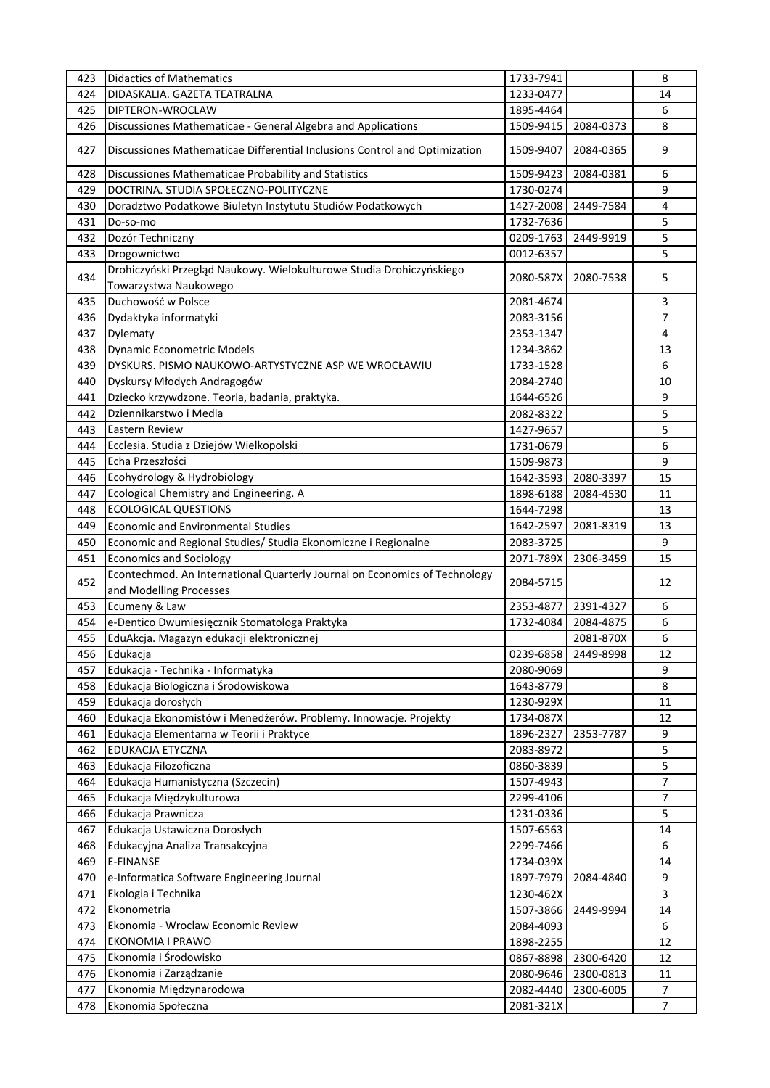| 423 | <b>Didactics of Mathematics</b>                                                      | 1733-7941 |           | 8              |
|-----|--------------------------------------------------------------------------------------|-----------|-----------|----------------|
| 424 | DIDASKALIA. GAZETA TEATRALNA                                                         | 1233-0477 |           | 14             |
| 425 | DIPTERON-WROCLAW                                                                     | 1895-4464 |           | 6              |
| 426 | Discussiones Mathematicae - General Algebra and Applications                         | 1509-9415 | 2084-0373 | 8              |
| 427 | Discussiones Mathematicae Differential Inclusions Control and Optimization           | 1509-9407 | 2084-0365 | 9              |
| 428 | Discussiones Mathematicae Probability and Statistics                                 | 1509-9423 | 2084-0381 | 6              |
| 429 | DOCTRINA. STUDIA SPOŁECZNO-POLITYCZNE                                                | 1730-0274 |           | 9              |
| 430 | Doradztwo Podatkowe Biuletyn Instytutu Studiów Podatkowych                           | 1427-2008 | 2449-7584 | 4              |
| 431 | Do-so-mo                                                                             | 1732-7636 |           | 5              |
| 432 | Dozór Techniczny                                                                     | 0209-1763 | 2449-9919 | 5              |
| 433 |                                                                                      | 0012-6357 |           | 5              |
|     | Drogownictwo<br>Drohiczyński Przegląd Naukowy. Wielokulturowe Studia Drohiczyńskiego |           |           |                |
| 434 |                                                                                      | 2080-587X | 2080-7538 | 5              |
|     | Towarzystwa Naukowego                                                                |           |           |                |
| 435 | Duchowość w Polsce                                                                   | 2081-4674 |           | 3              |
| 436 | Dydaktyka informatyki                                                                | 2083-3156 |           | 7              |
| 437 | Dylematy                                                                             | 2353-1347 |           | 4              |
| 438 | Dynamic Econometric Models                                                           | 1234-3862 |           | 13             |
| 439 | DYSKURS. PISMO NAUKOWO-ARTYSTYCZNE ASP WE WROCŁAWIU                                  | 1733-1528 |           | 6              |
| 440 | Dyskursy Młodych Andragogów                                                          | 2084-2740 |           | 10             |
| 441 | Dziecko krzywdzone. Teoria, badania, praktyka.                                       | 1644-6526 |           | 9              |
| 442 | Dziennikarstwo i Media                                                               | 2082-8322 |           | 5              |
| 443 | Eastern Review                                                                       | 1427-9657 |           | 5              |
| 444 | Ecclesia. Studia z Dziejów Wielkopolski                                              | 1731-0679 |           | 6              |
| 445 | Echa Przeszłości                                                                     | 1509-9873 |           | 9              |
| 446 | Ecohydrology & Hydrobiology                                                          | 1642-3593 | 2080-3397 | 15             |
| 447 | Ecological Chemistry and Engineering. A                                              | 1898-6188 | 2084-4530 | 11             |
| 448 | <b>ECOLOGICAL QUESTIONS</b>                                                          | 1644-7298 |           | 13             |
| 449 | <b>Economic and Environmental Studies</b>                                            | 1642-2597 | 2081-8319 | 13             |
| 450 | Economic and Regional Studies/ Studia Ekonomiczne i Regionalne                       | 2083-3725 |           | 9              |
| 451 | <b>Economics and Sociology</b>                                                       | 2071-789X | 2306-3459 | 15             |
| 452 | Econtechmod. An International Quarterly Journal on Economics of Technology           | 2084-5715 |           | 12             |
|     | and Modelling Processes                                                              |           |           |                |
| 453 | Ecumeny & Law                                                                        | 2353-4877 | 2391-4327 | 6              |
| 454 | e-Dentico Dwumiesięcznik Stomatologa Praktyka                                        | 1732-4084 | 2084-4875 | 6              |
| 455 | EduAkcja. Magazyn edukacji elektronicznej                                            |           | 2081-870X | 6              |
| 456 | Edukacja                                                                             | 0239-6858 | 2449-8998 | 12             |
| 457 | Edukacja - Technika - Informatyka                                                    | 2080-9069 |           | 9              |
| 458 | Edukacja Biologiczna i Środowiskowa                                                  | 1643-8779 |           | 8              |
| 459 | Edukacja dorosłych                                                                   | 1230-929X |           | 11             |
| 460 | Edukacja Ekonomistów i Menedżerów. Problemy. Innowacje. Projekty                     | 1734-087X |           | 12             |
| 461 | Edukacja Elementarna w Teorii i Praktyce                                             | 1896-2327 | 2353-7787 | 9              |
| 462 | EDUKACJA ETYCZNA                                                                     | 2083-8972 |           | 5              |
| 463 | Edukacja Filozoficzna                                                                | 0860-3839 |           | 5              |
| 464 | Edukacja Humanistyczna (Szczecin)                                                    | 1507-4943 |           | 7              |
| 465 | Edukacja Międzykulturowa                                                             | 2299-4106 |           | 7              |
| 466 | Edukacja Prawnicza                                                                   | 1231-0336 |           | 5              |
| 467 | Edukacja Ustawiczna Dorosłych                                                        | 1507-6563 |           | 14             |
| 468 | Edukacyjna Analiza Transakcyjna                                                      | 2299-7466 |           | 6              |
| 469 | E-FINANSE                                                                            | 1734-039X |           | 14             |
| 470 | e-Informatica Software Engineering Journal                                           | 1897-7979 | 2084-4840 | 9              |
| 471 | Ekologia i Technika                                                                  | 1230-462X |           | 3              |
| 472 | Ekonometria                                                                          | 1507-3866 | 2449-9994 | 14             |
| 473 | Ekonomia - Wroclaw Economic Review                                                   | 2084-4093 |           | 6              |
| 474 | EKONOMIA I PRAWO                                                                     | 1898-2255 |           | 12             |
| 475 | Ekonomia i Środowisko                                                                | 0867-8898 | 2300-6420 | 12             |
| 476 | Ekonomia i Zarządzanie                                                               | 2080-9646 | 2300-0813 | 11             |
| 477 | Ekonomia Międzynarodowa                                                              | 2082-4440 | 2300-6005 | $\overline{7}$ |
| 478 | Ekonomia Społeczna                                                                   | 2081-321X |           | $\overline{7}$ |
|     |                                                                                      |           |           |                |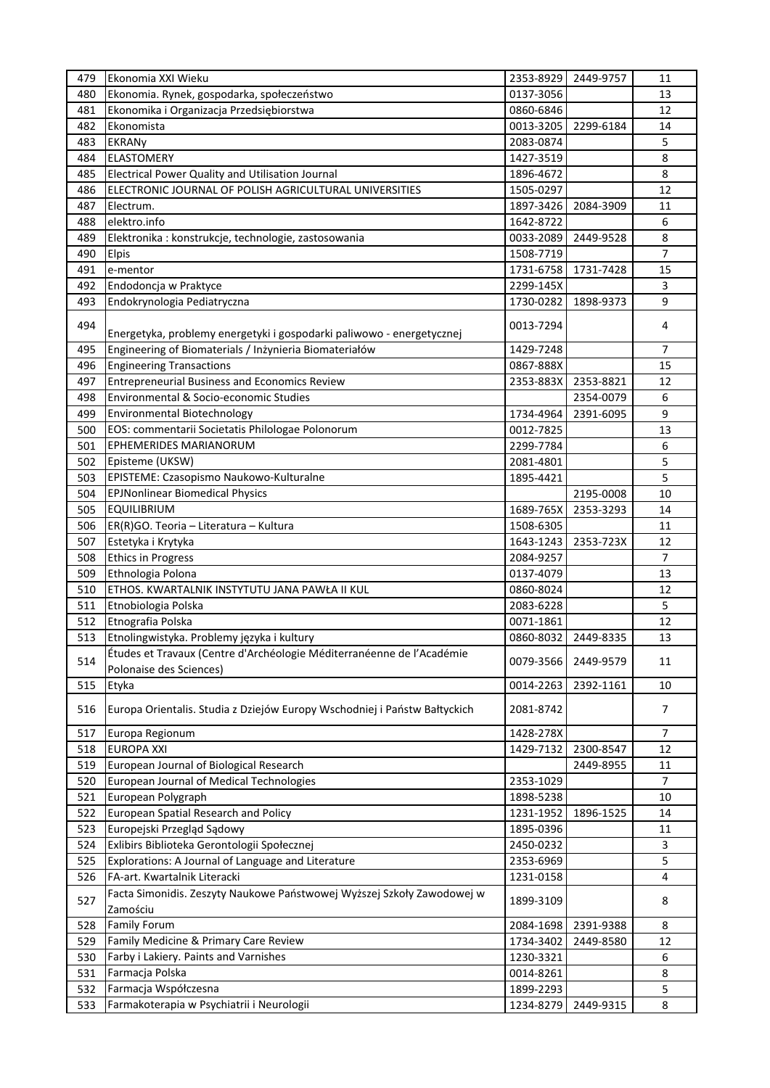| 479 | Ekonomia XXI Wieku                                                                 | 2353-8929 | 2449-9757 | 11             |
|-----|------------------------------------------------------------------------------------|-----------|-----------|----------------|
| 480 | Ekonomia. Rynek, gospodarka, społeczeństwo                                         | 0137-3056 |           | 13             |
| 481 | Ekonomika i Organizacja Przedsiębiorstwa                                           | 0860-6846 |           | 12             |
| 482 | Ekonomista                                                                         | 0013-3205 | 2299-6184 | 14             |
| 483 | <b>EKRANy</b>                                                                      | 2083-0874 |           | 5              |
| 484 | <b>ELASTOMERY</b>                                                                  | 1427-3519 |           | 8              |
| 485 | Electrical Power Quality and Utilisation Journal                                   | 1896-4672 |           | 8              |
| 486 | ELECTRONIC JOURNAL OF POLISH AGRICULTURAL UNIVERSITIES                             | 1505-0297 |           | 12             |
| 487 | Electrum.                                                                          | 1897-3426 | 2084-3909 | 11             |
| 488 | elektro.info                                                                       | 1642-8722 |           | 6              |
| 489 | Elektronika : konstrukcje, technologie, zastosowania                               | 0033-2089 | 2449-9528 | 8              |
| 490 | <b>Elpis</b>                                                                       | 1508-7719 |           | $\overline{7}$ |
| 491 | e-mentor                                                                           | 1731-6758 | 1731-7428 | 15             |
| 492 | Endodoncja w Praktyce                                                              | 2299-145X |           | 3              |
| 493 | Endokrynologia Pediatryczna                                                        | 1730-0282 | 1898-9373 | 9              |
|     |                                                                                    |           |           |                |
| 494 |                                                                                    | 0013-7294 |           | 4              |
|     | Energetyka, problemy energetyki i gospodarki paliwowo - energetycznej              |           |           |                |
| 495 | Engineering of Biomaterials / Inżynieria Biomateriałów                             | 1429-7248 |           | 7              |
| 496 | <b>Engineering Transactions</b>                                                    | 0867-888X |           | 15             |
| 497 | <b>Entrepreneurial Business and Economics Review</b>                               | 2353-883X | 2353-8821 | 12             |
| 498 | Environmental & Socio-economic Studies                                             |           | 2354-0079 | 6              |
| 499 | Environmental Biotechnology                                                        | 1734-4964 | 2391-6095 | 9              |
| 500 | EOS: commentarii Societatis Philologae Polonorum                                   | 0012-7825 |           | 13             |
| 501 | <b>EPHEMERIDES MARIANORUM</b>                                                      | 2299-7784 |           | 6              |
| 502 | Episteme (UKSW)                                                                    | 2081-4801 |           | 5              |
| 503 | EPISTEME: Czasopismo Naukowo-Kulturalne                                            | 1895-4421 |           | 5              |
| 504 | <b>EPJNonlinear Biomedical Physics</b>                                             |           | 2195-0008 | 10             |
| 505 | <b>EQUILIBRIUM</b>                                                                 | 1689-765X | 2353-3293 | 14             |
| 506 | ER(R)GO. Teoria - Literatura - Kultura                                             | 1508-6305 |           | 11             |
| 507 | Estetyka i Krytyka                                                                 | 1643-1243 | 2353-723X | 12             |
| 508 | <b>Ethics in Progress</b>                                                          | 2084-9257 |           | $\overline{7}$ |
| 509 | Ethnologia Polona                                                                  | 0137-4079 |           | 13             |
| 510 | ETHOS. KWARTALNIK INSTYTUTU JANA PAWŁA II KUL                                      | 0860-8024 |           | 12             |
| 511 | Etnobiologia Polska                                                                | 2083-6228 |           | 5              |
| 512 | Etnografia Polska                                                                  | 0071-1861 |           | 12             |
| 513 | Etnolingwistyka. Problemy języka i kultury                                         | 0860-8032 | 2449-8335 | 13             |
|     | Études et Travaux (Centre d'Archéologie Méditerranéenne de l'Académie              |           |           |                |
| 514 | Polonaise des Sciences)                                                            | 0079-3566 | 2449-9579 | 11             |
| 515 | Etyka                                                                              | 0014-2263 | 2392-1161 | 10             |
|     |                                                                                    |           |           |                |
| 516 | Europa Orientalis. Studia z Dziejów Europy Wschodniej i Państw Bałtyckich          | 2081-8742 |           | 7              |
| 517 | Europa Regionum                                                                    | 1428-278X |           | 7              |
| 518 | <b>EUROPA XXI</b>                                                                  | 1429-7132 | 2300-8547 | 12             |
| 519 | European Journal of Biological Research                                            |           | 2449-8955 | 11             |
| 520 | European Journal of Medical Technologies                                           | 2353-1029 |           | $\overline{7}$ |
| 521 | European Polygraph                                                                 | 1898-5238 |           | 10             |
| 522 | European Spatial Research and Policy                                               | 1231-1952 | 1896-1525 | 14             |
| 523 |                                                                                    | 1895-0396 |           | 11             |
| 524 | Europejski Przegląd Sądowy<br>Exlibirs Biblioteka Gerontologii Społecznej          | 2450-0232 |           | 3              |
|     |                                                                                    |           |           |                |
| 525 | Explorations: A Journal of Language and Literature<br>FA-art. Kwartalnik Literacki | 2353-6969 |           | 5<br>4         |
| 526 |                                                                                    | 1231-0158 |           |                |
| 527 | Facta Simonidis. Zeszyty Naukowe Państwowej Wyższej Szkoły Zawodowej w             | 1899-3109 |           | 8              |
|     | Zamościu                                                                           |           |           |                |
| 528 | <b>Family Forum</b>                                                                | 2084-1698 | 2391-9388 | 8              |
| 529 | Family Medicine & Primary Care Review                                              | 1734-3402 | 2449-8580 | 12             |
| 530 | Farby i Lakiery. Paints and Varnishes                                              | 1230-3321 |           | 6              |
| 531 | Farmacja Polska                                                                    | 0014-8261 |           | 8              |
| 532 | Farmacja Współczesna                                                               | 1899-2293 |           | 5              |
| 533 | Farmakoterapia w Psychiatrii i Neurologii                                          | 1234-8279 | 2449-9315 | 8              |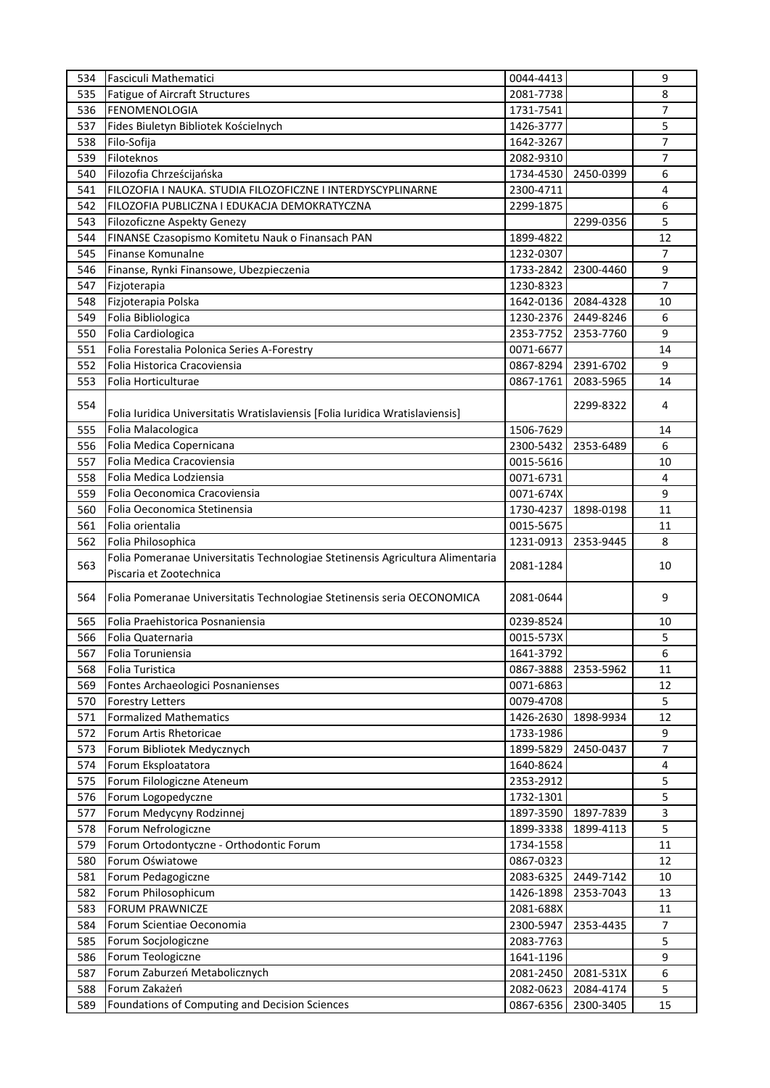| 534 | Fasciculi Mathematici                                                          | 0044-4413 |           | 9              |
|-----|--------------------------------------------------------------------------------|-----------|-----------|----------------|
| 535 | Fatigue of Aircraft Structures                                                 | 2081-7738 |           | 8              |
| 536 | <b>FENOMENOLOGIA</b>                                                           | 1731-7541 |           | 7              |
| 537 | Fides Biuletyn Bibliotek Kościelnych                                           | 1426-3777 |           | 5              |
| 538 | Filo-Sofija                                                                    | 1642-3267 |           | 7              |
| 539 | Filoteknos                                                                     | 2082-9310 |           | 7              |
| 540 | Filozofia Chrześcijańska                                                       | 1734-4530 | 2450-0399 | 6              |
| 541 | FILOZOFIA I NAUKA. STUDIA FILOZOFICZNE I INTERDYSCYPLINARNE                    | 2300-4711 |           | 4              |
| 542 | FILOZOFIA PUBLICZNA I EDUKACJA DEMOKRATYCZNA                                   | 2299-1875 |           | 6              |
| 543 | Filozoficzne Aspekty Genezy                                                    |           | 2299-0356 | 5              |
| 544 | FINANSE Czasopismo Komitetu Nauk o Finansach PAN                               | 1899-4822 |           | 12             |
| 545 | Finanse Komunalne                                                              | 1232-0307 |           | $\overline{7}$ |
| 546 | Finanse, Rynki Finansowe, Ubezpieczenia                                        | 1733-2842 | 2300-4460 | 9              |
| 547 | Fizjoterapia                                                                   | 1230-8323 |           | $\overline{7}$ |
| 548 | Fizjoterapia Polska                                                            | 1642-0136 | 2084-4328 | 10             |
| 549 | Folia Bibliologica                                                             | 1230-2376 | 2449-8246 | 6              |
| 550 | Folia Cardiologica                                                             | 2353-7752 | 2353-7760 | 9              |
| 551 | Folia Forestalia Polonica Series A-Forestry                                    | 0071-6677 |           | 14             |
| 552 | Folia Historica Cracoviensia                                                   | 0867-8294 | 2391-6702 | 9              |
| 553 | Folia Horticulturae                                                            | 0867-1761 | 2083-5965 | 14             |
|     |                                                                                |           |           |                |
| 554 | Folia Iuridica Universitatis Wratislaviensis [Folia Iuridica Wratislaviensis]  |           | 2299-8322 | 4              |
| 555 | Folia Malacologica                                                             | 1506-7629 |           | 14             |
| 556 | Folia Medica Copernicana                                                       | 2300-5432 | 2353-6489 | 6              |
| 557 | Folia Medica Cracoviensia                                                      | 0015-5616 |           | 10             |
| 558 | Folia Medica Lodziensia                                                        | 0071-6731 |           | $\overline{4}$ |
| 559 | Folia Oeconomica Cracoviensia                                                  | 0071-674X |           | 9              |
| 560 | Folia Oeconomica Stetinensia                                                   | 1730-4237 | 1898-0198 | 11             |
| 561 | Folia orientalia                                                               | 0015-5675 |           | 11             |
| 562 | Folia Philosophica                                                             | 1231-0913 | 2353-9445 | 8              |
|     | Folia Pomeranae Universitatis Technologiae Stetinensis Agricultura Alimentaria |           |           |                |
| 563 | Piscaria et Zootechnica                                                        | 2081-1284 |           | 10             |
|     |                                                                                |           |           |                |
| 564 | Folia Pomeranae Universitatis Technologiae Stetinensis seria OECONOMICA        | 2081-0644 |           | 9              |
| 565 | Folia Praehistorica Posnaniensia                                               | 0239-8524 |           | 10             |
| 566 | Folia Quaternaria                                                              | 0015-573X |           | 5              |
|     | Folia Toruniensia                                                              |           |           |                |
| 567 |                                                                                | 1641-3792 |           | 6              |
| 568 | Folia Turistica                                                                | 0867-3888 | 2353-5962 | 11             |
| 569 | Fontes Archaeologici Posnanienses                                              | 0071-6863 |           | 12             |
| 570 | <b>Forestry Letters</b>                                                        | 0079-4708 |           | 5              |
| 571 | <b>Formalized Mathematics</b>                                                  | 1426-2630 | 1898-9934 | 12             |
| 572 | Forum Artis Rhetoricae                                                         | 1733-1986 |           | 9              |
| 573 | Forum Bibliotek Medycznych                                                     | 1899-5829 | 2450-0437 | 7              |
| 574 | Forum Eksploatatora                                                            | 1640-8624 |           | 4              |
| 575 | Forum Filologiczne Ateneum                                                     | 2353-2912 |           | 5              |
| 576 | Forum Logopedyczne                                                             | 1732-1301 |           | 5              |
| 577 | Forum Medycyny Rodzinnej                                                       | 1897-3590 | 1897-7839 | 3              |
| 578 | Forum Nefrologiczne                                                            | 1899-3338 | 1899-4113 | 5              |
| 579 | Forum Ortodontyczne - Orthodontic Forum                                        | 1734-1558 |           | 11             |
| 580 | Forum Oświatowe                                                                | 0867-0323 |           | 12             |
| 581 | Forum Pedagogiczne                                                             | 2083-6325 | 2449-7142 | 10             |
| 582 | Forum Philosophicum                                                            | 1426-1898 | 2353-7043 | 13             |
| 583 | <b>FORUM PRAWNICZE</b>                                                         | 2081-688X |           | 11             |
| 584 | Forum Scientiae Oeconomia                                                      | 2300-5947 | 2353-4435 | $\overline{7}$ |
| 585 | Forum Socjologiczne                                                            | 2083-7763 |           | 5              |
| 586 | Forum Teologiczne                                                              | 1641-1196 |           | 9              |
| 587 | Forum Zaburzeń Metabolicznych                                                  | 2081-2450 | 2081-531X | 6              |
| 588 | Forum Zakażeń                                                                  | 2082-0623 | 2084-4174 | 5              |
| 589 | Foundations of Computing and Decision Sciences                                 | 0867-6356 | 2300-3405 | 15             |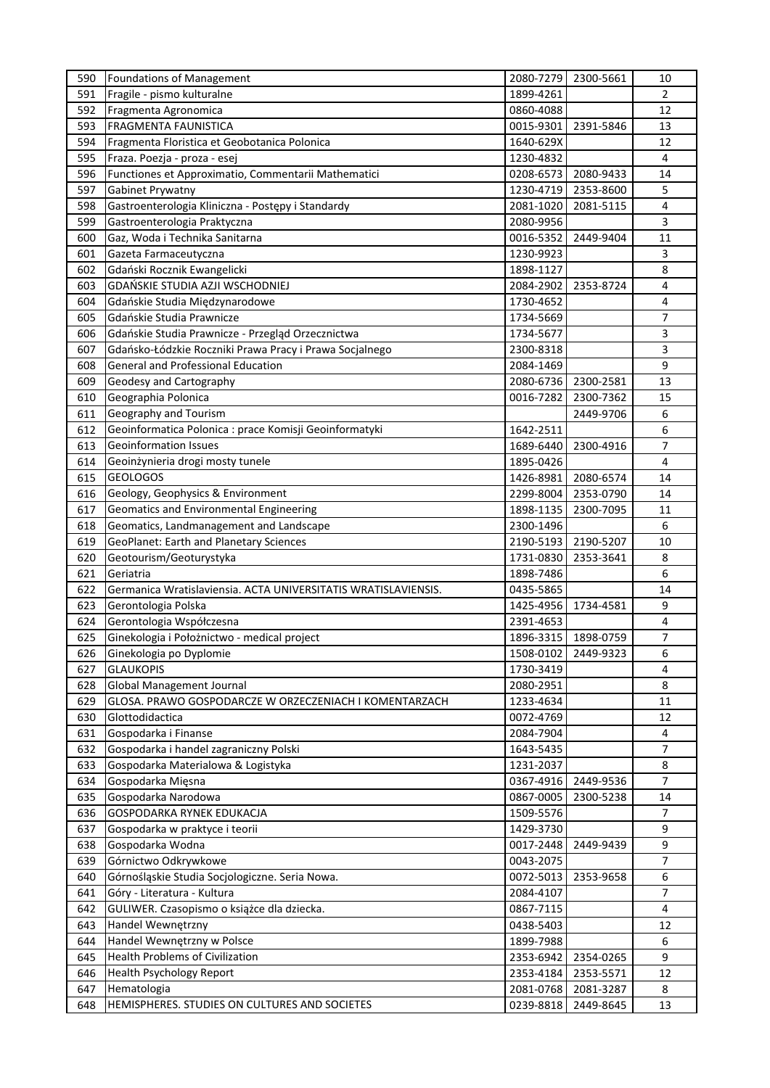| 590 | Foundations of Management                                      | 2080-7279 | 2300-5661           | 10             |
|-----|----------------------------------------------------------------|-----------|---------------------|----------------|
| 591 | Fragile - pismo kulturalne                                     | 1899-4261 |                     | $\overline{2}$ |
| 592 | Fragmenta Agronomica                                           | 0860-4088 |                     | 12             |
| 593 | <b>FRAGMENTA FAUNISTICA</b>                                    | 0015-9301 | 2391-5846           | 13             |
| 594 | Fragmenta Floristica et Geobotanica Polonica                   | 1640-629X |                     | 12             |
| 595 | Fraza. Poezja - proza - esej                                   | 1230-4832 |                     | 4              |
| 596 | Functiones et Approximatio, Commentarii Mathematici            | 0208-6573 | 2080-9433           | 14             |
| 597 | Gabinet Prywatny                                               | 1230-4719 | 2353-8600           | 5              |
| 598 | Gastroenterologia Kliniczna - Postępy i Standardy              | 2081-1020 | 2081-5115           | 4              |
| 599 | Gastroenterologia Praktyczna                                   | 2080-9956 |                     | 3              |
| 600 | Gaz, Woda i Technika Sanitarna                                 | 0016-5352 | 2449-9404           | 11             |
| 601 |                                                                |           |                     |                |
|     | Gazeta Farmaceutyczna                                          | 1230-9923 |                     | 3              |
| 602 | Gdański Rocznik Ewangelicki                                    | 1898-1127 |                     | 8              |
| 603 | GDAŃSKIE STUDIA AZJI WSCHODNIEJ                                | 2084-2902 | 2353-8724           | 4              |
| 604 | Gdańskie Studia Międzynarodowe                                 | 1730-4652 |                     | 4              |
| 605 | Gdańskie Studia Prawnicze                                      | 1734-5669 |                     | 7              |
| 606 | Gdańskie Studia Prawnicze - Przegląd Orzecznictwa              | 1734-5677 |                     | 3              |
| 607 | Gdańsko-Łódzkie Roczniki Prawa Pracy i Prawa Socjalnego        | 2300-8318 |                     | 3              |
| 608 | <b>General and Professional Education</b>                      | 2084-1469 |                     | 9              |
| 609 | Geodesy and Cartography                                        | 2080-6736 | 2300-2581           | 13             |
| 610 | Geographia Polonica                                            | 0016-7282 | 2300-7362           | 15             |
| 611 | Geography and Tourism                                          |           | 2449-9706           | 6              |
| 612 | Geoinformatica Polonica : prace Komisji Geoinformatyki         | 1642-2511 |                     | 6              |
| 613 | <b>Geoinformation Issues</b>                                   | 1689-6440 | 2300-4916           | 7              |
| 614 | Geoinżynieria drogi mosty tunele                               | 1895-0426 |                     | 4              |
| 615 | <b>GEOLOGOS</b>                                                | 1426-8981 | 2080-6574           | 14             |
| 616 | Geology, Geophysics & Environment                              | 2299-8004 | 2353-0790           | 14             |
| 617 | Geomatics and Environmental Engineering                        | 1898-1135 | 2300-7095           | 11             |
| 618 | Geomatics, Landmanagement and Landscape                        | 2300-1496 |                     | 6              |
| 619 | GeoPlanet: Earth and Planetary Sciences                        | 2190-5193 | 2190-5207           | 10             |
|     |                                                                |           |                     |                |
| 620 | Geotourism/Geoturystyka                                        | 1731-0830 | 2353-3641           | 8              |
| 621 | Geriatria                                                      | 1898-7486 |                     | 6              |
| 622 | Germanica Wratislaviensia. ACTA UNIVERSITATIS WRATISLAVIENSIS. | 0435-5865 |                     | 14             |
| 623 | Gerontologia Polska                                            | 1425-4956 | 1734-4581           | 9              |
| 624 | Gerontologia Współczesna                                       | 2391-4653 |                     | 4              |
| 625 | Ginekologia i Położnictwo - medical project                    |           | 1896-3315 1898-0759 | $\overline{7}$ |
| 626 | Ginekologia po Dyplomie                                        | 1508-0102 | 2449-9323           | 6              |
| 627 | <b>GLAUKOPIS</b>                                               | 1730-3419 |                     | 4              |
| 628 | <b>Global Management Journal</b>                               | 2080-2951 |                     | 8              |
| 629 | GLOSA. PRAWO GOSPODARCZE W ORZECZENIACH I KOMENTARZACH         | 1233-4634 |                     | 11             |
| 630 | Glottodidactica                                                | 0072-4769 |                     | 12             |
| 631 | Gospodarka i Finanse                                           | 2084-7904 |                     | 4              |
| 632 | Gospodarka i handel zagraniczny Polski                         | 1643-5435 |                     | $\overline{7}$ |
| 633 | Gospodarka Materialowa & Logistyka                             | 1231-2037 |                     | 8              |
| 634 | Gospodarka Mięsna                                              | 0367-4916 | 2449-9536           | $\overline{7}$ |
| 635 | Gospodarka Narodowa                                            | 0867-0005 | 2300-5238           | 14             |
| 636 | GOSPODARKA RYNEK EDUKACJA                                      | 1509-5576 |                     | 7              |
| 637 | Gospodarka w praktyce i teorii                                 | 1429-3730 |                     | 9              |
| 638 | Gospodarka Wodna                                               | 0017-2448 | 2449-9439           | 9              |
|     | Górnictwo Odkrywkowe                                           | 0043-2075 |                     | $\overline{7}$ |
| 639 |                                                                |           |                     |                |
| 640 | Górnośląskie Studia Socjologiczne. Seria Nowa.                 | 0072-5013 | 2353-9658           | 6              |
| 641 | Góry - Literatura - Kultura                                    | 2084-4107 |                     | $\overline{7}$ |
| 642 | GULIWER. Czasopismo o książce dla dziecka.                     | 0867-7115 |                     | 4              |
| 643 | Handel Wewnętrzny                                              | 0438-5403 |                     | 12             |
| 644 | Handel Wewnętrzny w Polsce                                     | 1899-7988 |                     | 6              |
| 645 | <b>Health Problems of Civilization</b>                         | 2353-6942 | 2354-0265           | 9              |
| 646 | <b>Health Psychology Report</b>                                | 2353-4184 | 2353-5571           | 12             |
| 647 | Hematologia                                                    | 2081-0768 | 2081-3287           | 8              |
| 648 | HEMISPHERES. STUDIES ON CULTURES AND SOCIETES                  | 0239-8818 | 2449-8645           | 13             |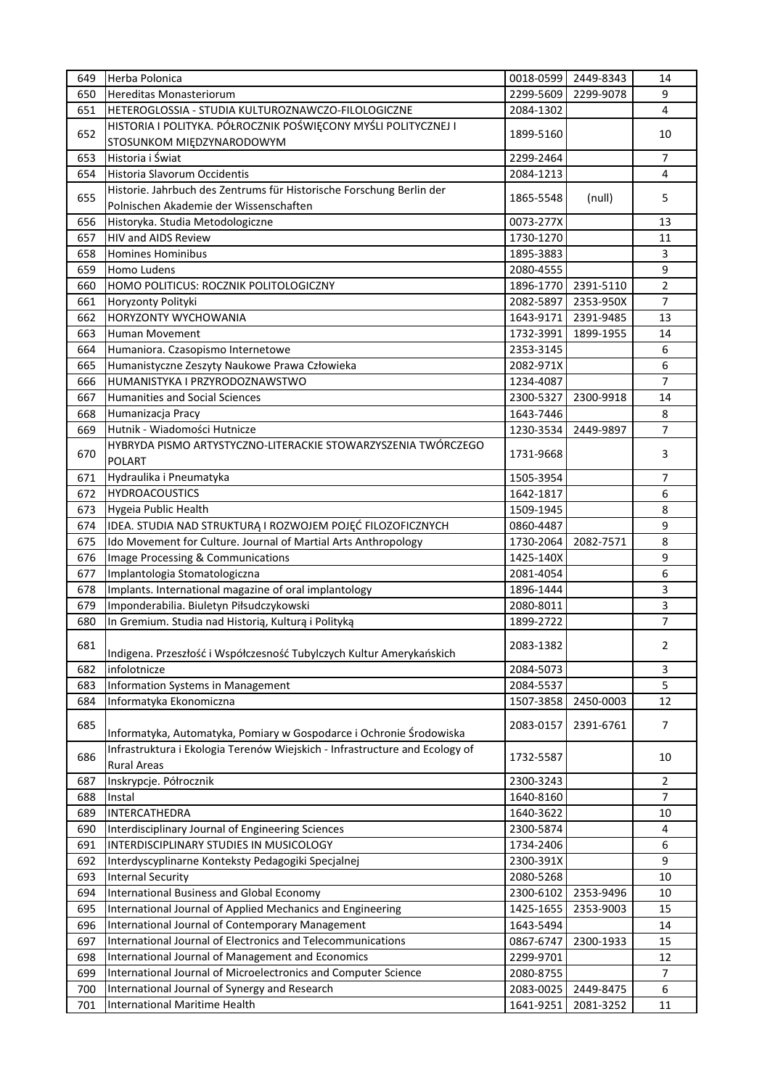| 649 | Herba Polonica                                                                                    | 0018-0599 | 2449-8343 | 14             |
|-----|---------------------------------------------------------------------------------------------------|-----------|-----------|----------------|
| 650 | Hereditas Monasteriorum                                                                           | 2299-5609 | 2299-9078 | 9              |
| 651 | HETEROGLOSSIA - STUDIA KULTUROZNAWCZO-FILOLOGICZNE                                                | 2084-1302 |           | $\overline{4}$ |
|     | HISTORIA I POLITYKA. PÓŁROCZNIK POŚWIĘCONY MYŚLI POLITYCZNEJ I                                    |           |           |                |
| 652 | STOSUNKOM MIĘDZYNARODOWYM                                                                         | 1899-5160 |           | 10             |
| 653 | Historia i Świat                                                                                  | 2299-2464 |           | $\overline{7}$ |
| 654 | Historia Slavorum Occidentis                                                                      | 2084-1213 |           | 4              |
|     | Historie. Jahrbuch des Zentrums für Historische Forschung Berlin der                              |           |           |                |
| 655 | Polnischen Akademie der Wissenschaften                                                            | 1865-5548 | (null)    | 5              |
| 656 | Historyka. Studia Metodologiczne                                                                  | 0073-277X |           | 13             |
| 657 | <b>HIV and AIDS Review</b>                                                                        | 1730-1270 |           | 11             |
|     |                                                                                                   |           |           |                |
| 658 | <b>Homines Hominibus</b>                                                                          | 1895-3883 |           | 3              |
| 659 | Homo Ludens                                                                                       | 2080-4555 |           | 9              |
| 660 | HOMO POLITICUS: ROCZNIK POLITOLOGICZNY                                                            | 1896-1770 | 2391-5110 | $\overline{2}$ |
| 661 | Horyzonty Polityki                                                                                | 2082-5897 | 2353-950X | $\overline{7}$ |
| 662 | <b>HORYZONTY WYCHOWANIA</b>                                                                       | 1643-9171 | 2391-9485 | 13             |
| 663 | <b>Human Movement</b>                                                                             | 1732-3991 | 1899-1955 | 14             |
| 664 | Humaniora. Czasopismo Internetowe                                                                 | 2353-3145 |           | 6              |
| 665 | Humanistyczne Zeszyty Naukowe Prawa Człowieka                                                     | 2082-971X |           | 6              |
| 666 | HUMANISTYKA I PRZYRODOZNAWSTWO                                                                    | 1234-4087 |           | 7              |
| 667 | <b>Humanities and Social Sciences</b>                                                             | 2300-5327 | 2300-9918 | 14             |
| 668 | Humanizacja Pracy                                                                                 | 1643-7446 |           | 8              |
| 669 | Hutnik - Wiadomości Hutnicze                                                                      | 1230-3534 | 2449-9897 | 7              |
|     | HYBRYDA PISMO ARTYSTYCZNO-LITERACKIE STOWARZYSZENIA TWÓRCZEGO                                     |           |           |                |
| 670 | <b>POLART</b>                                                                                     | 1731-9668 |           | 3              |
| 671 | Hydraulika i Pneumatyka                                                                           | 1505-3954 |           | 7              |
| 672 | <b>HYDROACOUSTICS</b>                                                                             | 1642-1817 |           | 6              |
| 673 | <b>Hygeia Public Health</b>                                                                       | 1509-1945 |           | 8              |
| 674 | IDEA. STUDIA NAD STRUKTURĄ I ROZWOJEM POJĘĆ FILOZOFICZNYCH                                        | 0860-4487 |           | 9              |
| 675 | Ido Movement for Culture. Journal of Martial Arts Anthropology                                    | 1730-2064 | 2082-7571 | 8              |
| 676 | Image Processing & Communications                                                                 | 1425-140X |           | 9              |
| 677 | Implantologia Stomatologiczna                                                                     | 2081-4054 |           | 6              |
| 678 | Implants. International magazine of oral implantology                                             | 1896-1444 |           | 3              |
| 679 | Imponderabilia. Biuletyn Piłsudczykowski                                                          |           |           | 3              |
|     | In Gremium. Studia nad Historią, Kulturą i Polityką                                               | 2080-8011 |           | $\overline{7}$ |
| 680 |                                                                                                   | 1899-2722 |           |                |
| 681 | Indigena. Przeszłość i Współczesność Tubylczych Kultur Amerykańskich                              | 2083-1382 |           | 2              |
| 682 | infolotnicze                                                                                      | 2084-5073 |           | 3              |
| 683 | Information Systems in Management                                                                 | 2084-5537 |           | 5              |
| 684 | Informatyka Ekonomiczna                                                                           | 1507-3858 | 2450-0003 | 12             |
| 685 | Informatyka, Automatyka, Pomiary w Gospodarce i Ochronie Środowiska                               | 2083-0157 | 2391-6761 | $\overline{7}$ |
| 686 | Infrastruktura i Ekologia Terenów Wiejskich - Infrastructure and Ecology of<br><b>Rural Areas</b> | 1732-5587 |           | 10             |
| 687 | Inskrypcje. Półrocznik                                                                            | 2300-3243 |           | $\overline{2}$ |
| 688 | Instal                                                                                            | 1640-8160 |           | $\overline{7}$ |
| 689 | INTERCATHEDRA                                                                                     | 1640-3622 |           | 10             |
| 690 | Interdisciplinary Journal of Engineering Sciences                                                 | 2300-5874 |           | 4              |
| 691 | INTERDISCIPLINARY STUDIES IN MUSICOLOGY                                                           | 1734-2406 |           | 6              |
| 692 | Interdyscyplinarne Konteksty Pedagogiki Specjalnej                                                | 2300-391X |           | 9              |
|     |                                                                                                   |           |           |                |
| 693 | <b>Internal Security</b>                                                                          | 2080-5268 |           | 10             |
| 694 | International Business and Global Economy                                                         | 2300-6102 | 2353-9496 | 10             |
| 695 | International Journal of Applied Mechanics and Engineering                                        | 1425-1655 | 2353-9003 | 15             |
| 696 | International Journal of Contemporary Management                                                  | 1643-5494 |           | 14             |
| 697 | International Journal of Electronics and Telecommunications                                       | 0867-6747 | 2300-1933 | 15             |
| 698 | International Journal of Management and Economics                                                 | 2299-9701 |           | 12             |
| 699 | International Journal of Microelectronics and Computer Science                                    | 2080-8755 |           | 7              |
| 700 | International Journal of Synergy and Research                                                     | 2083-0025 | 2449-8475 | 6              |
| 701 | International Maritime Health                                                                     | 1641-9251 | 2081-3252 | $11\,$         |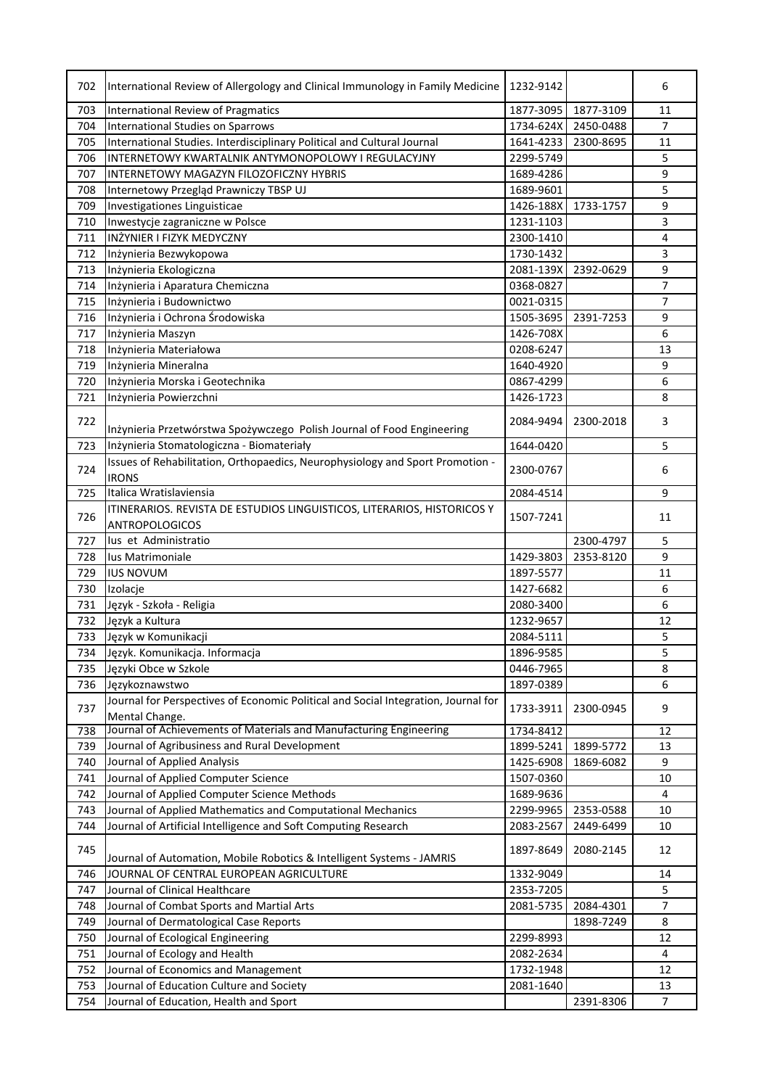| 702        | International Review of Allergology and Clinical Immunology in Family Medicine     | 1232-9142              |           | 6              |
|------------|------------------------------------------------------------------------------------|------------------------|-----------|----------------|
| 703        | International Review of Pragmatics                                                 | 1877-3095              | 1877-3109 | 11             |
| 704        | International Studies on Sparrows                                                  | 1734-624X              | 2450-0488 | 7              |
| 705        | International Studies. Interdisciplinary Political and Cultural Journal            | 1641-4233              | 2300-8695 | 11             |
| 706        | INTERNETOWY KWARTALNIK ANTYMONOPOLOWY I REGULACYJNY                                | 2299-5749              |           | 5              |
| 707        | INTERNETOWY MAGAZYN FILOZOFICZNY HYBRIS                                            | 1689-4286              |           | 9              |
| 708        | Internetowy Przegląd Prawniczy TBSP UJ                                             | 1689-9601              |           | 5              |
| 709        | Investigationes Linguisticae                                                       | 1426-188X              | 1733-1757 | 9              |
| 710        | Inwestycje zagraniczne w Polsce                                                    | 1231-1103              |           | 3              |
| 711        | INŻYNIER I FIZYK MEDYCZNY                                                          | 2300-1410              |           | 4              |
| 712        | Inżynieria Bezwykopowa                                                             | 1730-1432              |           | 3              |
| 713        | Inżynieria Ekologiczna                                                             | 2081-139X              | 2392-0629 | 9              |
| 714        | Inżynieria i Aparatura Chemiczna                                                   | 0368-0827              |           | $\overline{7}$ |
| 715        | Inżynieria i Budownictwo                                                           | 0021-0315              |           | $\overline{7}$ |
| 716        | Inżynieria i Ochrona Środowiska                                                    | 1505-3695              | 2391-7253 | 9              |
| 717        | Inżynieria Maszyn                                                                  | 1426-708X              |           | 6              |
| 718        | Inżynieria Materiałowa                                                             | 0208-6247              |           | 13             |
| 719        | Inżynieria Mineralna                                                               | 1640-4920              |           | 9              |
| 720        | Inżynieria Morska i Geotechnika                                                    | 0867-4299              |           | 6              |
| 721        | Inżynieria Powierzchni                                                             | 1426-1723              |           | 8              |
|            |                                                                                    |                        |           |                |
| 722        | Inżynieria Przetwórstwa Spożywczego Polish Journal of Food Engineering             | 2084-9494              | 2300-2018 | 3              |
| 723        | Inżynieria Stomatologiczna - Biomateriały                                          | 1644-0420              |           | 5              |
|            | Issues of Rehabilitation, Orthopaedics, Neurophysiology and Sport Promotion -      |                        |           |                |
| 724        | <b>IRONS</b>                                                                       | 2300-0767              |           | 6              |
| 725        | Italica Wratislaviensia                                                            | 2084-4514              |           | 9              |
|            | ITINERARIOS. REVISTA DE ESTUDIOS LINGUISTICOS, LITERARIOS, HISTORICOS Y            |                        |           |                |
| 726        | ANTROPOLOGICOS                                                                     | 1507-7241              |           | 11             |
| 727        | lus et Administratio                                                               |                        | 2300-4797 | 5              |
| 728        | lus Matrimoniale                                                                   | 1429-3803              | 2353-8120 | 9              |
| 729        | <b>IUS NOVUM</b>                                                                   | 1897-5577              |           | 11             |
| 730        | Izolacje                                                                           | 1427-6682              |           | 6              |
| 731        | Język - Szkoła - Religia                                                           | 2080-3400              |           | 6              |
| 732        | Język a Kultura                                                                    | 1232-9657              |           | 12             |
| 733        | Język w Komunikacji                                                                | 2084-5111              |           | 5              |
| 734        | Język. Komunikacja. Informacja                                                     | 1896-9585              |           | 5              |
| 735        | Języki Obce w Szkole                                                               | 0446-7965              |           | 8              |
| 736        | Językoznawstwo                                                                     | 1897-0389              |           | 6              |
|            | Journal for Perspectives of Economic Political and Social Integration, Journal for |                        |           |                |
| 737        | Mental Change.                                                                     | 1733-3911              | 2300-0945 | 9              |
| 738        | Journal of Achievements of Materials and Manufacturing Engineering                 | 1734-8412              |           | 12             |
| 739        | Journal of Agribusiness and Rural Development                                      | 1899-5241              | 1899-5772 | 13             |
| 740        | Journal of Applied Analysis                                                        | 1425-6908              | 1869-6082 | 9              |
| 741        | Journal of Applied Computer Science                                                | 1507-0360              |           | 10             |
| 742        | Journal of Applied Computer Science Methods                                        | 1689-9636              |           | 4              |
| 743        | Journal of Applied Mathematics and Computational Mechanics                         | 2299-9965              | 2353-0588 | 10             |
| 744        | Journal of Artificial Intelligence and Soft Computing Research                     | 2083-2567              | 2449-6499 | 10             |
|            |                                                                                    |                        |           |                |
| 745        | Journal of Automation, Mobile Robotics & Intelligent Systems - JAMRIS              | 1897-8649              | 2080-2145 | 12             |
|            | JOURNAL OF CENTRAL EUROPEAN AGRICULTURE                                            |                        |           |                |
| 746<br>747 | Journal of Clinical Healthcare                                                     | 1332-9049<br>2353-7205 |           | 14<br>5        |
|            | Journal of Combat Sports and Martial Arts                                          |                        |           | 7              |
| 748        |                                                                                    | 2081-5735              | 2084-4301 |                |
| 749        | Journal of Dermatological Case Reports                                             |                        | 1898-7249 | 8              |
| 750        | Journal of Ecological Engineering                                                  | 2299-8993              |           | 12             |
| 751        | Journal of Ecology and Health                                                      | 2082-2634              |           | 4              |
| 752        | Journal of Economics and Management                                                | 1732-1948              |           | 12             |
| 753        | Journal of Education Culture and Society                                           | 2081-1640              |           | 13             |
| 754        | Journal of Education, Health and Sport                                             |                        | 2391-8306 | 7              |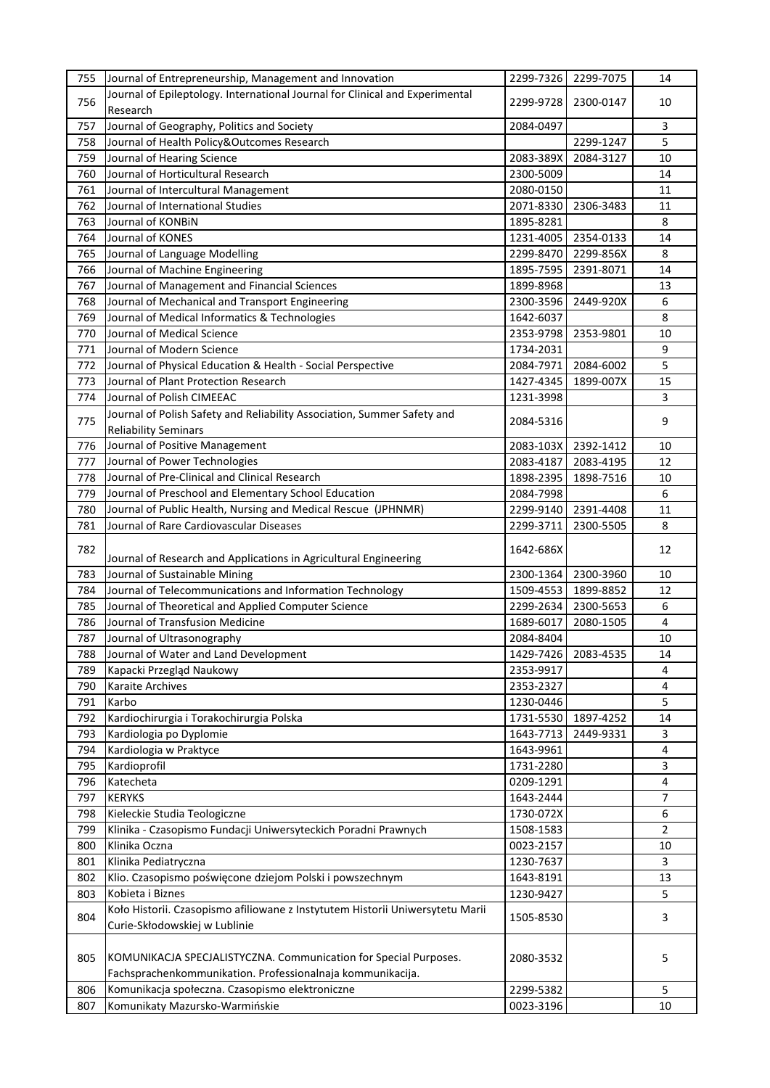| 755 | Journal of Entrepreneurship, Management and Innovation                        | 2299-7326 | 2299-7075 | 14             |
|-----|-------------------------------------------------------------------------------|-----------|-----------|----------------|
| 756 | Journal of Epileptology. International Journal for Clinical and Experimental  | 2299-9728 | 2300-0147 | 10             |
|     | Research                                                                      |           |           |                |
| 757 | Journal of Geography, Politics and Society                                    | 2084-0497 |           | 3              |
| 758 | Journal of Health Policy&Outcomes Research                                    |           | 2299-1247 | 5              |
| 759 | Journal of Hearing Science                                                    | 2083-389X | 2084-3127 | 10             |
| 760 | Journal of Horticultural Research                                             | 2300-5009 |           | 14             |
| 761 | Journal of Intercultural Management                                           | 2080-0150 |           | 11             |
| 762 | Journal of International Studies                                              | 2071-8330 | 2306-3483 | 11             |
| 763 | Journal of KONBIN                                                             | 1895-8281 |           | 8              |
| 764 | Journal of KONES                                                              | 1231-4005 | 2354-0133 | 14             |
| 765 | Journal of Language Modelling                                                 | 2299-8470 | 2299-856X | 8              |
| 766 | Journal of Machine Engineering                                                | 1895-7595 | 2391-8071 | 14             |
| 767 | Journal of Management and Financial Sciences                                  | 1899-8968 |           | 13             |
| 768 | Journal of Mechanical and Transport Engineering                               | 2300-3596 | 2449-920X | 6              |
| 769 | Journal of Medical Informatics & Technologies                                 | 1642-6037 |           | 8              |
| 770 | Journal of Medical Science                                                    | 2353-9798 | 2353-9801 | 10             |
| 771 | Journal of Modern Science                                                     | 1734-2031 |           | 9              |
| 772 | Journal of Physical Education & Health - Social Perspective                   | 2084-7971 | 2084-6002 | 5              |
| 773 | Journal of Plant Protection Research                                          | 1427-4345 | 1899-007X | 15             |
| 774 | Journal of Polish CIMEEAC                                                     | 1231-3998 |           | 3              |
|     | Journal of Polish Safety and Reliability Association, Summer Safety and       |           |           |                |
| 775 | <b>Reliability Seminars</b>                                                   | 2084-5316 |           | 9              |
| 776 | Journal of Positive Management                                                | 2083-103X | 2392-1412 | 10             |
| 777 | Journal of Power Technologies                                                 | 2083-4187 | 2083-4195 | 12             |
| 778 | Journal of Pre-Clinical and Clinical Research                                 | 1898-2395 | 1898-7516 | 10             |
| 779 | Journal of Preschool and Elementary School Education                          | 2084-7998 |           | 6              |
| 780 | Journal of Public Health, Nursing and Medical Rescue (JPHNMR)                 | 2299-9140 | 2391-4408 | 11             |
| 781 | Journal of Rare Cardiovascular Diseases                                       | 2299-3711 | 2300-5505 | 8              |
|     |                                                                               |           |           |                |
| 782 | Journal of Research and Applications in Agricultural Engineering              | 1642-686X |           | 12             |
| 783 | Journal of Sustainable Mining                                                 | 2300-1364 | 2300-3960 | 10             |
| 784 | Journal of Telecommunications and Information Technology                      | 1509-4553 | 1899-8852 | 12             |
| 785 | Journal of Theoretical and Applied Computer Science                           | 2299-2634 | 2300-5653 | 6              |
| 786 | Journal of Transfusion Medicine                                               | 1689-6017 | 2080-1505 | 4              |
| 787 | Journal of Ultrasonography                                                    | 2084-8404 |           | 10             |
| 788 | Journal of Water and Land Development                                         | 1429-7426 | 2083-4535 | 14             |
| 789 | Kapacki Przegląd Naukowy                                                      | 2353-9917 |           | 4              |
| 790 | Karaite Archives                                                              | 2353-2327 |           | 4              |
| 791 | Karbo                                                                         | 1230-0446 |           | 5              |
| 792 | Kardiochirurgia i Torakochirurgia Polska                                      | 1731-5530 | 1897-4252 | 14             |
| 793 | Kardiologia po Dyplomie                                                       | 1643-7713 | 2449-9331 | 3              |
| 794 | Kardiologia w Praktyce                                                        | 1643-9961 |           | $\overline{4}$ |
| 795 | Kardioprofil                                                                  | 1731-2280 |           | 3              |
| 796 | Katecheta                                                                     | 0209-1291 |           | $\overline{4}$ |
| 797 | <b>KERYKS</b>                                                                 | 1643-2444 |           | 7              |
| 798 | Kieleckie Studia Teologiczne                                                  | 1730-072X |           | 6              |
| 799 | Klinika - Czasopismo Fundacji Uniwersyteckich Poradni Prawnych                | 1508-1583 |           | $\overline{2}$ |
| 800 | Klinika Oczna                                                                 | 0023-2157 |           | 10             |
| 801 | Klinika Pediatryczna                                                          | 1230-7637 |           | 3              |
| 802 | Klio. Czasopismo poświęcone dziejom Polski i powszechnym                      | 1643-8191 |           | 13             |
| 803 | Kobieta i Biznes                                                              | 1230-9427 |           | 5              |
|     | Koło Historii. Czasopismo afiliowane z Instytutem Historii Uniwersytetu Marii |           |           |                |
| 804 | Curie-Skłodowskiej w Lublinie                                                 | 1505-8530 |           | 3              |
|     |                                                                               |           |           |                |
| 805 | KOMUNIKACJA SPECJALISTYCZNA. Communication for Special Purposes.              | 2080-3532 |           | 5              |
|     | Fachsprachenkommunikation. Professionalnaja kommunikacija.                    |           |           |                |
| 806 | Komunikacja społeczna. Czasopismo elektroniczne                               | 2299-5382 |           | 5              |
| 807 | Komunikaty Mazursko-Warmińskie                                                | 0023-3196 |           | 10             |
|     |                                                                               |           |           |                |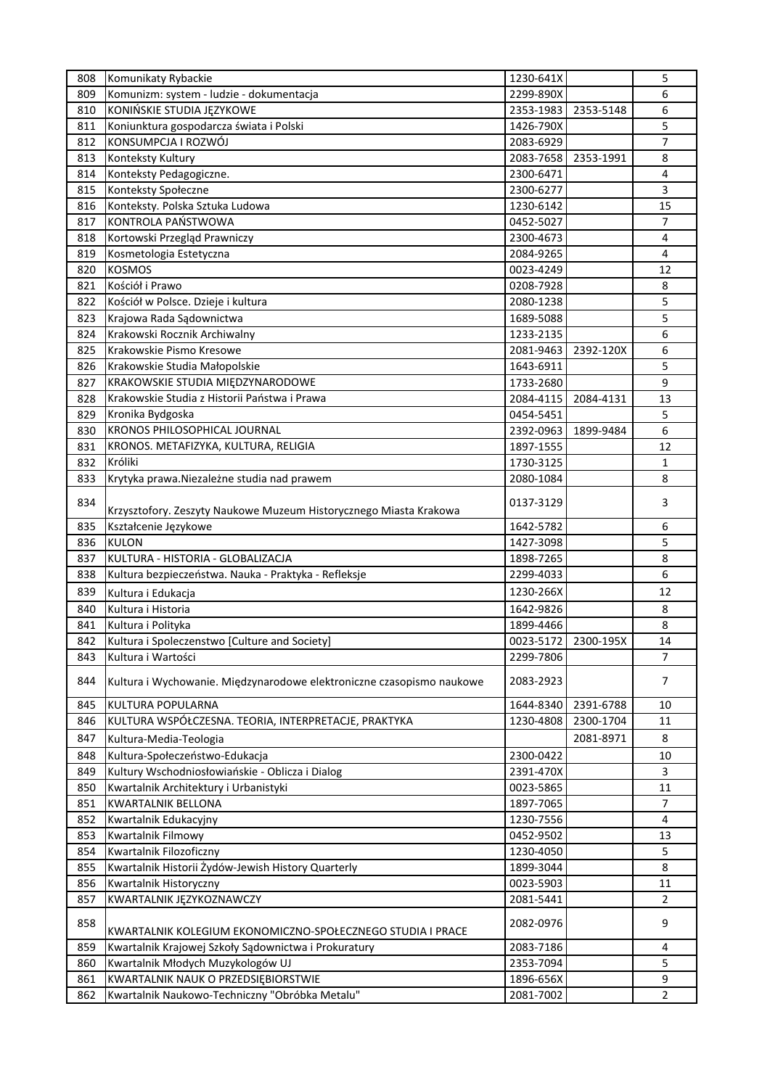| 808 | Komunikaty Rybackie                                                   | 1230-641X |                     | 5              |
|-----|-----------------------------------------------------------------------|-----------|---------------------|----------------|
| 809 | Komunizm: system - ludzie - dokumentacja                              | 2299-890X |                     | 6              |
| 810 | KONIŃSKIE STUDIA JĘZYKOWE                                             | 2353-1983 | 2353-5148           | 6              |
| 811 | Koniunktura gospodarcza świata i Polski                               | 1426-790X |                     | 5              |
| 812 | KONSUMPCJA I ROZWÓJ                                                   | 2083-6929 |                     | $\overline{7}$ |
| 813 | Konteksty Kultury                                                     | 2083-7658 | 2353-1991           | 8              |
| 814 | Konteksty Pedagogiczne.                                               | 2300-6471 |                     | 4              |
| 815 | Konteksty Społeczne                                                   | 2300-6277 |                     | 3              |
| 816 | Konteksty. Polska Sztuka Ludowa                                       | 1230-6142 |                     | 15             |
| 817 | KONTROLA PAŃSTWOWA                                                    | 0452-5027 |                     | $\overline{7}$ |
| 818 | Kortowski Przegląd Prawniczy                                          | 2300-4673 |                     | 4              |
| 819 | Kosmetologia Estetyczna                                               | 2084-9265 |                     | 4              |
| 820 | <b>KOSMOS</b>                                                         | 0023-4249 |                     | 12             |
| 821 | Kościół i Prawo                                                       | 0208-7928 |                     | 8              |
| 822 | Kościół w Polsce. Dzieje i kultura                                    | 2080-1238 |                     | 5              |
| 823 | Krajowa Rada Sądownictwa                                              | 1689-5088 |                     | 5              |
| 824 | Krakowski Rocznik Archiwalny                                          |           |                     | 6              |
|     |                                                                       | 1233-2135 |                     |                |
| 825 | Krakowskie Pismo Kresowe                                              | 2081-9463 | 2392-120X           | 6              |
| 826 | Krakowskie Studia Małopolskie                                         | 1643-6911 |                     | 5              |
| 827 | KRAKOWSKIE STUDIA MIĘDZYNARODOWE                                      | 1733-2680 |                     | 9              |
| 828 | Krakowskie Studia z Historii Państwa i Prawa                          | 2084-4115 | 2084-4131           | 13             |
| 829 | Kronika Bydgoska                                                      | 0454-5451 |                     | 5              |
| 830 | <b>KRONOS PHILOSOPHICAL JOURNAL</b>                                   | 2392-0963 | 1899-9484           | 6              |
| 831 | KRONOS. METAFIZYKA, KULTURA, RELIGIA                                  | 1897-1555 |                     | 12             |
| 832 | Króliki                                                               | 1730-3125 |                     | $\mathbf{1}$   |
| 833 | Krytyka prawa. Niezależne studia nad prawem                           | 2080-1084 |                     | 8              |
| 834 | Krzysztofory. Zeszyty Naukowe Muzeum Historycznego Miasta Krakowa     | 0137-3129 |                     | 3              |
| 835 | Kształcenie Językowe                                                  | 1642-5782 |                     | 6              |
| 836 | <b>KULON</b>                                                          | 1427-3098 |                     | 5              |
| 837 | KULTURA - HISTORIA - GLOBALIZACJA                                     | 1898-7265 |                     | 8              |
| 838 | Kultura bezpieczeństwa. Nauka - Praktyka - Refleksje                  | 2299-4033 |                     | 6              |
| 839 | Kultura i Edukacja                                                    | 1230-266X |                     | 12             |
| 840 | Kultura i Historia                                                    | 1642-9826 |                     | 8              |
| 841 | Kultura i Polityka                                                    | 1899-4466 |                     | 8              |
| 842 | Kultura i Spoleczenstwo [Culture and Society]                         |           | 0023-5172 2300-195X | 14             |
| 843 | Kultura i Wartości                                                    | 2299-7806 |                     | 7              |
| 844 | Kultura i Wychowanie. Międzynarodowe elektroniczne czasopismo naukowe | 2083-2923 |                     | 7              |
|     |                                                                       |           |                     |                |
| 845 | KULTURA POPULARNA                                                     | 1644-8340 | 2391-6788           | 10             |
| 846 | KULTURA WSPÓŁCZESNA. TEORIA, INTERPRETACJE, PRAKTYKA                  | 1230-4808 | 2300-1704           | 11             |
| 847 | Kultura-Media-Teologia                                                |           | 2081-8971           | 8              |
| 848 | Kultura-Społeczeństwo-Edukacja                                        | 2300-0422 |                     | 10             |
| 849 | Kultury Wschodniosłowiańskie - Oblicza i Dialog                       | 2391-470X |                     | 3              |
| 850 | Kwartalnik Architektury i Urbanistyki                                 | 0023-5865 |                     | 11             |
| 851 | <b>KWARTALNIK BELLONA</b>                                             | 1897-7065 |                     | $\overline{7}$ |
| 852 | Kwartalnik Edukacyjny                                                 | 1230-7556 |                     | 4              |
| 853 | Kwartalnik Filmowy                                                    | 0452-9502 |                     | 13             |
| 854 | Kwartalnik Filozoficzny                                               | 1230-4050 |                     | 5              |
| 855 | Kwartalnik Historii Żydów-Jewish History Quarterly                    | 1899-3044 |                     | 8              |
| 856 | Kwartalnik Historyczny                                                | 0023-5903 |                     | 11             |
| 857 | KWARTALNIK JĘZYKOZNAWCZY                                              | 2081-5441 |                     | $\overline{2}$ |
| 858 | KWARTALNIK KOLEGIUM EKONOMICZNO-SPOŁECZNEGO STUDIA I PRACE            | 2082-0976 |                     | 9              |
| 859 | Kwartalnik Krajowej Szkoły Sądownictwa i Prokuratury                  | 2083-7186 |                     | 4              |
| 860 | Kwartalnik Młodych Muzykologów UJ                                     | 2353-7094 |                     | 5              |
| 861 | KWARTALNIK NAUK O PRZEDSIĘBIORSTWIE                                   | 1896-656X |                     | 9              |
| 862 | Kwartalnik Naukowo-Techniczny "Obróbka Metalu"                        | 2081-7002 |                     | $\overline{2}$ |
|     |                                                                       |           |                     |                |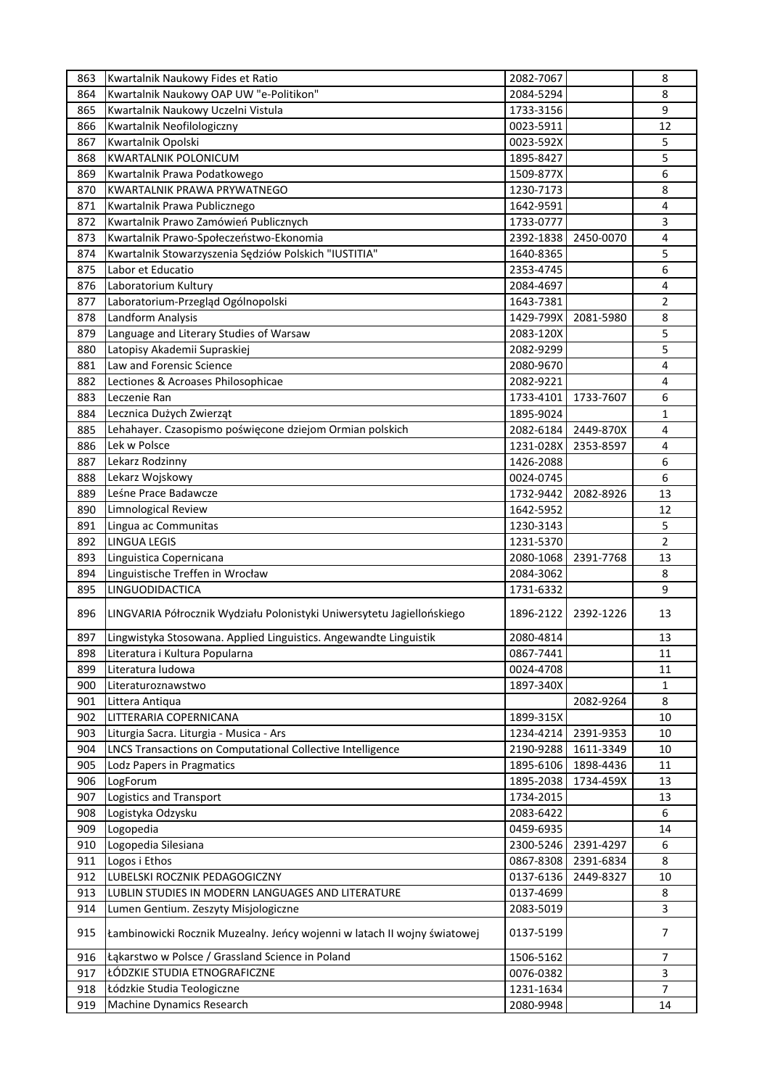| 863 | Kwartalnik Naukowy Fides et Ratio                                        | 2082-7067 |           | 8              |
|-----|--------------------------------------------------------------------------|-----------|-----------|----------------|
| 864 | Kwartalnik Naukowy OAP UW "e-Politikon"                                  | 2084-5294 |           | 8              |
| 865 | Kwartalnik Naukowy Uczelni Vistula                                       | 1733-3156 |           | 9              |
| 866 | Kwartalnik Neofilologiczny                                               | 0023-5911 |           | 12             |
| 867 | Kwartalnik Opolski                                                       | 0023-592X |           | 5              |
| 868 | <b>KWARTALNIK POLONICUM</b>                                              | 1895-8427 |           | 5              |
| 869 | Kwartalnik Prawa Podatkowego                                             | 1509-877X |           | 6              |
| 870 | <b>KWARTALNIK PRAWA PRYWATNEGO</b>                                       | 1230-7173 |           | 8              |
| 871 | Kwartalnik Prawa Publicznego                                             | 1642-9591 |           | 4              |
| 872 | Kwartalnik Prawo Zamówień Publicznych                                    | 1733-0777 |           | 3              |
| 873 | Kwartalnik Prawo-Społeczeństwo-Ekonomia                                  | 2392-1838 | 2450-0070 | 4              |
| 874 | Kwartalnik Stowarzyszenia Sędziów Polskich "IUSTITIA"                    | 1640-8365 |           | 5              |
|     |                                                                          |           |           |                |
| 875 | Labor et Educatio                                                        | 2353-4745 |           | 6              |
| 876 | Laboratorium Kultury                                                     | 2084-4697 |           | 4              |
| 877 | Laboratorium-Przegląd Ogólnopolski                                       | 1643-7381 |           | 2              |
| 878 | Landform Analysis                                                        | 1429-799X | 2081-5980 | 8              |
| 879 | Language and Literary Studies of Warsaw                                  | 2083-120X |           | 5              |
| 880 | Latopisy Akademii Supraskiej                                             | 2082-9299 |           | 5              |
| 881 | Law and Forensic Science                                                 | 2080-9670 |           | 4              |
| 882 | Lectiones & Acroases Philosophicae                                       | 2082-9221 |           | 4              |
| 883 | Leczenie Ran                                                             | 1733-4101 | 1733-7607 | 6              |
| 884 | Lecznica Dużych Zwierząt                                                 | 1895-9024 |           | 1              |
| 885 | Lehahayer. Czasopismo poświęcone dziejom Ormian polskich                 | 2082-6184 | 2449-870X | 4              |
| 886 | Lek w Polsce                                                             | 1231-028X | 2353-8597 | 4              |
| 887 | Lekarz Rodzinny                                                          | 1426-2088 |           | 6              |
| 888 | Lekarz Wojskowy                                                          | 0024-0745 |           | 6              |
| 889 | Leśne Prace Badawcze                                                     | 1732-9442 | 2082-8926 | 13             |
| 890 | Limnological Review                                                      | 1642-5952 |           | 12             |
| 891 | Lingua ac Communitas                                                     | 1230-3143 |           | 5              |
| 892 | <b>LINGUA LEGIS</b>                                                      | 1231-5370 |           | $\overline{2}$ |
| 893 | Linguistica Copernicana                                                  | 2080-1068 | 2391-7768 | 13             |
| 894 | Linguistische Treffen in Wrocław                                         | 2084-3062 |           | 8              |
| 895 | LINGUODIDACTICA                                                          | 1731-6332 |           | 9              |
|     |                                                                          |           |           |                |
| 896 | LINGVARIA Półrocznik Wydziału Polonistyki Uniwersytetu Jagiellońskiego   | 1896-2122 | 2392-1226 | 13             |
| 897 | Lingwistyka Stosowana. Applied Linguistics. Angewandte Linguistik        | 2080-4814 |           | 13             |
| 898 | Literatura i Kultura Popularna                                           | 0867-7441 |           | 11             |
| 899 | Literatura ludowa                                                        | 0024-4708 |           | 11             |
| 900 | Literaturoznawstwo                                                       | 1897-340X |           | 1              |
| 901 | Littera Antiqua                                                          |           | 2082-9264 | 8              |
| 902 | LITTERARIA COPERNICANA                                                   | 1899-315X |           | 10             |
| 903 | Liturgia Sacra. Liturgia - Musica - Ars                                  | 1234-4214 | 2391-9353 | 10             |
| 904 | LNCS Transactions on Computational Collective Intelligence               | 2190-9288 | 1611-3349 | 10             |
| 905 | Lodz Papers in Pragmatics                                                | 1895-6106 | 1898-4436 | 11             |
| 906 | LogForum                                                                 | 1895-2038 | 1734-459X | 13             |
| 907 | Logistics and Transport                                                  | 1734-2015 |           | 13             |
| 908 | Logistyka Odzysku                                                        | 2083-6422 |           | 6              |
| 909 | Logopedia                                                                | 0459-6935 |           | 14             |
| 910 | Logopedia Silesiana                                                      | 2300-5246 | 2391-4297 | 6              |
| 911 | Logos i Ethos                                                            | 0867-8308 | 2391-6834 | 8              |
| 912 | LUBELSKI ROCZNIK PEDAGOGICZNY                                            | 0137-6136 | 2449-8327 | 10             |
| 913 | LUBLIN STUDIES IN MODERN LANGUAGES AND LITERATURE                        | 0137-4699 |           | 8              |
|     |                                                                          |           |           |                |
| 914 | Lumen Gentium. Zeszyty Misjologiczne                                     | 2083-5019 |           | 3              |
| 915 | Łambinowicki Rocznik Muzealny. Jeńcy wojenni w latach II wojny światowej | 0137-5199 |           | 7              |
| 916 | Łąkarstwo w Polsce / Grassland Science in Poland                         | 1506-5162 |           | 7              |
| 917 | ŁÓDZKIE STUDIA ETNOGRAFICZNE                                             | 0076-0382 |           | 3              |
| 918 | Łódzkie Studia Teologiczne                                               | 1231-1634 |           | 7              |
| 919 | Machine Dynamics Research                                                | 2080-9948 |           | 14             |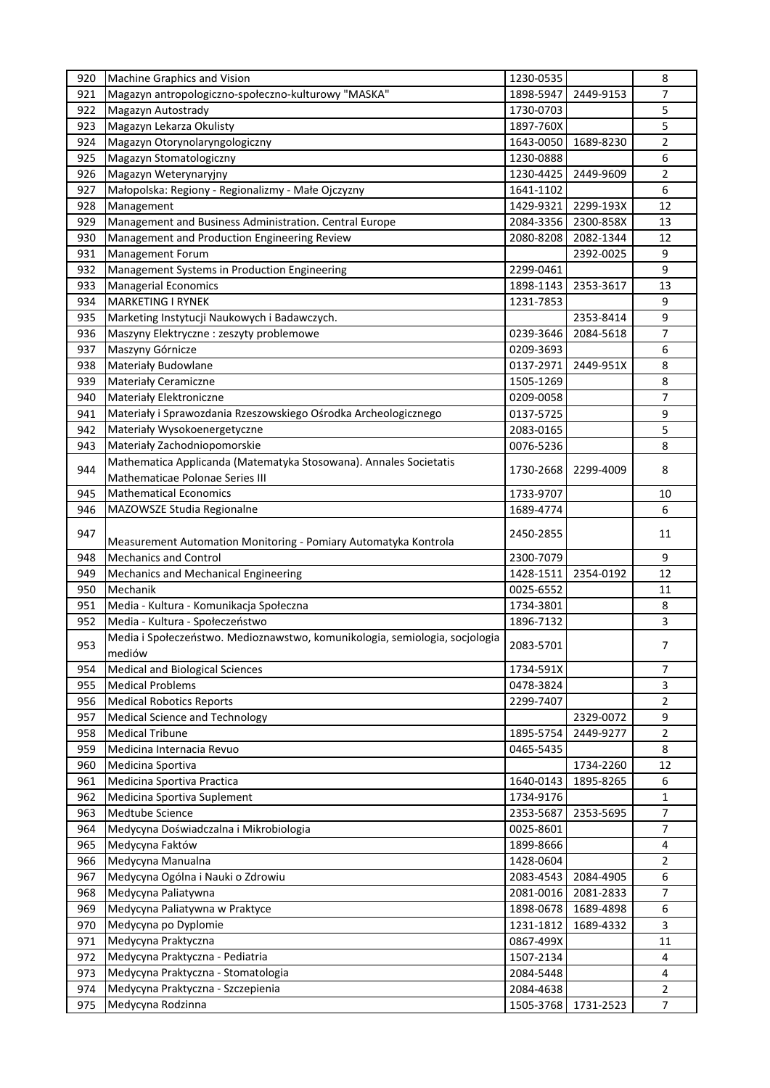| 920 | Machine Graphics and Vision                                                 | 1230-0535              |           | 8              |
|-----|-----------------------------------------------------------------------------|------------------------|-----------|----------------|
| 921 | Magazyn antropologiczno-społeczno-kulturowy "MASKA"                         | 1898-5947              | 2449-9153 | 7              |
| 922 | Magazyn Autostrady                                                          | 1730-0703              |           | 5              |
| 923 | Magazyn Lekarza Okulisty                                                    | 1897-760X              |           | 5              |
| 924 | Magazyn Otorynolaryngologiczny                                              | 1643-0050              | 1689-8230 | 2              |
| 925 | Magazyn Stomatologiczny                                                     | 1230-0888              |           | 6              |
| 926 | Magazyn Weterynaryjny                                                       | 1230-4425              | 2449-9609 | 2              |
| 927 | Małopolska: Regiony - Regionalizmy - Małe Ojczyzny                          | 1641-1102              |           | 6              |
| 928 | Management                                                                  | 1429-9321              | 2299-193X | 12             |
| 929 | Management and Business Administration. Central Europe                      | 2084-3356              | 2300-858X | 13             |
| 930 | Management and Production Engineering Review                                | 2080-8208              | 2082-1344 | 12             |
| 931 |                                                                             |                        | 2392-0025 | 9              |
|     | Management Forum                                                            |                        |           |                |
| 932 | Management Systems in Production Engineering                                | 2299-0461              |           | 9              |
| 933 | <b>Managerial Economics</b>                                                 | 1898-1143              | 2353-3617 | 13             |
| 934 | <b>MARKETING I RYNEK</b>                                                    | 1231-7853              |           | 9              |
| 935 | Marketing Instytucji Naukowych i Badawczych.                                |                        | 2353-8414 | 9              |
| 936 | Maszyny Elektryczne : zeszyty problemowe                                    | 0239-3646              | 2084-5618 | 7              |
| 937 | Maszyny Górnicze                                                            | 0209-3693              |           | 6              |
| 938 | Materiały Budowlane                                                         | 0137-2971              | 2449-951X | 8              |
| 939 | <b>Materialy Ceramiczne</b>                                                 | 1505-1269              |           | 8              |
| 940 | Materiały Elektroniczne                                                     | 0209-0058              |           | 7              |
| 941 | Materiały i Sprawozdania Rzeszowskiego Ośrodka Archeologicznego             | 0137-5725              |           | 9              |
| 942 | Materiały Wysokoenergetyczne                                                | 2083-0165              |           | 5              |
| 943 | Materiały Zachodniopomorskie                                                | 0076-5236              |           | 8              |
|     | Mathematica Applicanda (Matematyka Stosowana). Annales Societatis           |                        |           |                |
| 944 | Mathematicae Polonae Series III                                             | 1730-2668              | 2299-4009 | 8              |
| 945 | <b>Mathematical Economics</b>                                               | 1733-9707              |           | 10             |
| 946 | MAZOWSZE Studia Regionalne                                                  | 1689-4774              |           | 6              |
|     |                                                                             |                        |           |                |
| 947 | Measurement Automation Monitoring - Pomiary Automatyka Kontrola             | 2450-2855              |           | 11             |
| 948 | <b>Mechanics and Control</b>                                                | 2300-7079              |           | 9              |
| 949 |                                                                             |                        | 2354-0192 | 12             |
| 950 | Mechanics and Mechanical Engineering<br>Mechanik                            | 1428-1511<br>0025-6552 |           | 11             |
|     |                                                                             |                        |           |                |
| 951 | Media - Kultura - Komunikacja Społeczna                                     | 1734-3801              |           | 8              |
| 952 | Media - Kultura - Społeczeństwo                                             | 1896-7132              |           | 3              |
| 953 | Media i Społeczeństwo. Medioznawstwo, komunikologia, semiologia, socjologia | 2083-5701              |           | 7              |
|     | mediów                                                                      |                        |           |                |
| 954 | <b>Medical and Biological Sciences</b>                                      | 1734-591X              |           | 7              |
| 955 | <b>Medical Problems</b>                                                     | 0478-3824              |           | 3              |
| 956 | <b>Medical Robotics Reports</b>                                             | 2299-7407              |           | 2              |
| 957 | <b>Medical Science and Technology</b>                                       |                        | 2329-0072 | 9              |
| 958 | <b>Medical Tribune</b>                                                      | 1895-5754              | 2449-9277 | 2              |
| 959 | Medicina Internacia Revuo                                                   | 0465-5435              |           | 8              |
| 960 | Medicina Sportiva                                                           |                        | 1734-2260 | 12             |
| 961 | Medicina Sportiva Practica                                                  | 1640-0143              | 1895-8265 | 6              |
| 962 | Medicina Sportiva Suplement                                                 | 1734-9176              |           | $\mathbf{1}$   |
| 963 | Medtube Science                                                             | 2353-5687              | 2353-5695 | 7              |
| 964 | Medycyna Doświadczalna i Mikrobiologia                                      | 0025-8601              |           | 7              |
| 965 | Medycyna Faktów                                                             | 1899-8666              |           | 4              |
| 966 | Medycyna Manualna                                                           | 1428-0604              |           | 2              |
| 967 | Medycyna Ogólna i Nauki o Zdrowiu                                           | 2083-4543              | 2084-4905 | 6              |
| 968 | Medycyna Paliatywna                                                         | 2081-0016              | 2081-2833 | 7              |
| 969 | Medycyna Paliatywna w Praktyce                                              | 1898-0678              | 1689-4898 | 6              |
| 970 | Medycyna po Dyplomie                                                        | 1231-1812              | 1689-4332 | 3              |
| 971 | Medycyna Praktyczna                                                         | 0867-499X              |           | 11             |
| 972 | Medycyna Praktyczna - Pediatria                                             | 1507-2134              |           | 4              |
| 973 |                                                                             | 2084-5448              |           |                |
|     | Medycyna Praktyczna - Stomatologia                                          |                        |           | 4              |
| 974 | Medycyna Praktyczna - Szczepienia                                           | 2084-4638              |           | 2              |
| 975 | Medycyna Rodzinna                                                           | 1505-3768              | 1731-2523 | $\overline{7}$ |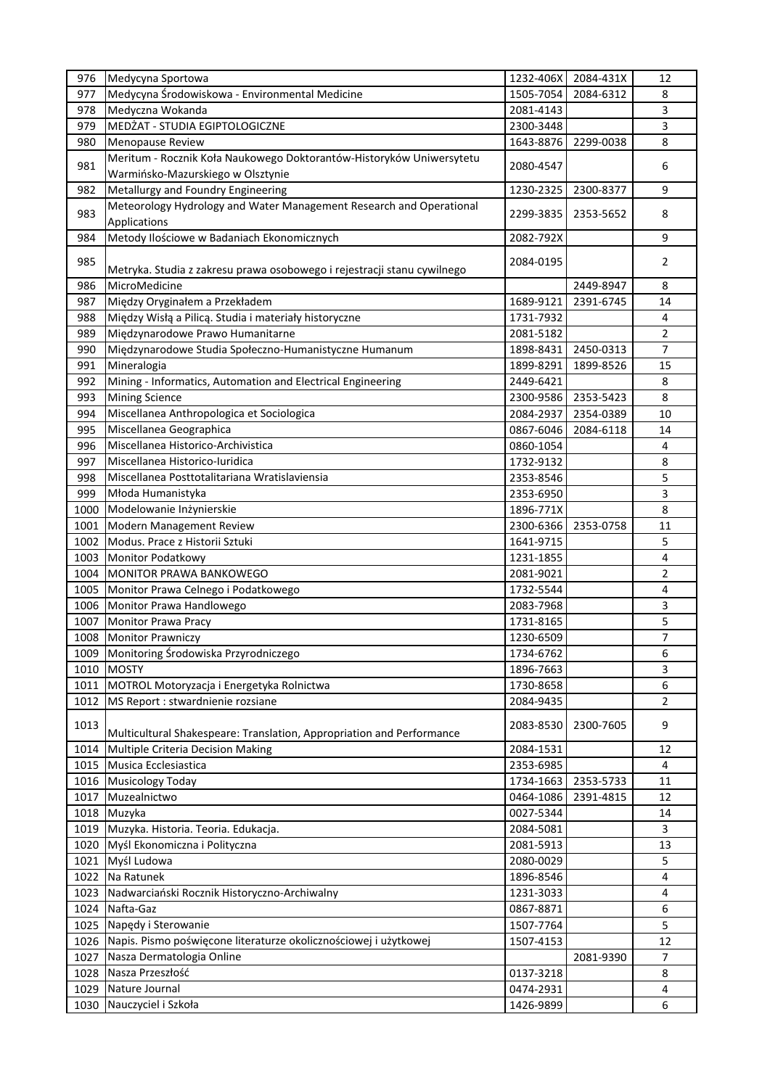| 976  | Medycyna Sportowa                                                                                         | 1232-406X | 2084-431X | 12             |
|------|-----------------------------------------------------------------------------------------------------------|-----------|-----------|----------------|
| 977  | Medycyna Środowiskowa - Environmental Medicine                                                            | 1505-7054 | 2084-6312 | 8              |
| 978  | Medyczna Wokanda                                                                                          | 2081-4143 |           | 3              |
| 979  | MEDŻAT - STUDIA EGIPTOLOGICZNE                                                                            | 2300-3448 |           | 3              |
| 980  | <b>Menopause Review</b>                                                                                   | 1643-8876 | 2299-0038 | 8              |
| 981  | Meritum - Rocznik Koła Naukowego Doktorantów-Historyków Uniwersytetu<br>Warmińsko-Mazurskiego w Olsztynie | 2080-4547 |           | 6              |
| 982  | Metallurgy and Foundry Engineering                                                                        | 1230-2325 | 2300-8377 | 9              |
|      | Meteorology Hydrology and Water Management Research and Operational                                       |           |           |                |
| 983  | Applications                                                                                              | 2299-3835 | 2353-5652 | 8              |
| 984  | Metody Ilościowe w Badaniach Ekonomicznych                                                                | 2082-792X |           | 9              |
| 985  | Metryka. Studia z zakresu prawa osobowego i rejestracji stanu cywilnego                                   | 2084-0195 |           | 2              |
| 986  | MicroMedicine                                                                                             |           | 2449-8947 | 8              |
| 987  | Między Oryginałem a Przekładem                                                                            | 1689-9121 | 2391-6745 | 14             |
| 988  | Między Wisłą a Pilicą. Studia i materiały historyczne                                                     | 1731-7932 |           | 4              |
| 989  | Międzynarodowe Prawo Humanitarne                                                                          | 2081-5182 |           | $\overline{2}$ |
| 990  | Międzynarodowe Studia Społeczno-Humanistyczne Humanum                                                     | 1898-8431 | 2450-0313 | 7              |
| 991  | Mineralogia                                                                                               | 1899-8291 | 1899-8526 | 15             |
| 992  | Mining - Informatics, Automation and Electrical Engineering                                               | 2449-6421 |           | 8              |
| 993  | <b>Mining Science</b>                                                                                     | 2300-9586 | 2353-5423 | 8              |
| 994  | Miscellanea Anthropologica et Sociologica                                                                 | 2084-2937 | 2354-0389 | 10             |
| 995  | Miscellanea Geographica                                                                                   | 0867-6046 | 2084-6118 | 14             |
| 996  | Miscellanea Historico-Archivistica                                                                        | 0860-1054 |           | 4              |
| 997  | Miscellanea Historico-luridica                                                                            | 1732-9132 |           | 8              |
| 998  |                                                                                                           |           |           | 5              |
|      | Miscellanea Posttotalitariana Wratislaviensia                                                             | 2353-8546 |           |                |
| 999  | Młoda Humanistyka                                                                                         | 2353-6950 |           | 3              |
| 1000 | Modelowanie Inżynierskie                                                                                  | 1896-771X |           | 8              |
| 1001 | Modern Management Review                                                                                  | 2300-6366 | 2353-0758 | 11             |
| 1002 | Modus. Prace z Historii Sztuki                                                                            | 1641-9715 |           | 5              |
| 1003 | Monitor Podatkowy                                                                                         | 1231-1855 |           | $\overline{4}$ |
| 1004 | MONITOR PRAWA BANKOWEGO                                                                                   | 2081-9021 |           | 2              |
| 1005 | Monitor Prawa Celnego i Podatkowego                                                                       | 1732-5544 |           | 4              |
| 1006 | Monitor Prawa Handlowego                                                                                  | 2083-7968 |           | 3              |
| 1007 | <b>Monitor Prawa Pracy</b>                                                                                | 1731-8165 |           | 5              |
| 1008 | <b>Monitor Prawniczy</b>                                                                                  | 1230-6509 |           | $\overline{7}$ |
| 1009 | Monitoring Środowiska Przyrodniczego                                                                      | 1734-6762 |           | 6              |
| 1010 | <b>MOSTY</b>                                                                                              | 1896-7663 |           | 3              |
| 1011 | MOTROL Motoryzacja i Energetyka Rolnictwa                                                                 | 1730-8658 |           | 6              |
| 1012 | MS Report : stwardnienie rozsiane                                                                         | 2084-9435 |           | 2              |
| 1013 | Multicultural Shakespeare: Translation, Appropriation and Performance                                     | 2083-8530 | 2300-7605 | 9              |
| 1014 | Multiple Criteria Decision Making                                                                         | 2084-1531 |           | 12             |
| 1015 | Musica Ecclesiastica                                                                                      | 2353-6985 |           | $\overline{4}$ |
| 1016 | <b>Musicology Today</b>                                                                                   | 1734-1663 | 2353-5733 | 11             |
| 1017 | Muzealnictwo                                                                                              | 0464-1086 | 2391-4815 | 12             |
| 1018 | Muzyka                                                                                                    | 0027-5344 |           | 14             |
| 1019 | Muzyka. Historia. Teoria. Edukacja.                                                                       | 2084-5081 |           | 3              |
| 1020 | Myśl Ekonomiczna i Polityczna                                                                             | 2081-5913 |           | 13             |
| 1021 | Myśl Ludowa                                                                                               | 2080-0029 |           | 5              |
| 1022 | Na Ratunek                                                                                                | 1896-8546 |           | 4              |
| 1023 | Nadwarciański Rocznik Historyczno-Archiwalny                                                              | 1231-3033 |           | 4              |
| 1024 | Nafta-Gaz                                                                                                 | 0867-8871 |           | 6              |
| 1025 | Napędy i Sterowanie                                                                                       | 1507-7764 |           | 5              |
| 1026 | Napis. Pismo poświęcone literaturze okolicznościowej i użytkowej                                          | 1507-4153 |           | 12             |
| 1027 | Nasza Dermatologia Online                                                                                 |           | 2081-9390 | 7              |
| 1028 | Nasza Przeszłość                                                                                          | 0137-3218 |           | 8              |
| 1029 | Nature Journal                                                                                            | 0474-2931 |           | 4              |
| 1030 | Nauczyciel i Szkoła                                                                                       | 1426-9899 |           | 6              |
|      |                                                                                                           |           |           |                |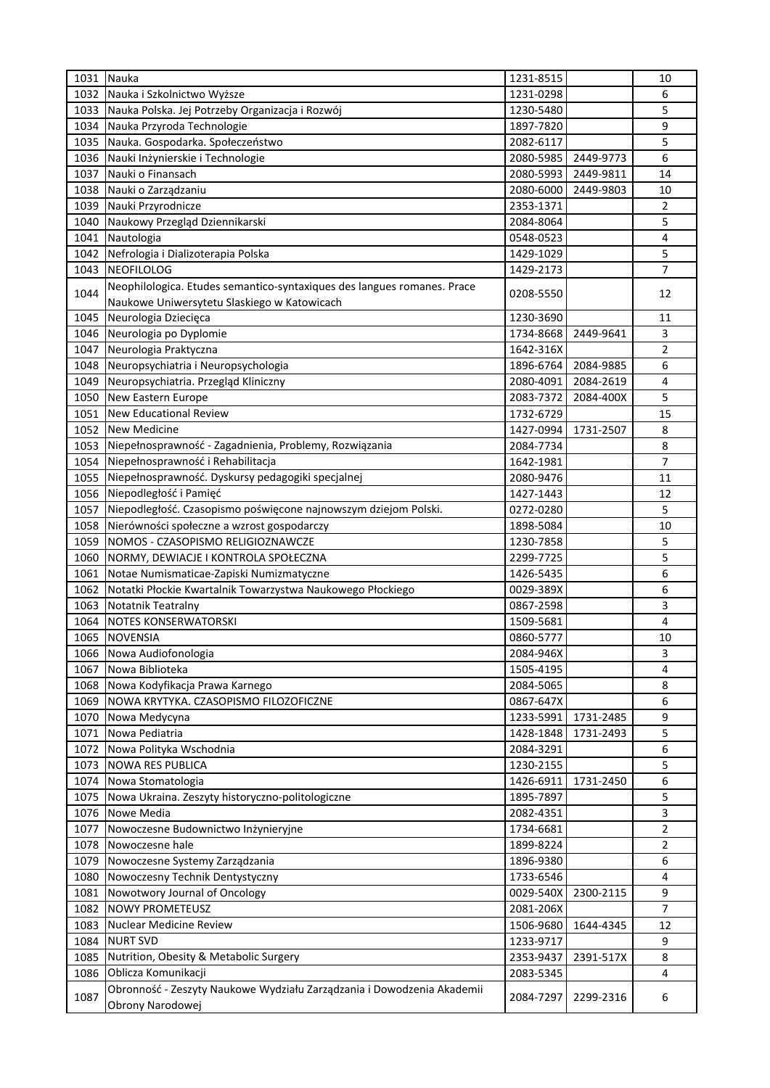| 1031 | Nauka                                                                   | 1231-8515 |           | 10             |
|------|-------------------------------------------------------------------------|-----------|-----------|----------------|
| 1032 | Nauka i Szkolnictwo Wyższe                                              | 1231-0298 |           | 6              |
| 1033 | Nauka Polska. Jej Potrzeby Organizacja i Rozwój                         | 1230-5480 |           | 5              |
| 1034 | Nauka Przyroda Technologie                                              | 1897-7820 |           | 9              |
| 1035 | Nauka. Gospodarka. Społeczeństwo                                        | 2082-6117 |           | 5              |
| 1036 | Nauki Inżynierskie i Technologie                                        | 2080-5985 | 2449-9773 | 6              |
| 1037 | Nauki o Finansach                                                       | 2080-5993 | 2449-9811 | 14             |
| 1038 | Nauki o Zarządzaniu                                                     | 2080-6000 | 2449-9803 | 10             |
| 1039 | Nauki Przyrodnicze                                                      | 2353-1371 |           | 2              |
| 1040 | Naukowy Przegląd Dziennikarski                                          | 2084-8064 |           | 5              |
| 1041 | Nautologia                                                              | 0548-0523 |           | 4              |
| 1042 | Nefrologia i Dializoterapia Polska                                      | 1429-1029 |           | 5              |
| 1043 | <b>NEOFILOLOG</b>                                                       | 1429-2173 |           | $\overline{7}$ |
|      | Neophilologica. Etudes semantico-syntaxiques des langues romanes. Prace |           |           |                |
| 1044 | Naukowe Uniwersytetu Slaskiego w Katowicach                             | 0208-5550 |           | 12             |
| 1045 | Neurologia Dziecięca                                                    | 1230-3690 |           | 11             |
| 1046 | Neurologia po Dyplomie                                                  | 1734-8668 | 2449-9641 | 3              |
| 1047 | Neurologia Praktyczna                                                   | 1642-316X |           | 2              |
| 1048 | Neuropsychiatria i Neuropsychologia                                     | 1896-6764 | 2084-9885 | 6              |
| 1049 | Neuropsychiatria. Przegląd Kliniczny                                    | 2080-4091 | 2084-2619 | 4              |
| 1050 | New Eastern Europe                                                      | 2083-7372 | 2084-400X | 5              |
| 1051 | <b>New Educational Review</b>                                           | 1732-6729 |           | 15             |
| 1052 | <b>New Medicine</b>                                                     | 1427-0994 | 1731-2507 | 8              |
| 1053 | Niepełnosprawność - Zagadnienia, Problemy, Rozwiązania                  | 2084-7734 |           | 8              |
| 1054 | Niepełnosprawność i Rehabilitacja                                       | 1642-1981 |           | 7              |
|      |                                                                         | 2080-9476 |           | 11             |
| 1055 | Niepełnosprawność. Dyskursy pedagogiki specjalnej                       |           |           |                |
| 1056 | Niepodległość i Pamięć                                                  | 1427-1443 |           | 12             |
| 1057 | Niepodległość. Czasopismo poświęcone najnowszym dziejom Polski.         | 0272-0280 |           | 5              |
| 1058 | Nierówności społeczne a wzrost gospodarczy                              | 1898-5084 |           | 10             |
| 1059 | NOMOS - CZASOPISMO RELIGIOZNAWCZE                                       | 1230-7858 |           | 5              |
| 1060 | NORMY, DEWIACJE I KONTROLA SPOŁECZNA                                    | 2299-7725 |           | 5              |
| 1061 | Notae Numismaticae-Zapiski Numizmatyczne                                | 1426-5435 |           | 6              |
| 1062 | Notatki Płockie Kwartalnik Towarzystwa Naukowego Płockiego              | 0029-389X |           | 6              |
| 1063 | Notatnik Teatralny                                                      | 0867-2598 |           | 3              |
| 1064 | <b>NOTES KONSERWATORSKI</b>                                             | 1509-5681 |           | 4              |
| 1065 | <b>NOVENSIA</b>                                                         | 0860-5777 |           | 10             |
| 1066 | Nowa Audiofonologia                                                     | 2084-946X |           | 3              |
| 1067 | Nowa Biblioteka                                                         | 1505-4195 |           | 4              |
| 1068 | Nowa Kodyfikacja Prawa Karnego                                          | 2084-5065 |           | 8              |
| 1069 | NOWA KRYTYKA. CZASOPISMO FILOZOFICZNE                                   | 0867-647X |           | 6              |
| 1070 | Nowa Medycyna                                                           | 1233-5991 | 1731-2485 | 9              |
| 1071 | Nowa Pediatria                                                          | 1428-1848 | 1731-2493 | 5              |
| 1072 | Nowa Polityka Wschodnia                                                 | 2084-3291 |           | 6              |
| 1073 | <b>NOWA RES PUBLICA</b>                                                 | 1230-2155 |           | 5              |
| 1074 | Nowa Stomatologia                                                       | 1426-6911 | 1731-2450 | 6              |
| 1075 | Nowa Ukraina. Zeszyty historyczno-politologiczne                        | 1895-7897 |           | 5              |
| 1076 | Nowe Media                                                              | 2082-4351 |           | 3              |
| 1077 | Nowoczesne Budownictwo Inżynieryjne                                     | 1734-6681 |           | 2              |
| 1078 | Nowoczesne hale                                                         | 1899-8224 |           | $\overline{2}$ |
| 1079 | Nowoczesne Systemy Zarządzania                                          | 1896-9380 |           | 6              |
| 1080 | Nowoczesny Technik Dentystyczny                                         | 1733-6546 |           | 4              |
| 1081 | Nowotwory Journal of Oncology                                           | 0029-540X | 2300-2115 | 9              |
| 1082 | <b>NOWY PROMETEUSZ</b>                                                  | 2081-206X |           | $\overline{7}$ |
| 1083 | Nuclear Medicine Review                                                 | 1506-9680 | 1644-4345 | 12             |
| 1084 | <b>NURT SVD</b>                                                         | 1233-9717 |           | 9              |
| 1085 | Nutrition, Obesity & Metabolic Surgery                                  | 2353-9437 | 2391-517X | 8              |
| 1086 | Oblicza Komunikacji                                                     | 2083-5345 |           | 4              |
|      | Obronność - Zeszyty Naukowe Wydziału Zarządzania i Dowodzenia Akademii  |           |           |                |
| 1087 | Obrony Narodowej                                                        | 2084-7297 | 2299-2316 | 6              |
|      |                                                                         |           |           |                |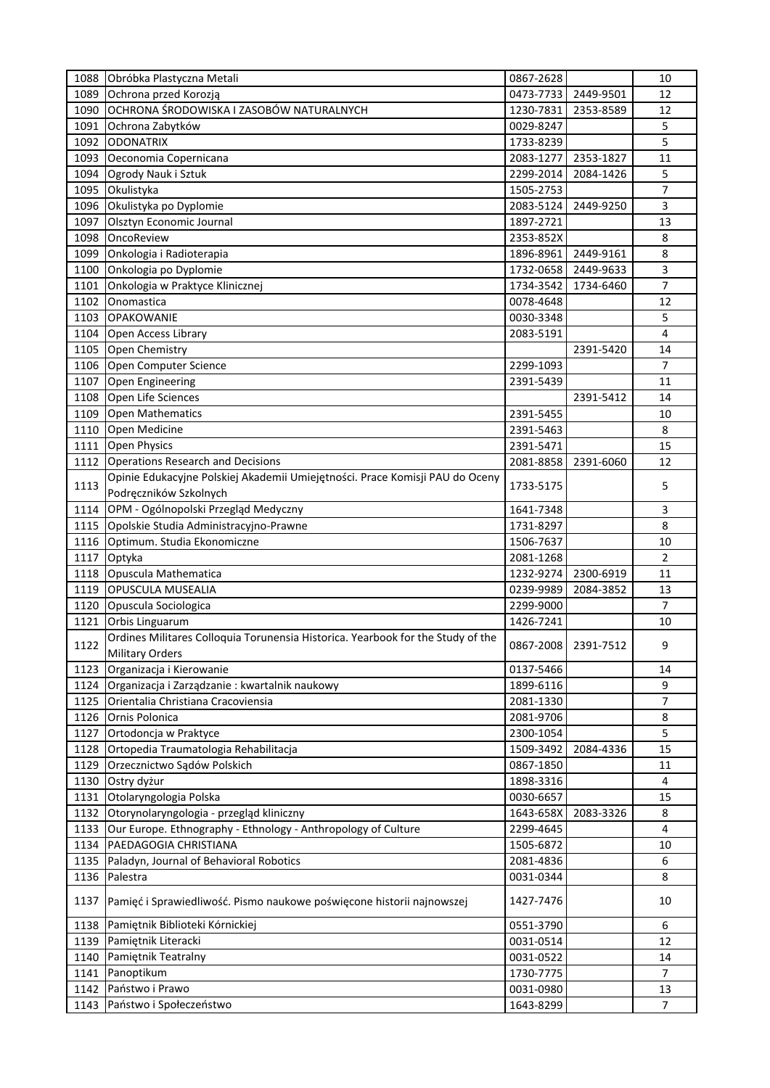| 1088         | Obróbka Plastyczna Metali                                                                              | 0867-2628              |                     | 10             |
|--------------|--------------------------------------------------------------------------------------------------------|------------------------|---------------------|----------------|
| 1089         | Ochrona przed Korozją                                                                                  | 0473-7733              | 2449-9501           | 12             |
| 1090         | OCHRONA ŚRODOWISKA I ZASOBÓW NATURALNYCH                                                               | 1230-7831              | 2353-8589           | 12             |
| 1091         | Ochrona Zabytków                                                                                       | 0029-8247              |                     | 5              |
| 1092         | <b>ODONATRIX</b>                                                                                       | 1733-8239              |                     | 5              |
| 1093         | Oeconomia Copernicana                                                                                  | 2083-1277              | 2353-1827           | 11             |
| 1094         | Ogrody Nauk i Sztuk                                                                                    | 2299-2014              | 2084-1426           | 5              |
| 1095         | Okulistyka                                                                                             | 1505-2753              |                     | 7              |
| 1096         | Okulistyka po Dyplomie                                                                                 | 2083-5124              | 2449-9250           | 3              |
| 1097         | Olsztyn Economic Journal                                                                               | 1897-2721              |                     | 13             |
| 1098         | OncoReview                                                                                             | 2353-852X              |                     | 8              |
| 1099         | Onkologia i Radioterapia                                                                               | 1896-8961              | 2449-9161           | 8              |
| 1100         | Onkologia po Dyplomie                                                                                  | 1732-0658              | 2449-9633           | 3              |
| 1101         | Onkologia w Praktyce Klinicznej                                                                        | 1734-3542              | 1734-6460           | 7              |
| 1102         | Onomastica                                                                                             | 0078-4648              |                     | 12             |
| 1103         | <b>OPAKOWANIE</b>                                                                                      | 0030-3348              |                     | 5              |
| 1104         | Open Access Library                                                                                    | 2083-5191              |                     | 4              |
| 1105         | Open Chemistry                                                                                         |                        | 2391-5420           | 14             |
| 1106         | Open Computer Science                                                                                  | 2299-1093              |                     | 7              |
| 1107         | Open Engineering                                                                                       | 2391-5439              |                     | 11             |
| 1108         | Open Life Sciences                                                                                     |                        | 2391-5412           | 14             |
| 1109         | <b>Open Mathematics</b>                                                                                | 2391-5455              |                     | 10             |
| 1110         |                                                                                                        | 2391-5463              |                     | 8              |
|              | Open Medicine                                                                                          |                        |                     |                |
| 1111         | <b>Open Physics</b>                                                                                    | 2391-5471              |                     | 15             |
| 1112         | <b>Operations Research and Decisions</b>                                                               | 2081-8858              | 2391-6060           | 12             |
| 1113         | Opinie Edukacyjne Polskiej Akademii Umiejętności. Prace Komisji PAU do Oceny<br>Podręczników Szkolnych | 1733-5175              |                     | 5              |
| 1114         | OPM - Ogólnopolski Przegląd Medyczny                                                                   | 1641-7348              |                     | 3              |
| 1115         | Opolskie Studia Administracyjno-Prawne                                                                 | 1731-8297              |                     | 8              |
| 1116         | Optimum. Studia Ekonomiczne                                                                            | 1506-7637              |                     | 10             |
|              |                                                                                                        |                        |                     | $\overline{2}$ |
| 1117         | Optyka<br>Opuscula Mathematica                                                                         | 2081-1268              | 2300-6919           | 11             |
| 1118<br>1119 | OPUSCULA MUSEALIA                                                                                      | 1232-9274<br>0239-9989 | 2084-3852           | 13             |
| 1120         | Opuscula Sociologica                                                                                   | 2299-9000              |                     | 7              |
| 1121         | Orbis Linguarum                                                                                        | 1426-7241              |                     | 10             |
|              | Ordines Militares Colloquia Torunensia Historica. Yearbook for the Study of the                        |                        |                     |                |
| 1122         | <b>Military Orders</b>                                                                                 |                        | 0867-2008 2391-7512 | 9              |
| 1123         | Organizacja i Kierowanie                                                                               | 0137-5466              |                     | 14             |
| 1124         | Organizacja i Zarządzanie: kwartalnik naukowy                                                          | 1899-6116              |                     | 9              |
| 1125         | Orientalia Christiana Cracoviensia                                                                     | 2081-1330              |                     | 7              |
| 1126         | Ornis Polonica                                                                                         | 2081-9706              |                     | 8              |
|              | Ortodoncja w Praktyce                                                                                  |                        |                     |                |
| 1127         | Ortopedia Traumatologia Rehabilitacja                                                                  | 2300-1054<br>1509-3492 | 2084-4336           | 5<br>15        |
| 1128         | Orzecznictwo Sądów Polskich                                                                            |                        |                     |                |
| 1129         |                                                                                                        | 0867-1850<br>1898-3316 |                     | 11<br>4        |
| 1130         | Ostry dyżur<br>Otolaryngologia Polska                                                                  | 0030-6657              |                     | 15             |
| 1131<br>1132 | Otorynolaryngologia - przegląd kliniczny                                                               | 1643-658X              | 2083-3326           | 8              |
| 1133         | Our Europe. Ethnography - Ethnology - Anthropology of Culture                                          | 2299-4645              |                     | 4              |
| 1134         | PAEDAGOGIA CHRISTIANA                                                                                  | 1505-6872              |                     | 10             |
|              | Paladyn, Journal of Behavioral Robotics                                                                | 2081-4836              |                     | 6              |
| 1135<br>1136 | Palestra                                                                                               | 0031-0344              |                     | 8              |
| 1137         | Pamięć i Sprawiedliwość. Pismo naukowe poświęcone historii najnowszej                                  | 1427-7476              |                     | 10             |
|              |                                                                                                        |                        |                     |                |
| 1138<br>1139 | Pamiętnik Biblioteki Kórnickiej<br>Pamiętnik Literacki                                                 | 0551-3790<br>0031-0514 |                     | 6<br>12        |
| 1140         | Pamiętnik Teatralny                                                                                    | 0031-0522              |                     | 14             |
| 1141         | Panoptikum                                                                                             | 1730-7775              |                     | 7              |
| 1142         | Państwo i Prawo                                                                                        | 0031-0980              |                     | 13             |
| 1143         | Państwo i Społeczeństwo                                                                                | 1643-8299              |                     | $\overline{7}$ |
|              |                                                                                                        |                        |                     |                |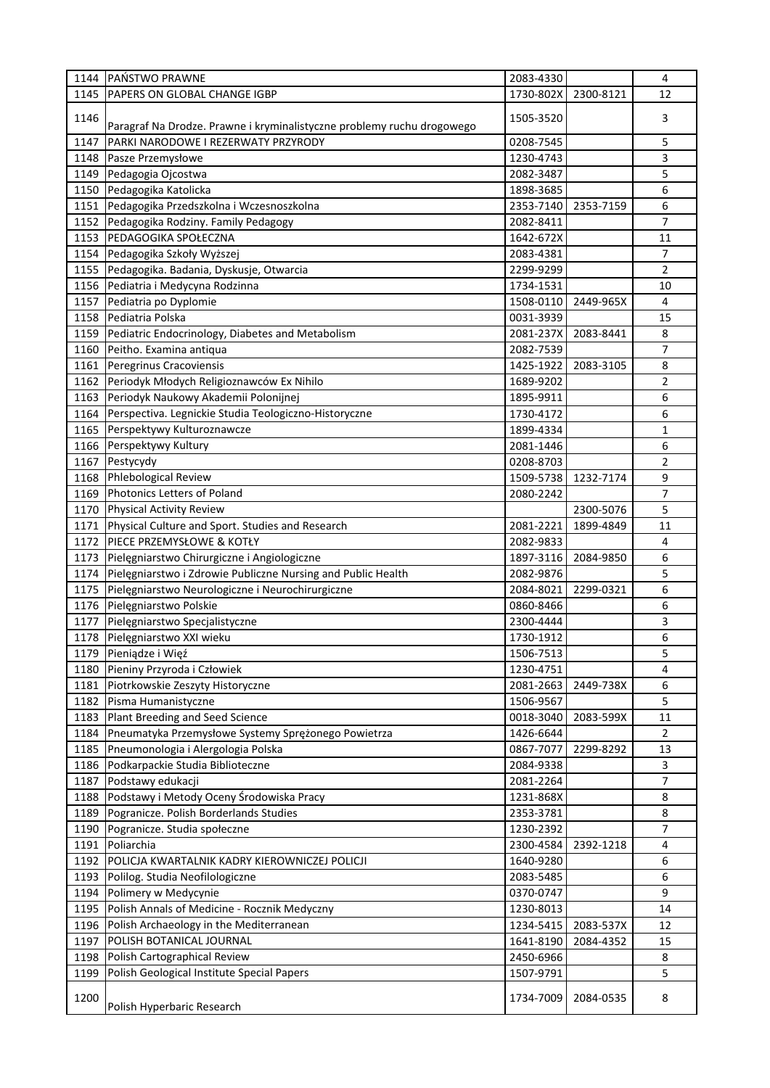| 1144 | <b>PAŃSTWO PRAWNE</b>                                                  | 2083-4330 |           | 4              |
|------|------------------------------------------------------------------------|-----------|-----------|----------------|
| 1145 | PAPERS ON GLOBAL CHANGE IGBP                                           | 1730-802X | 2300-8121 | 12             |
| 1146 | Paragraf Na Drodze. Prawne i kryminalistyczne problemy ruchu drogowego | 1505-3520 |           | 3              |
| 1147 | PARKI NARODOWE I REZERWATY PRZYRODY                                    | 0208-7545 |           | 5              |
| 1148 | Pasze Przemysłowe                                                      | 1230-4743 |           | 3              |
| 1149 | Pedagogia Ojcostwa                                                     | 2082-3487 |           | 5              |
| 1150 | Pedagogika Katolicka                                                   | 1898-3685 |           | 6              |
| 1151 | Pedagogika Przedszkolna i Wczesnoszkolna                               | 2353-7140 | 2353-7159 | 6              |
| 1152 | Pedagogika Rodziny. Family Pedagogy                                    | 2082-8411 |           | $\overline{7}$ |
| 1153 | PEDAGOGIKA SPOŁECZNA                                                   | 1642-672X |           | 11             |
| 1154 | Pedagogika Szkoły Wyższej                                              | 2083-4381 |           | 7              |
| 1155 | Pedagogika. Badania, Dyskusje, Otwarcia                                | 2299-9299 |           | $\overline{2}$ |
| 1156 | Pediatria i Medycyna Rodzinna                                          | 1734-1531 |           | 10             |
| 1157 | Pediatria po Dyplomie                                                  | 1508-0110 | 2449-965X | 4              |
| 1158 | Pediatria Polska                                                       | 0031-3939 |           | 15             |
| 1159 | Pediatric Endocrinology, Diabetes and Metabolism                       | 2081-237X | 2083-8441 | 8              |
| 1160 | Peitho. Examina antiqua                                                | 2082-7539 |           | 7              |
| 1161 | Peregrinus Cracoviensis                                                | 1425-1922 | 2083-3105 | 8              |
| 1162 | Periodyk Młodych Religioznawców Ex Nihilo                              | 1689-9202 |           | 2              |
| 1163 | Periodyk Naukowy Akademii Polonijnej                                   | 1895-9911 |           | 6              |
| 1164 | Perspectiva. Legnickie Studia Teologiczno-Historyczne                  | 1730-4172 |           | 6              |
| 1165 | Perspektywy Kulturoznawcze                                             | 1899-4334 |           | 1              |
| 1166 | Perspektywy Kultury                                                    | 2081-1446 |           | 6              |
| 1167 | Pestycydy                                                              | 0208-8703 |           | 2              |
| 1168 | <b>Phlebological Review</b>                                            | 1509-5738 | 1232-7174 | 9              |
| 1169 | Photonics Letters of Poland                                            | 2080-2242 |           | 7              |
| 1170 | <b>Physical Activity Review</b>                                        |           | 2300-5076 | 5              |
| 1171 | Physical Culture and Sport. Studies and Research                       | 2081-2221 | 1899-4849 | 11             |
| 1172 | PIECE PRZEMYSŁOWE & KOTŁY                                              | 2082-9833 |           | 4              |
| 1173 | Pielęgniarstwo Chirurgiczne i Angiologiczne                            | 1897-3116 | 2084-9850 | 6              |
| 1174 | Pielęgniarstwo i Zdrowie Publiczne Nursing and Public Health           | 2082-9876 |           | 5              |
| 1175 | Pielęgniarstwo Neurologiczne i Neurochirurgiczne                       | 2084-8021 | 2299-0321 | 6              |
| 1176 | Pielęgniarstwo Polskie                                                 | 0860-8466 |           | 6              |
| 1177 | Pielęgniarstwo Specjalistyczne                                         | 2300-4444 |           | 3              |
| 1178 | Pielęgniarstwo XXI wieku                                               | 1730-1912 |           | 6              |
| 1179 | Pieniądze i Więź                                                       | 1506-7513 |           | 5              |
| 1180 | Pieniny Przyroda i Człowiek                                            | 1230-4751 |           | 4              |
| 1181 | Piotrkowskie Zeszyty Historyczne                                       | 2081-2663 | 2449-738X | 6              |
| 1182 | Pisma Humanistyczne                                                    | 1506-9567 |           | 5              |
| 1183 | Plant Breeding and Seed Science                                        | 0018-3040 | 2083-599X | 11             |
| 1184 | Pneumatyka Przemysłowe Systemy Sprężonego Powietrza                    | 1426-6644 |           | $\overline{2}$ |
| 1185 | Pneumonologia i Alergologia Polska                                     | 0867-7077 | 2299-8292 | 13             |
| 1186 | Podkarpackie Studia Biblioteczne                                       | 2084-9338 |           | 3              |
| 1187 | Podstawy edukacji                                                      | 2081-2264 |           | 7              |
| 1188 | Podstawy i Metody Oceny Środowiska Pracy                               | 1231-868X |           | 8              |
| 1189 | Pogranicze. Polish Borderlands Studies                                 | 2353-3781 |           | $\bf 8$        |
| 1190 | Pogranicze. Studia społeczne                                           | 1230-2392 |           | 7              |
| 1191 | Poliarchia                                                             | 2300-4584 | 2392-1218 | 4              |
| 1192 | POLICJA KWARTALNIK KADRY KIEROWNICZEJ POLICJI                          | 1640-9280 |           | 6              |
| 1193 | Polilog. Studia Neofilologiczne                                        | 2083-5485 |           | 6              |
| 1194 | Polimery w Medycynie                                                   | 0370-0747 |           | 9              |
| 1195 | Polish Annals of Medicine - Rocznik Medyczny                           | 1230-8013 |           | 14             |
| 1196 | Polish Archaeology in the Mediterranean                                | 1234-5415 | 2083-537X | 12             |
| 1197 | POLISH BOTANICAL JOURNAL                                               | 1641-8190 | 2084-4352 | 15             |
| 1198 | Polish Cartographical Review                                           | 2450-6966 |           | 8              |
| 1199 | Polish Geological Institute Special Papers                             | 1507-9791 |           | 5              |
| 1200 | Polish Hyperbaric Research                                             | 1734-7009 | 2084-0535 | 8              |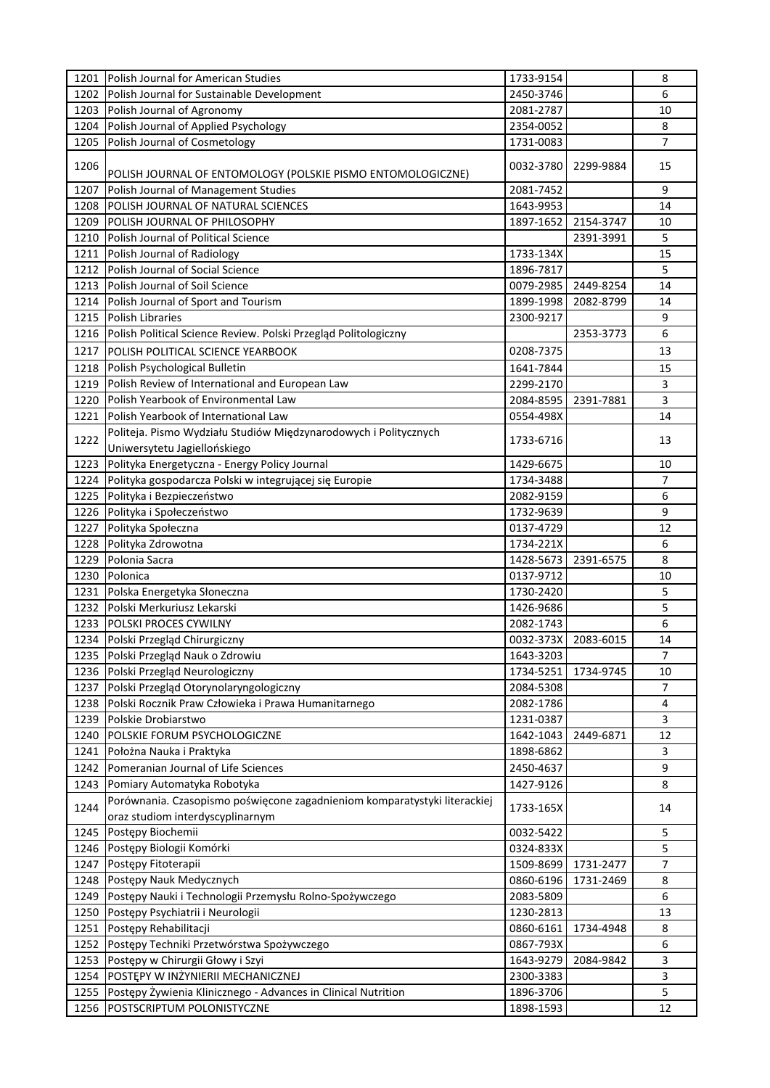| 1201 | Polish Journal for American Studies                                       | 1733-9154 |           | 8              |
|------|---------------------------------------------------------------------------|-----------|-----------|----------------|
| 1202 | Polish Journal for Sustainable Development                                | 2450-3746 |           | 6              |
| 1203 | Polish Journal of Agronomy                                                | 2081-2787 |           | 10             |
| 1204 | Polish Journal of Applied Psychology                                      | 2354-0052 |           | 8              |
| 1205 | Polish Journal of Cosmetology                                             | 1731-0083 |           | 7              |
| 1206 | POLISH JOURNAL OF ENTOMOLOGY (POLSKIE PISMO ENTOMOLOGICZNE)               | 0032-3780 | 2299-9884 | 15             |
| 1207 |                                                                           | 2081-7452 |           | 9              |
|      | Polish Journal of Management Studies                                      |           |           |                |
| 1208 | POLISH JOURNAL OF NATURAL SCIENCES                                        | 1643-9953 |           | 14             |
| 1209 | POLISH JOURNAL OF PHILOSOPHY                                              | 1897-1652 | 2154-3747 | 10             |
| 1210 | Polish Journal of Political Science                                       |           | 2391-3991 | 5              |
| 1211 | Polish Journal of Radiology                                               | 1733-134X |           | 15             |
| 1212 | Polish Journal of Social Science                                          | 1896-7817 |           | 5              |
| 1213 | Polish Journal of Soil Science                                            | 0079-2985 | 2449-8254 | 14             |
| 1214 | Polish Journal of Sport and Tourism                                       | 1899-1998 | 2082-8799 | 14             |
| 1215 | <b>Polish Libraries</b>                                                   | 2300-9217 |           | 9              |
| 1216 | Polish Political Science Review. Polski Przegląd Politologiczny           |           | 2353-3773 | 6              |
| 1217 | POLISH POLITICAL SCIENCE YEARBOOK                                         | 0208-7375 |           | 13             |
| 1218 | Polish Psychological Bulletin                                             | 1641-7844 |           | 15             |
| 1219 | Polish Review of International and European Law                           | 2299-2170 |           | 3              |
| 1220 | Polish Yearbook of Environmental Law                                      | 2084-8595 | 2391-7881 | 3              |
| 1221 | Polish Yearbook of International Law                                      | 0554-498X |           | 14             |
|      | Politeja. Pismo Wydziału Studiów Międzynarodowych i Politycznych          |           |           |                |
| 1222 | Uniwersytetu Jagiellońskiego                                              | 1733-6716 |           | 13             |
|      |                                                                           |           |           |                |
| 1223 | Polityka Energetyczna - Energy Policy Journal                             | 1429-6675 |           | 10             |
| 1224 | Polityka gospodarcza Polski w integrującej się Europie                    | 1734-3488 |           | $\overline{7}$ |
| 1225 | Polityka i Bezpieczeństwo                                                 | 2082-9159 |           | 6              |
| 1226 | Polityka i Społeczeństwo                                                  | 1732-9639 |           | 9              |
| 1227 | Polityka Społeczna                                                        | 0137-4729 |           | 12             |
| 1228 | Polityka Zdrowotna                                                        | 1734-221X |           | 6              |
| 1229 | Polonia Sacra                                                             | 1428-5673 | 2391-6575 | 8              |
| 1230 | Polonica                                                                  | 0137-9712 |           | 10             |
| 1231 | Polska Energetyka Słoneczna                                               | 1730-2420 |           | 5              |
| 1232 | Polski Merkuriusz Lekarski                                                | 1426-9686 |           | 5              |
| 1233 | POLSKI PROCES CYWILNY                                                     | 2082-1743 |           | 6              |
| 1234 | Polski Przegląd Chirurgiczny                                              | 0032-373X | 2083-6015 | 14             |
|      | 1235 Polski Przegląd Nauk o Zdrowiu                                       | 1643-3203 |           | 7              |
| 1236 | Polski Przegląd Neurologiczny                                             | 1734-5251 | 1734-9745 | 10             |
| 1237 | Polski Przegląd Otorynolaryngologiczny                                    | 2084-5308 |           | 7              |
| 1238 | Polski Rocznik Praw Człowieka i Prawa Humanitarnego                       | 2082-1786 |           | 4              |
| 1239 | Polskie Drobiarstwo                                                       | 1231-0387 |           | 3              |
| 1240 | POLSKIE FORUM PSYCHOLOGICZNE                                              | 1642-1043 | 2449-6871 | 12             |
| 1241 | Położna Nauka i Praktyka                                                  | 1898-6862 |           | 3              |
| 1242 | Pomeranian Journal of Life Sciences                                       | 2450-4637 |           | 9              |
| 1243 | Pomiary Automatyka Robotyka                                               | 1427-9126 |           | 8              |
|      | Porównania. Czasopismo poświęcone zagadnieniom komparatystyki literackiej |           |           |                |
| 1244 |                                                                           | 1733-165X |           | 14             |
|      | oraz studiom interdyscyplinarnym                                          |           |           |                |
| 1245 | Postępy Biochemii                                                         | 0032-5422 |           | 5              |
| 1246 | Postępy Biologii Komórki                                                  | 0324-833X |           | 5              |
| 1247 | Postępy Fitoterapii                                                       | 1509-8699 | 1731-2477 | 7              |
| 1248 | Postępy Nauk Medycznych                                                   | 0860-6196 | 1731-2469 | 8              |
| 1249 | Postępy Nauki i Technologii Przemysłu Rolno-Spożywczego                   | 2083-5809 |           | 6              |
| 1250 | Postępy Psychiatrii i Neurologii                                          | 1230-2813 |           | 13             |
| 1251 | Postępy Rehabilitacji                                                     | 0860-6161 | 1734-4948 | 8              |
| 1252 | Postępy Techniki Przetwórstwa Spożywczego                                 | 0867-793X |           | 6              |
| 1253 | Postępy w Chirurgii Głowy i Szyi                                          | 1643-9279 | 2084-9842 | 3              |
| 1254 | POSTĘPY W INŻYNIERII MECHANICZNEJ                                         | 2300-3383 |           | 3              |
| 1255 | Postępy Żywienia Klinicznego - Advances in Clinical Nutrition             | 1896-3706 |           | 5              |
| 1256 | POSTSCRIPTUM POLONISTYCZNE                                                | 1898-1593 |           | 12             |
|      |                                                                           |           |           |                |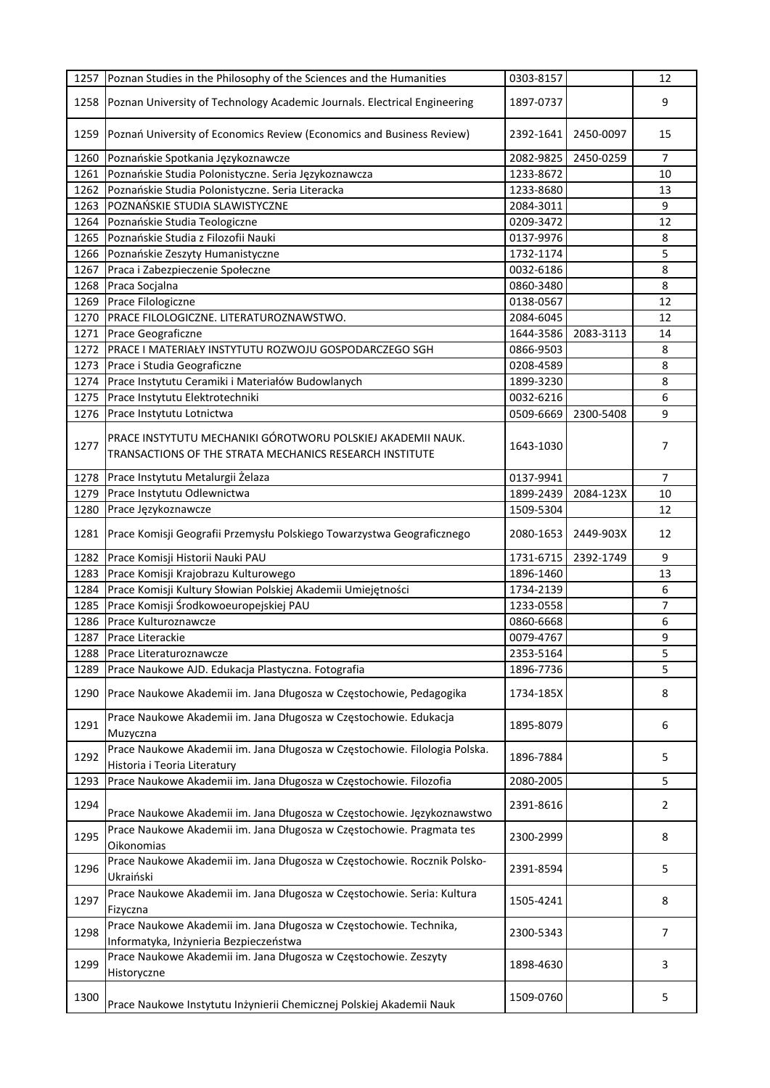| 1257 | Poznan Studies in the Philosophy of the Sciences and the Humanities                                                    | 0303-8157 |           | 12             |
|------|------------------------------------------------------------------------------------------------------------------------|-----------|-----------|----------------|
| 1258 | Poznan University of Technology Academic Journals. Electrical Engineering                                              | 1897-0737 |           | 9              |
| 1259 | Poznań University of Economics Review (Economics and Business Review)                                                  | 2392-1641 | 2450-0097 | 15             |
| 1260 | Poznańskie Spotkania Językoznawcze                                                                                     | 2082-9825 | 2450-0259 | 7              |
| 1261 | Poznańskie Studia Polonistyczne. Seria Językoznawcza                                                                   | 1233-8672 |           | 10             |
| 1262 | Poznańskie Studia Polonistyczne. Seria Literacka                                                                       | 1233-8680 |           | 13             |
| 1263 | POZNAŃSKIE STUDIA SLAWISTYCZNE                                                                                         | 2084-3011 |           | 9              |
| 1264 | Poznańskie Studia Teologiczne                                                                                          | 0209-3472 |           | 12             |
| 1265 | Poznańskie Studia z Filozofii Nauki                                                                                    | 0137-9976 |           | 8              |
| 1266 | Poznańskie Zeszyty Humanistyczne                                                                                       | 1732-1174 |           | 5              |
| 1267 | Praca i Zabezpieczenie Społeczne                                                                                       | 0032-6186 |           | 8              |
| 1268 | Praca Socjalna                                                                                                         | 0860-3480 |           | 8              |
| 1269 | Prace Filologiczne                                                                                                     | 0138-0567 |           | 12             |
| 1270 | PRACE FILOLOGICZNE. LITERATUROZNAWSTWO.                                                                                | 2084-6045 |           | 12             |
| 1271 | Prace Geograficzne                                                                                                     | 1644-3586 | 2083-3113 | 14             |
| 1272 | PRACE I MATERIAŁY INSTYTUTU ROZWOJU GOSPODARCZEGO SGH                                                                  | 0866-9503 |           | 8              |
| 1273 | Prace i Studia Geograficzne                                                                                            | 0208-4589 |           | 8              |
| 1274 | Prace Instytutu Ceramiki i Materiałów Budowlanych                                                                      | 1899-3230 |           | 8              |
| 1275 | Prace Instytutu Elektrotechniki                                                                                        | 0032-6216 |           | 6              |
| 1276 | Prace Instytutu Lotnictwa                                                                                              | 0509-6669 | 2300-5408 | 9              |
| 1277 | PRACE INSTYTUTU MECHANIKI GÓROTWORU POLSKIEJ AKADEMII NAUK.<br>TRANSACTIONS OF THE STRATA MECHANICS RESEARCH INSTITUTE | 1643-1030 |           | 7              |
| 1278 | Prace Instytutu Metalurgii Żelaza                                                                                      | 0137-9941 |           | $\overline{7}$ |
| 1279 | Prace Instytutu Odlewnictwa                                                                                            | 1899-2439 | 2084-123X | 10             |
| 1280 | Prace Językoznawcze                                                                                                    | 1509-5304 |           | 12             |
| 1281 | Prace Komisji Geografii Przemysłu Polskiego Towarzystwa Geograficznego                                                 | 2080-1653 | 2449-903X | 12             |
| 1282 | Prace Komisji Historii Nauki PAU                                                                                       | 1731-6715 | 2392-1749 | 9              |
| 1283 | Prace Komisji Krajobrazu Kulturowego                                                                                   | 1896-1460 |           | 13             |
| 1284 | Prace Komisji Kultury Słowian Polskiej Akademii Umiejętności                                                           | 1734-2139 |           | 6              |
| 1285 | Prace Komisji Środkowoeuropejskiej PAU                                                                                 | 1233-0558 |           | 7              |
| 1286 | Prace Kulturoznawcze                                                                                                   | 0860-6668 |           | 6              |
| 1287 | Prace Literackie                                                                                                       | 0079-4767 |           | 9              |
| 1288 | Prace Literaturoznawcze                                                                                                | 2353-5164 |           | 5              |
| 1289 | Prace Naukowe AJD. Edukacja Plastyczna. Fotografia                                                                     | 1896-7736 |           | 5              |
| 1290 | Prace Naukowe Akademii im. Jana Długosza w Częstochowie, Pedagogika                                                    | 1734-185X |           | 8              |
| 1291 | Prace Naukowe Akademii im. Jana Długosza w Częstochowie. Edukacja<br>Muzyczna                                          | 1895-8079 |           | 6              |
| 1292 | Prace Naukowe Akademii im. Jana Długosza w Częstochowie. Filologia Polska.<br>Historia i Teoria Literatury             | 1896-7884 |           | 5              |
| 1293 | Prace Naukowe Akademii im. Jana Długosza w Częstochowie. Filozofia                                                     | 2080-2005 |           | 5              |
| 1294 | Prace Naukowe Akademii im. Jana Długosza w Częstochowie. Językoznawstwo                                                | 2391-8616 |           | $\overline{2}$ |
| 1295 | Prace Naukowe Akademii im. Jana Długosza w Częstochowie. Pragmata tes<br>Oikonomias                                    | 2300-2999 |           | 8              |
| 1296 | Prace Naukowe Akademii im. Jana Długosza w Częstochowie. Rocznik Polsko-<br>Ukraiński                                  | 2391-8594 |           | 5              |
| 1297 | Prace Naukowe Akademii im. Jana Długosza w Częstochowie. Seria: Kultura<br>Fizyczna                                    | 1505-4241 |           | 8              |
| 1298 | Prace Naukowe Akademii im. Jana Długosza w Częstochowie. Technika,<br>Informatyka, Inżynieria Bezpieczeństwa           | 2300-5343 |           | 7              |
| 1299 | Prace Naukowe Akademii im. Jana Długosza w Częstochowie. Zeszyty<br>Historyczne                                        | 1898-4630 |           | 3              |
| 1300 | Prace Naukowe Instytutu Inżynierii Chemicznej Polskiej Akademii Nauk                                                   | 1509-0760 |           | 5              |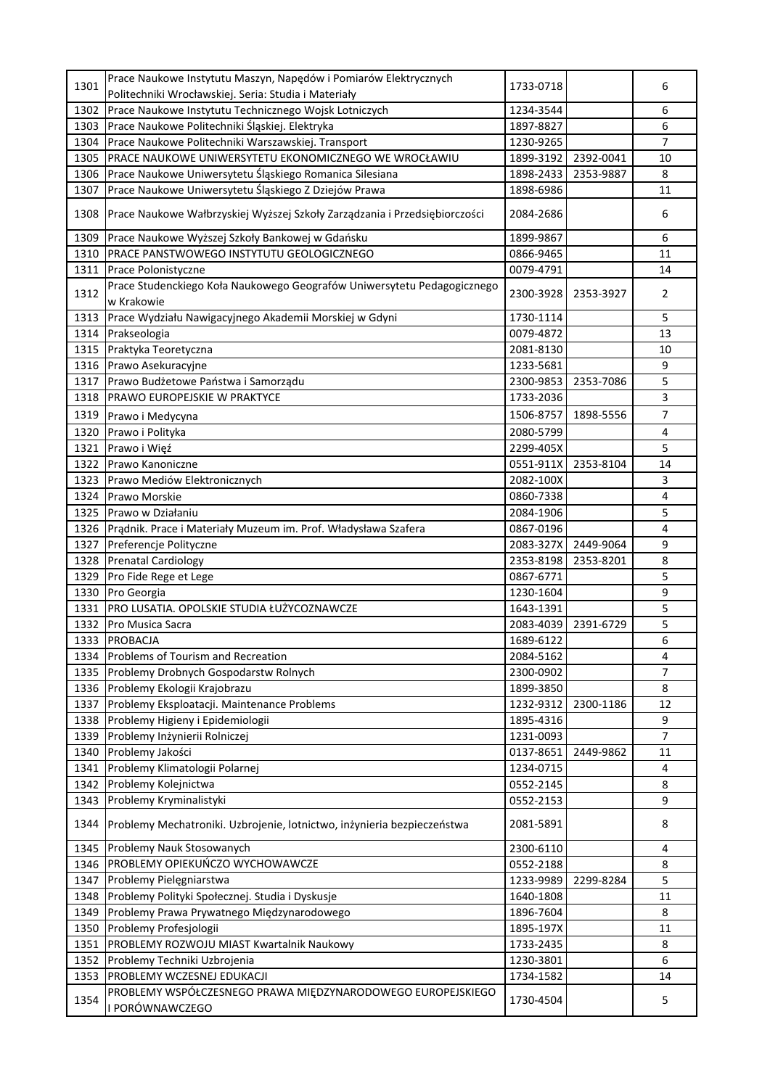| 1301 | Prace Naukowe Instytutu Maszyn, Napędów i Pomiarów Elektrycznych<br>Politechniki Wrocławskiej. Seria: Studia i Materiały | 1733-0718 |           | 6              |
|------|--------------------------------------------------------------------------------------------------------------------------|-----------|-----------|----------------|
| 1302 | Prace Naukowe Instytutu Technicznego Wojsk Lotniczych                                                                    | 1234-3544 |           | 6              |
| 1303 | Prace Naukowe Politechniki Śląskiej. Elektryka                                                                           | 1897-8827 |           | 6              |
| 1304 | Prace Naukowe Politechniki Warszawskiej. Transport                                                                       | 1230-9265 |           | 7              |
| 1305 | PRACE NAUKOWE UNIWERSYTETU EKONOMICZNEGO WE WROCŁAWIU                                                                    | 1899-3192 | 2392-0041 | 10             |
| 1306 | Prace Naukowe Uniwersytetu Śląskiego Romanica Silesiana                                                                  | 1898-2433 | 2353-9887 | 8              |
| 1307 | Prace Naukowe Uniwersytetu Śląskiego Z Dziejów Prawa                                                                     | 1898-6986 |           | 11             |
| 1308 | Prace Naukowe Wałbrzyskiej Wyższej Szkoły Zarządzania i Przedsiębiorczości                                               | 2084-2686 |           | 6              |
| 1309 | Prace Naukowe Wyższej Szkoły Bankowej w Gdańsku                                                                          | 1899-9867 |           | 6              |
| 1310 | PRACE PANSTWOWEGO INSTYTUTU GEOLOGICZNEGO                                                                                | 0866-9465 |           | 11             |
| 1311 | Prace Polonistyczne                                                                                                      | 0079-4791 |           | 14             |
| 1312 | Prace Studenckiego Koła Naukowego Geografów Uniwersytetu Pedagogicznego<br>w Krakowie                                    | 2300-3928 | 2353-3927 | 2              |
| 1313 | Prace Wydziału Nawigacyjnego Akademii Morskiej w Gdyni                                                                   | 1730-1114 |           | 5              |
| 1314 | Prakseologia                                                                                                             | 0079-4872 |           | 13             |
| 1315 | Praktyka Teoretyczna                                                                                                     | 2081-8130 |           | 10             |
| 1316 | Prawo Asekuracyjne                                                                                                       | 1233-5681 |           | 9              |
| 1317 | Prawo Budżetowe Państwa i Samorządu                                                                                      | 2300-9853 | 2353-7086 | 5              |
| 1318 | <b>PRAWO EUROPEJSKIE W PRAKTYCE</b>                                                                                      | 1733-2036 |           | 3              |
| 1319 | Prawo i Medycyna                                                                                                         | 1506-8757 | 1898-5556 | 7              |
| 1320 | Prawo i Polityka                                                                                                         | 2080-5799 |           | $\overline{4}$ |
| 1321 | Prawo i Więź                                                                                                             | 2299-405X |           | 5              |
| 1322 | Prawo Kanoniczne                                                                                                         | 0551-911X | 2353-8104 | 14             |
| 1323 | Prawo Mediów Elektronicznych                                                                                             | 2082-100X |           | 3              |
| 1324 | Prawo Morskie                                                                                                            | 0860-7338 |           | $\overline{4}$ |
| 1325 | Prawo w Działaniu                                                                                                        | 2084-1906 |           | 5              |
| 1326 | Prądnik. Prace i Materiały Muzeum im. Prof. Władysława Szafera                                                           | 0867-0196 |           | 4              |
| 1327 | Preferencje Polityczne                                                                                                   | 2083-327X | 2449-9064 | 9              |
| 1328 | <b>Prenatal Cardiology</b>                                                                                               | 2353-8198 | 2353-8201 | 8              |
| 1329 | Pro Fide Rege et Lege                                                                                                    | 0867-6771 |           | 5              |
| 1330 | Pro Georgia                                                                                                              | 1230-1604 |           | 9              |
| 1331 | PRO LUSATIA. OPOLSKIE STUDIA ŁUŻYCOZNAWCZE                                                                               | 1643-1391 |           | 5              |
| 1332 | Pro Musica Sacra                                                                                                         | 2083-4039 | 2391-6729 | 5              |
| 1333 | <b>PROBACJA</b>                                                                                                          | 1689-6122 |           | 6              |
| 1334 | Problems of Tourism and Recreation                                                                                       | 2084-5162 |           | 4              |
| 1335 | Problemy Drobnych Gospodarstw Rolnych                                                                                    | 2300-0902 |           | $\overline{7}$ |
| 1336 | Problemy Ekologii Krajobrazu                                                                                             | 1899-3850 |           | 8              |
| 1337 | Problemy Eksploatacji. Maintenance Problems                                                                              | 1232-9312 | 2300-1186 | 12             |
| 1338 | Problemy Higieny i Epidemiologii                                                                                         | 1895-4316 |           | 9              |
| 1339 | Problemy Inżynierii Rolniczej                                                                                            | 1231-0093 |           | 7              |
| 1340 | Problemy Jakości                                                                                                         | 0137-8651 | 2449-9862 | 11             |
| 1341 | Problemy Klimatologii Polarnej                                                                                           | 1234-0715 |           | 4              |
| 1342 | Problemy Kolejnictwa                                                                                                     | 0552-2145 |           | 8              |
| 1343 | Problemy Kryminalistyki                                                                                                  | 0552-2153 |           | 9              |
| 1344 | Problemy Mechatroniki. Uzbrojenie, lotnictwo, inżynieria bezpieczeństwa                                                  | 2081-5891 |           | 8              |
| 1345 | Problemy Nauk Stosowanych                                                                                                | 2300-6110 |           | 4              |
| 1346 | PROBLEMY OPIEKUŃCZO WYCHOWAWCZE                                                                                          | 0552-2188 |           | 8              |
| 1347 | Problemy Pielęgniarstwa                                                                                                  | 1233-9989 | 2299-8284 | 5              |
| 1348 | Problemy Polityki Społecznej. Studia i Dyskusje                                                                          | 1640-1808 |           | 11             |
| 1349 | Problemy Prawa Prywatnego Międzynarodowego                                                                               | 1896-7604 |           | 8              |
| 1350 | Problemy Profesjologii                                                                                                   | 1895-197X |           | 11             |
| 1351 | PROBLEMY ROZWOJU MIAST Kwartalnik Naukowy                                                                                | 1733-2435 |           | 8              |
| 1352 | Problemy Techniki Uzbrojenia                                                                                             | 1230-3801 |           | 6              |
| 1353 | PROBLEMY WCZESNEJ EDUKACJI                                                                                               | 1734-1582 |           | 14             |
| 1354 | PROBLEMY WSPÓŁCZESNEGO PRAWA MIĘDZYNARODOWEGO EUROPEJSKIEGO<br>I PORÓWNAWCZEGO                                           | 1730-4504 |           | 5              |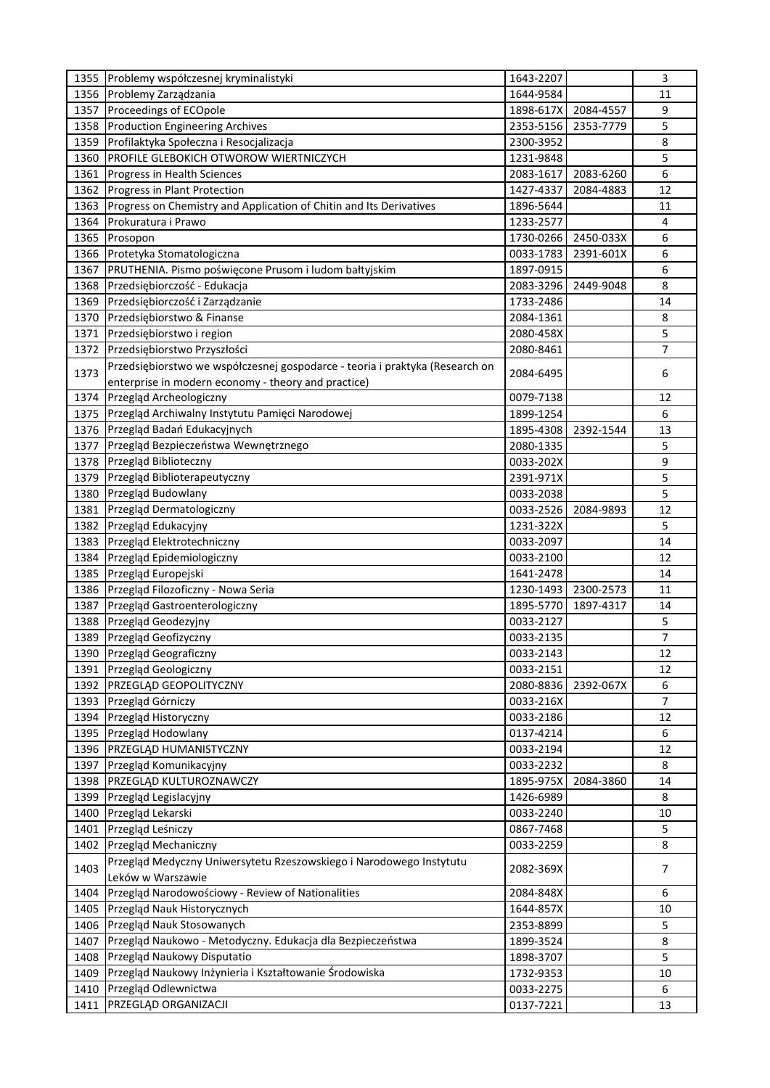| 1355 | Problemy współczesnej kryminalistyki                                         | 1643-2207 |           | 3  |
|------|------------------------------------------------------------------------------|-----------|-----------|----|
| 1356 | Problemy Zarządzania                                                         | 1644-9584 |           | 11 |
| 1357 | Proceedings of ECOpole                                                       | 1898-617X | 2084-4557 | 9  |
| 1358 | <b>Production Engineering Archives</b>                                       | 2353-5156 | 2353-7779 | 5  |
| 1359 | Profilaktyka Społeczna i Resocjalizacja                                      | 2300-3952 |           | 8  |
| 1360 | PROFILE GLEBOKICH OTWOROW WIERTNICZYCH                                       | 1231-9848 |           | 5  |
| 1361 | Progress in Health Sciences                                                  | 2083-1617 | 2083-6260 | 6  |
| 1362 | Progress in Plant Protection                                                 | 1427-4337 | 2084-4883 | 12 |
| 1363 | Progress on Chemistry and Application of Chitin and Its Derivatives          | 1896-5644 |           | 11 |
| 1364 | Prokuratura i Prawo                                                          | 1233-2577 |           | 4  |
| 1365 | Prosopon                                                                     | 1730-0266 | 2450-033X | 6  |
| 1366 | Protetyka Stomatologiczna                                                    | 0033-1783 | 2391-601X | 6  |
| 1367 | PRUTHENIA. Pismo poświęcone Prusom i ludom bałtyjskim                        | 1897-0915 |           | 6  |
| 1368 | Przedsiębiorczość - Edukacja                                                 | 2083-3296 | 2449-9048 | 8  |
| 1369 | Przedsiębiorczość i Zarządzanie                                              | 1733-2486 |           | 14 |
| 1370 | Przedsiębiorstwo & Finanse                                                   | 2084-1361 |           | 8  |
| 1371 | Przedsiębiorstwo i region                                                    | 2080-458X |           | 5  |
|      |                                                                              | 2080-8461 |           | 7  |
| 1372 | Przedsiębiorstwo Przyszłości                                                 |           |           |    |
| 1373 | Przedsiębiorstwo we współczesnej gospodarce - teoria i praktyka (Research on | 2084-6495 |           | 6  |
|      | enterprise in modern economy - theory and practice)                          |           |           |    |
| 1374 | Przegląd Archeologiczny                                                      | 0079-7138 |           | 12 |
| 1375 | Przegląd Archiwalny Instytutu Pamięci Narodowej                              | 1899-1254 |           | 6  |
| 1376 | Przegląd Badań Edukacyjnych                                                  | 1895-4308 | 2392-1544 | 13 |
| 1377 | Przegląd Bezpieczeństwa Wewnętrznego                                         | 2080-1335 |           | 5  |
| 1378 | Przegląd Biblioteczny                                                        | 0033-202X |           | 9  |
| 1379 | Przegląd Biblioterapeutyczny                                                 | 2391-971X |           | 5  |
| 1380 | Przegląd Budowlany                                                           | 0033-2038 |           | 5  |
| 1381 | Przegląd Dermatologiczny                                                     | 0033-2526 | 2084-9893 | 12 |
| 1382 | Przegląd Edukacyjny                                                          | 1231-322X |           | 5  |
| 1383 | Przegląd Elektrotechniczny                                                   | 0033-2097 |           | 14 |
| 1384 | Przegląd Epidemiologiczny                                                    | 0033-2100 |           | 12 |
| 1385 | Przegląd Europejski                                                          | 1641-2478 |           | 14 |
| 1386 | Przegląd Filozoficzny - Nowa Seria                                           | 1230-1493 | 2300-2573 | 11 |
| 1387 | Przegląd Gastroenterologiczny                                                | 1895-5770 | 1897-4317 | 14 |
| 1388 | Przegląd Geodezyjny                                                          | 0033-2127 |           | 5  |
| 1389 | Przegląd Geofizyczny                                                         | 0033-2135 |           | 7  |
|      | 1390 Przegląd Geograficzny                                                   | 0033-2143 |           | 12 |
|      | 1391 Przegląd Geologiczny                                                    | 0033-2151 |           | 12 |
|      | 1392 PRZEGLĄD GEOPOLITYCZNY                                                  | 2080-8836 | 2392-067X | 6  |
| 1393 | Przegląd Górniczy                                                            | 0033-216X |           | 7  |
| 1394 | Przegląd Historyczny                                                         | 0033-2186 |           | 12 |
| 1395 | Przegląd Hodowlany                                                           | 0137-4214 |           | 6  |
| 1396 | PRZEGLĄD HUMANISTYCZNY                                                       | 0033-2194 |           | 12 |
| 1397 | Przegląd Komunikacyjny                                                       | 0033-2232 |           | 8  |
| 1398 | PRZEGLĄD KULTUROZNAWCZY                                                      | 1895-975X | 2084-3860 | 14 |
| 1399 | Przegląd Legislacyjny                                                        | 1426-6989 |           | 8  |
| 1400 | Przegląd Lekarski                                                            | 0033-2240 |           | 10 |
| 1401 | Przegląd Leśniczy                                                            | 0867-7468 |           | 5  |
| 1402 | Przegląd Mechaniczny                                                         | 0033-2259 |           | 8  |
|      | Przegląd Medyczny Uniwersytetu Rzeszowskiego i Narodowego Instytutu          |           |           |    |
| 1403 | Leków w Warszawie                                                            | 2082-369X |           | 7  |
| 1404 | Przegląd Narodowościowy - Review of Nationalities                            | 2084-848X |           | 6  |
| 1405 | Przegląd Nauk Historycznych                                                  | 1644-857X |           | 10 |
| 1406 | Przegląd Nauk Stosowanych                                                    | 2353-8899 |           | 5  |
| 1407 | Przegląd Naukowo - Metodyczny. Edukacja dla Bezpieczeństwa                   | 1899-3524 |           | 8  |
| 1408 | Przegląd Naukowy Disputatio                                                  | 1898-3707 |           | 5  |
| 1409 | Przegląd Naukowy Inżynieria i Kształtowanie Środowiska                       | 1732-9353 |           | 10 |
| 1410 | Przegląd Odlewnictwa                                                         | 0033-2275 |           | 6  |
| 1411 | PRZEGLĄD ORGANIZACJI                                                         | 0137-7221 |           | 13 |
|      |                                                                              |           |           |    |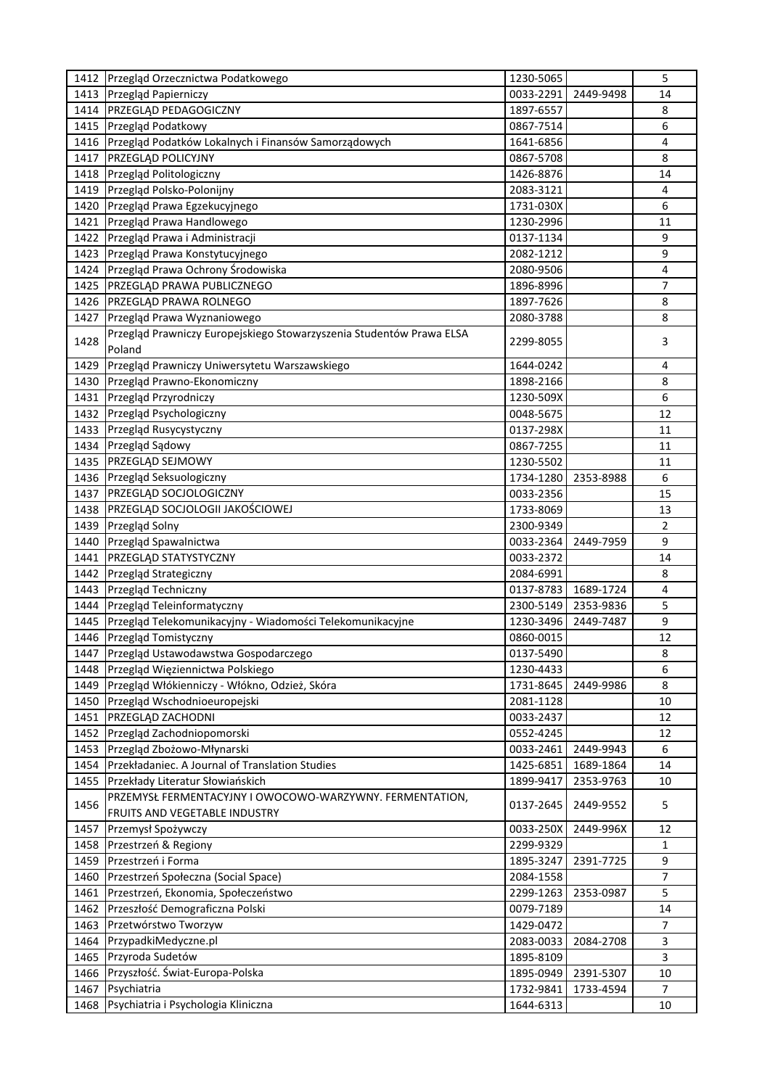| 1412 | Przegląd Orzecznictwa Podatkowego                                                         | 1230-5065 |           | 5            |
|------|-------------------------------------------------------------------------------------------|-----------|-----------|--------------|
| 1413 | Przegląd Papierniczy                                                                      | 0033-2291 | 2449-9498 | 14           |
| 1414 | PRZEGLĄD PEDAGOGICZNY                                                                     | 1897-6557 |           | 8            |
| 1415 | Przegląd Podatkowy                                                                        | 0867-7514 |           | 6            |
| 1416 | Przegląd Podatków Lokalnych i Finansów Samorządowych                                      | 1641-6856 |           | 4            |
| 1417 | PRZEGLĄD POLICYJNY                                                                        | 0867-5708 |           | 8            |
| 1418 | Przegląd Politologiczny                                                                   | 1426-8876 |           | 14           |
| 1419 | Przegląd Polsko-Polonijny                                                                 | 2083-3121 |           | 4            |
| 1420 | Przegląd Prawa Egzekucyjnego                                                              | 1731-030X |           | 6            |
| 1421 | Przegląd Prawa Handlowego                                                                 | 1230-2996 |           | 11           |
| 1422 | Przegląd Prawa i Administracji                                                            | 0137-1134 |           | 9            |
| 1423 | Przegląd Prawa Konstytucyjnego                                                            | 2082-1212 |           | 9            |
| 1424 | Przegląd Prawa Ochrony Środowiska                                                         | 2080-9506 |           | 4            |
| 1425 | PRZEGLĄD PRAWA PUBLICZNEGO                                                                | 1896-8996 |           | 7            |
| 1426 | PRZEGLĄD PRAWA ROLNEGO                                                                    | 1897-7626 |           | 8            |
| 1427 | Przegląd Prawa Wyznaniowego                                                               | 2080-3788 |           | 8            |
| 1428 | Przegląd Prawniczy Europejskiego Stowarzyszenia Studentów Prawa ELSA<br>Poland            | 2299-8055 |           | 3            |
| 1429 | Przegląd Prawniczy Uniwersytetu Warszawskiego                                             | 1644-0242 |           | 4            |
| 1430 | Przegląd Prawno-Ekonomiczny                                                               | 1898-2166 |           | 8            |
| 1431 | Przegląd Przyrodniczy                                                                     | 1230-509X |           | 6            |
| 1432 | Przegląd Psychologiczny                                                                   | 0048-5675 |           | 12           |
| 1433 | Przegląd Rusycystyczny                                                                    | 0137-298X |           | 11           |
| 1434 | Przegląd Sądowy                                                                           | 0867-7255 |           | 11           |
| 1435 | PRZEGLĄD SEJMOWY                                                                          | 1230-5502 |           | 11           |
| 1436 | Przegląd Seksuologiczny                                                                   | 1734-1280 | 2353-8988 | 6            |
| 1437 | PRZEGLĄD SOCJOLOGICZNY                                                                    | 0033-2356 |           | 15           |
| 1438 | PRZEGLĄD SOCJOLOGII JAKOŚCIOWEJ                                                           | 1733-8069 |           | 13           |
| 1439 | Przegląd Solny                                                                            | 2300-9349 |           | 2            |
| 1440 | Przegląd Spawalnictwa                                                                     | 0033-2364 | 2449-7959 | 9            |
| 1441 | PRZEGLĄD STATYSTYCZNY                                                                     | 0033-2372 |           | 14           |
| 1442 | Przegląd Strategiczny                                                                     | 2084-6991 |           | 8            |
| 1443 | Przegląd Techniczny                                                                       | 0137-8783 | 1689-1724 | 4            |
| 1444 | Przegląd Teleinformatyczny                                                                | 2300-5149 | 2353-9836 | 5            |
| 1445 | Przegląd Telekomunikacyjny - Wiadomości Telekomunikacyjne                                 | 1230-3496 | 2449-7487 | 9            |
| 1446 | Przegląd Tomistyczny                                                                      | 0860-0015 |           | 12           |
| 1447 | Przegląd Ustawodawstwa Gospodarczego                                                      | 0137-5490 |           | 8            |
| 1448 | Przegląd Więziennictwa Polskiego                                                          | 1230-4433 |           | 6            |
| 1449 | Przegląd Włókienniczy - Włókno, Odzież, Skóra                                             | 1731-8645 | 2449-9986 | 8            |
| 1450 | Przegląd Wschodnioeuropejski                                                              | 2081-1128 |           | 10           |
| 1451 | PRZEGLĄD ZACHODNI                                                                         | 0033-2437 |           | 12           |
| 1452 | Przegląd Zachodniopomorski                                                                | 0552-4245 |           | 12           |
| 1453 | Przegląd Zbożowo-Młynarski                                                                | 0033-2461 | 2449-9943 | 6            |
| 1454 | Przekładaniec. A Journal of Translation Studies                                           | 1425-6851 | 1689-1864 | 14           |
| 1455 | Przekłady Literatur Słowiańskich                                                          | 1899-9417 | 2353-9763 | 10           |
| 1456 | PRZEMYSŁ FERMENTACYJNY I OWOCOWO-WARZYWNY. FERMENTATION,<br>FRUITS AND VEGETABLE INDUSTRY | 0137-2645 | 2449-9552 | 5            |
| 1457 | Przemysł Spożywczy                                                                        | 0033-250X | 2449-996X | 12           |
| 1458 | Przestrzeń & Regiony                                                                      | 2299-9329 |           | $\mathbf{1}$ |
| 1459 | Przestrzeń i Forma                                                                        | 1895-3247 | 2391-7725 | 9            |
| 1460 | Przestrzeń Społeczna (Social Space)                                                       | 2084-1558 |           | 7            |
| 1461 | Przestrzeń, Ekonomia, Społeczeństwo                                                       | 2299-1263 | 2353-0987 | 5            |
| 1462 | Przeszłość Demograficzna Polski                                                           | 0079-7189 |           | 14           |
| 1463 | Przetwórstwo Tworzyw                                                                      | 1429-0472 |           | 7            |
| 1464 | PrzypadkiMedyczne.pl                                                                      | 2083-0033 | 2084-2708 | 3            |
| 1465 | Przyroda Sudetów                                                                          | 1895-8109 |           | 3            |
| 1466 | Przyszłość. Świat-Europa-Polska                                                           | 1895-0949 | 2391-5307 | 10           |
| 1467 | Psychiatria                                                                               | 1732-9841 | 1733-4594 | 7            |
| 1468 | Psychiatria i Psychologia Kliniczna                                                       | 1644-6313 |           | 10           |
|      |                                                                                           |           |           |              |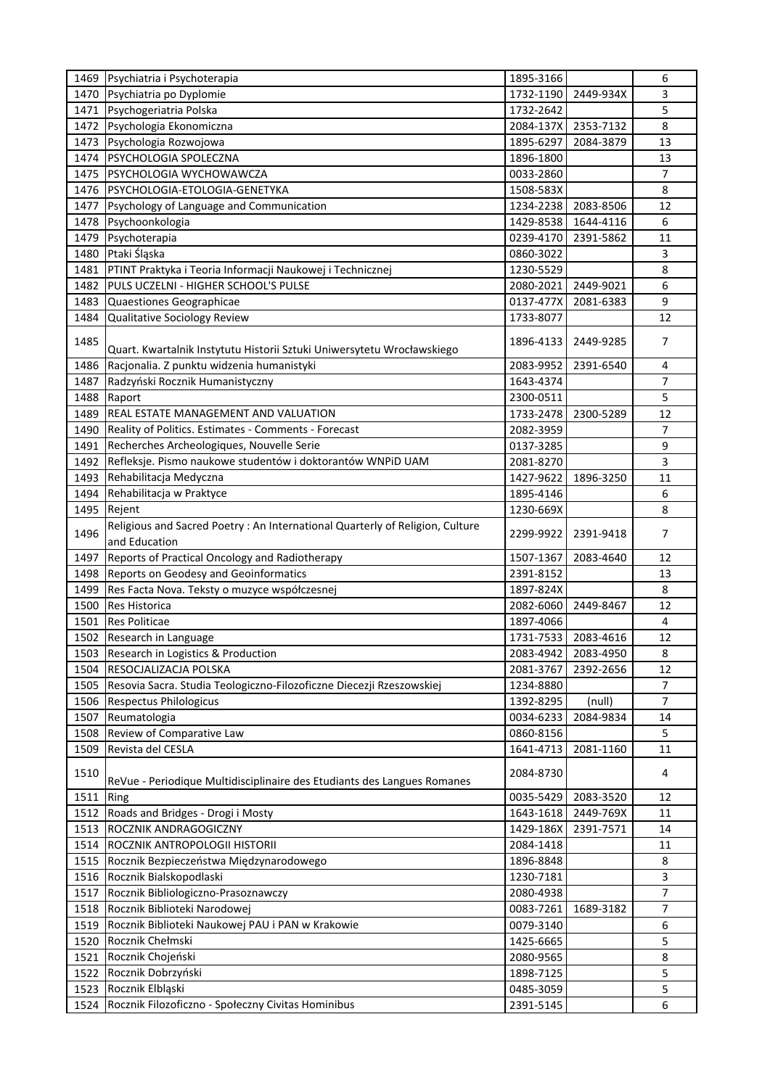| 1469 | Psychiatria i Psychoterapia                                                   | 1895-3166 |           | 6              |
|------|-------------------------------------------------------------------------------|-----------|-----------|----------------|
| 1470 | Psychiatria po Dyplomie                                                       | 1732-1190 | 2449-934X | 3              |
| 1471 | Psychogeriatria Polska                                                        | 1732-2642 |           | 5              |
| 1472 | Psychologia Ekonomiczna                                                       | 2084-137X | 2353-7132 | 8              |
| 1473 | Psychologia Rozwojowa                                                         | 1895-6297 | 2084-3879 | 13             |
| 1474 | PSYCHOLOGIA SPOLECZNA                                                         | 1896-1800 |           | 13             |
| 1475 | PSYCHOLOGIA WYCHOWAWCZA                                                       | 0033-2860 |           | 7              |
| 1476 | PSYCHOLOGIA-ETOLOGIA-GENETYKA                                                 | 1508-583X |           | 8              |
| 1477 | Psychology of Language and Communication                                      | 1234-2238 | 2083-8506 | 12             |
| 1478 | Psychoonkologia                                                               | 1429-8538 | 1644-4116 | 6              |
| 1479 | Psychoterapia                                                                 | 0239-4170 | 2391-5862 | 11             |
| 1480 | Ptaki Śląska                                                                  | 0860-3022 |           | 3              |
| 1481 | PTINT Praktyka i Teoria Informacji Naukowej i Technicznej                     | 1230-5529 |           | 8              |
| 1482 | PULS UCZELNI - HIGHER SCHOOL'S PULSE                                          | 2080-2021 | 2449-9021 | 6              |
| 1483 | Quaestiones Geographicae                                                      | 0137-477X | 2081-6383 | 9              |
| 1484 | Qualitative Sociology Review                                                  | 1733-8077 |           | 12             |
| 1485 |                                                                               | 1896-4133 | 2449-9285 | 7              |
|      | Quart. Kwartalnik Instytutu Historii Sztuki Uniwersytetu Wrocławskiego        |           |           |                |
| 1486 | Racjonalia. Z punktu widzenia humanistyki                                     | 2083-9952 | 2391-6540 | 4              |
| 1487 | Radzyński Rocznik Humanistyczny                                               | 1643-4374 |           | 7              |
| 1488 | Raport                                                                        | 2300-0511 |           | 5              |
| 1489 | <b>REAL ESTATE MANAGEMENT AND VALUATION</b>                                   | 1733-2478 | 2300-5289 | 12             |
| 1490 | Reality of Politics. Estimates - Comments - Forecast                          | 2082-3959 |           | 7              |
| 1491 | Recherches Archeologiques, Nouvelle Serie                                     | 0137-3285 |           | 9              |
| 1492 | Refleksje. Pismo naukowe studentów i doktorantów WNPiD UAM                    | 2081-8270 |           | 3              |
| 1493 | Rehabilitacja Medyczna                                                        | 1427-9622 | 1896-3250 | 11             |
| 1494 | Rehabilitacja w Praktyce                                                      | 1895-4146 |           | 6              |
| 1495 | Rejent                                                                        | 1230-669X |           | 8              |
|      | Religious and Sacred Poetry : An International Quarterly of Religion, Culture |           |           |                |
| 1496 | and Education                                                                 | 2299-9922 | 2391-9418 | 7              |
| 1497 | Reports of Practical Oncology and Radiotherapy                                | 1507-1367 | 2083-4640 | 12             |
| 1498 | Reports on Geodesy and Geoinformatics                                         | 2391-8152 |           | 13             |
| 1499 | Res Facta Nova. Teksty o muzyce współczesnej                                  | 1897-824X |           | 8              |
| 1500 | Res Historica                                                                 | 2082-6060 | 2449-8467 | 12             |
| 1501 | <b>Res Politicae</b>                                                          | 1897-4066 |           | 4              |
| 1502 | Research in Language                                                          | 1731-7533 | 2083-4616 | 12             |
| 1503 | Research in Logistics & Production                                            | 2083-4942 | 2083-4950 | 8              |
| 1504 | RESOCJALIZACJA POLSKA                                                         | 2081-3767 | 2392-2656 | 12             |
| 1505 | Resovia Sacra. Studia Teologiczno-Filozoficzne Diecezji Rzeszowskiej          | 1234-8880 |           | $\overline{7}$ |
| 1506 | Respectus Philologicus                                                        | 1392-8295 | (null)    | 7              |
| 1507 | Reumatologia                                                                  | 0034-6233 | 2084-9834 | 14             |
| 1508 | Review of Comparative Law                                                     | 0860-8156 |           | 5              |
| 1509 | Revista del CESLA                                                             | 1641-4713 | 2081-1160 | 11             |
| 1510 | ReVue - Periodique Multidisciplinaire des Etudiants des Langues Romanes       | 2084-8730 |           | 4              |
| 1511 | Ring                                                                          | 0035-5429 | 2083-3520 | 12             |
| 1512 | Roads and Bridges - Drogi i Mosty                                             | 1643-1618 | 2449-769X | 11             |
| 1513 | ROCZNIK ANDRAGOGICZNY                                                         | 1429-186X | 2391-7571 | 14             |
| 1514 | ROCZNIK ANTROPOLOGII HISTORII                                                 | 2084-1418 |           | 11             |
| 1515 | Rocznik Bezpieczeństwa Międzynarodowego                                       | 1896-8848 |           | 8              |
| 1516 | Rocznik Bialskopodlaski                                                       | 1230-7181 |           | 3              |
| 1517 | Rocznik Bibliologiczno-Prasoznawczy                                           | 2080-4938 |           | $\overline{7}$ |
| 1518 | Rocznik Biblioteki Narodowej                                                  | 0083-7261 | 1689-3182 | 7              |
| 1519 | Rocznik Biblioteki Naukowej PAU i PAN w Krakowie                              | 0079-3140 |           | 6              |
| 1520 | Rocznik Chełmski                                                              | 1425-6665 |           | 5              |
| 1521 | Rocznik Chojeński                                                             | 2080-9565 |           | 8              |
| 1522 | Rocznik Dobrzyński                                                            | 1898-7125 |           | 5              |
| 1523 | Rocznik Elbląski                                                              | 0485-3059 |           | 5              |
| 1524 | Rocznik Filozoficzno - Społeczny Civitas Hominibus                            | 2391-5145 |           | 6              |
|      |                                                                               |           |           |                |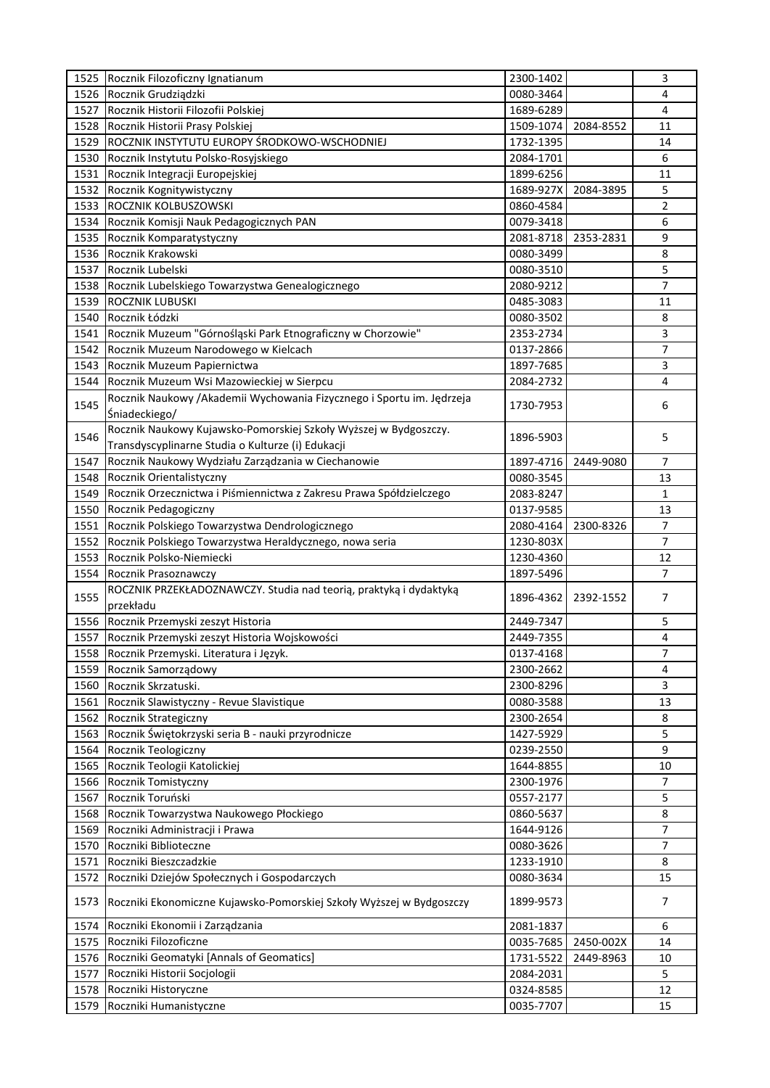|              | 1525 Rocznik Filozoficzny Ignatianum                                                                                  | 2300-1402              |           | 3              |
|--------------|-----------------------------------------------------------------------------------------------------------------------|------------------------|-----------|----------------|
| 1526         | Rocznik Grudziądzki                                                                                                   | 0080-3464              |           | 4              |
| 1527         | Rocznik Historii Filozofii Polskiej                                                                                   | 1689-6289              |           | 4              |
| 1528         | Rocznik Historii Prasy Polskiej                                                                                       | 1509-1074              | 2084-8552 | 11             |
| 1529         | ROCZNIK INSTYTUTU EUROPY ŚRODKOWO-WSCHODNIEJ                                                                          | 1732-1395              |           | 14             |
| 1530         | Rocznik Instytutu Polsko-Rosyjskiego                                                                                  | 2084-1701              |           | 6              |
| 1531         | Rocznik Integracji Europejskiej                                                                                       | 1899-6256              |           | 11             |
| 1532         | Rocznik Kognitywistyczny                                                                                              | 1689-927X              | 2084-3895 | 5              |
| 1533         | ROCZNIK KOLBUSZOWSKI                                                                                                  | 0860-4584              |           | 2              |
| 1534         | Rocznik Komisji Nauk Pedagogicznych PAN                                                                               | 0079-3418              |           | 6              |
| 1535         | Rocznik Komparatystyczny                                                                                              | 2081-8718              | 2353-2831 | 9              |
| 1536         | Rocznik Krakowski                                                                                                     | 0080-3499              |           | 8              |
| 1537         | Rocznik Lubelski                                                                                                      | 0080-3510              |           | 5              |
| 1538         | Rocznik Lubelskiego Towarzystwa Genealogicznego                                                                       | 2080-9212              |           | $\overline{7}$ |
| 1539         | ROCZNIK LUBUSKI                                                                                                       | 0485-3083              |           | 11             |
| 1540         | Rocznik Łódzki                                                                                                        | 0080-3502              |           | 8              |
| 1541         | Rocznik Muzeum "Górnośląski Park Etnograficzny w Chorzowie"                                                           | 2353-2734              |           | 3              |
| 1542         | Rocznik Muzeum Narodowego w Kielcach                                                                                  | 0137-2866              |           | 7              |
| 1543         | Rocznik Muzeum Papiernictwa                                                                                           | 1897-7685              |           | 3              |
|              |                                                                                                                       |                        |           | 4              |
| 1544         | Rocznik Muzeum Wsi Mazowieckiej w Sierpcu<br>Rocznik Naukowy / Akademii Wychowania Fizycznego i Sportu im. Jędrzeja   | 2084-2732              |           |                |
| 1545         | Śniadeckiego/                                                                                                         | 1730-7953              |           | 6              |
| 1546         | Rocznik Naukowy Kujawsko-Pomorskiej Szkoły Wyższej w Bydgoszczy.<br>Transdyscyplinarne Studia o Kulturze (i) Edukacji | 1896-5903              |           | 5              |
| 1547         | Rocznik Naukowy Wydziału Zarządzania w Ciechanowie                                                                    | 1897-4716              | 2449-9080 | 7              |
| 1548         | Rocznik Orientalistyczny                                                                                              | 0080-3545              |           | 13             |
| 1549         | Rocznik Orzecznictwa i Piśmiennictwa z Zakresu Prawa Spółdzielczego                                                   | 2083-8247              |           | $\mathbf{1}$   |
| 1550         | Rocznik Pedagogiczny                                                                                                  | 0137-9585              |           | 13             |
| 1551         | Rocznik Polskiego Towarzystwa Dendrologicznego                                                                        | 2080-4164              | 2300-8326 | $\overline{7}$ |
| 1552         | Rocznik Polskiego Towarzystwa Heraldycznego, nowa seria                                                               | 1230-803X              |           | $\overline{7}$ |
| 1553         | Rocznik Polsko-Niemiecki                                                                                              | 1230-4360              |           | 12             |
| 1554         | Rocznik Prasoznawczy                                                                                                  | 1897-5496              |           | $\overline{7}$ |
| 1555         | ROCZNIK PRZEKŁADOZNAWCZY. Studia nad teorią, praktyką i dydaktyką<br>przekładu                                        | 1896-4362              | 2392-1552 | 7              |
| 1556         | Rocznik Przemyski zeszyt Historia                                                                                     | 2449-7347              |           | 5              |
| 1557         | Rocznik Przemyski zeszyt Historia Wojskowości                                                                         | 2449-7355              |           | 4              |
| 1558         | Rocznik Przemyski. Literatura i Język.                                                                                |                        |           | 7              |
| 1559         | Rocznik Samorządowy                                                                                                   | 0137-4168<br>2300-2662 |           | 4              |
|              |                                                                                                                       |                        |           | 3              |
| 1560         | Rocznik Skrzatuski.                                                                                                   | 2300-8296              |           |                |
| 1561         | Rocznik Slawistyczny - Revue Slavistique                                                                              | 0080-3588              |           | 13             |
| 1562         | Rocznik Strategiczny                                                                                                  | 2300-2654              |           | 8              |
| 1563         | Rocznik Świętokrzyski seria B - nauki przyrodnicze                                                                    | 1427-5929              |           | 5              |
| 1564         | Rocznik Teologiczny                                                                                                   | 0239-2550              |           | 9              |
| 1565         | Rocznik Teologii Katolickiej                                                                                          | 1644-8855              |           | 10             |
| 1566         | Rocznik Tomistyczny                                                                                                   | 2300-1976              |           | $\overline{7}$ |
| 1567         | Rocznik Toruński                                                                                                      | 0557-2177              |           | 5              |
| 1568         | Rocznik Towarzystwa Naukowego Płockiego                                                                               | 0860-5637              |           | 8              |
| 1569         | Roczniki Administracji i Prawa                                                                                        | 1644-9126              |           | 7              |
| 1570         | Roczniki Biblioteczne                                                                                                 | 0080-3626              |           | $\overline{7}$ |
| 1571         | Roczniki Bieszczadzkie                                                                                                | 1233-1910              |           | 8              |
| 1572<br>1573 | Roczniki Dziejów Społecznych i Gospodarczych<br>Roczniki Ekonomiczne Kujawsko-Pomorskiej Szkoły Wyższej w Bydgoszczy  | 0080-3634<br>1899-9573 |           | 15<br>7        |
| 1574         | Roczniki Ekonomii i Zarządzania                                                                                       | 2081-1837              |           | 6              |
| 1575         | Roczniki Filozoficzne                                                                                                 | 0035-7685              | 2450-002X | 14             |
| 1576         | Roczniki Geomatyki [Annals of Geomatics]                                                                              | 1731-5522              | 2449-8963 | 10             |
| 1577         | Roczniki Historii Socjologii                                                                                          | 2084-2031              |           | 5              |
| 1578         | Roczniki Historyczne                                                                                                  | 0324-8585              |           | 12             |
| 1579         | Roczniki Humanistyczne                                                                                                | 0035-7707              |           | 15             |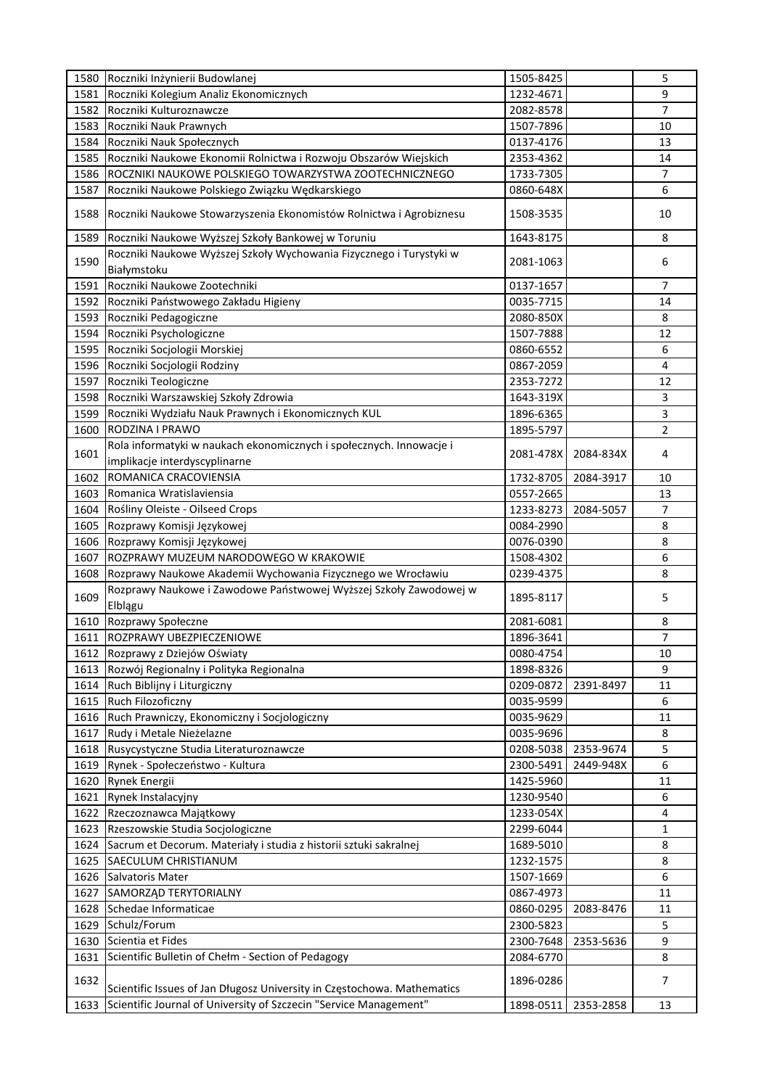| 1580 | Roczniki Inżynierii Budowlanej                                                     | 1505-8425 |           | 5              |
|------|------------------------------------------------------------------------------------|-----------|-----------|----------------|
| 1581 | Roczniki Kolegium Analiz Ekonomicznych                                             | 1232-4671 |           | 9              |
| 1582 | Roczniki Kulturoznawcze                                                            | 2082-8578 |           | $\overline{7}$ |
| 1583 | Roczniki Nauk Prawnych                                                             | 1507-7896 |           | 10             |
| 1584 | Roczniki Nauk Społecznych                                                          | 0137-4176 |           | 13             |
| 1585 | Roczniki Naukowe Ekonomii Rolnictwa i Rozwoju Obszarów Wiejskich                   | 2353-4362 |           | 14             |
| 1586 | ROCZNIKI NAUKOWE POLSKIEGO TOWARZYSTWA ZOOTECHNICZNEGO                             | 1733-7305 |           | 7              |
| 1587 | Roczniki Naukowe Polskiego Związku Wędkarskiego                                    | 0860-648X |           | 6              |
| 1588 | Roczniki Naukowe Stowarzyszenia Ekonomistów Rolnictwa i Agrobiznesu                | 1508-3535 |           | 10             |
| 1589 | Roczniki Naukowe Wyższej Szkoły Bankowej w Toruniu                                 | 1643-8175 |           | 8              |
| 1590 | Roczniki Naukowe Wyższej Szkoły Wychowania Fizycznego i Turystyki w<br>Białymstoku | 2081-1063 |           | 6              |
| 1591 | Roczniki Naukowe Zootechniki                                                       | 0137-1657 |           | 7              |
| 1592 | Roczniki Państwowego Zakładu Higieny                                               | 0035-7715 |           | 14             |
| 1593 | Roczniki Pedagogiczne                                                              | 2080-850X |           | 8              |
| 1594 | Roczniki Psychologiczne                                                            | 1507-7888 |           | 12             |
| 1595 | Roczniki Socjologii Morskiej                                                       | 0860-6552 |           | 6              |
| 1596 | Roczniki Socjologii Rodziny                                                        | 0867-2059 |           | 4              |
| 1597 | Roczniki Teologiczne                                                               | 2353-7272 |           | 12             |
| 1598 | Roczniki Warszawskiej Szkoły Zdrowia                                               | 1643-319X |           | 3              |
| 1599 | Roczniki Wydziału Nauk Prawnych i Ekonomicznych KUL                                | 1896-6365 |           | 3              |
| 1600 | RODZINA I PRAWO                                                                    | 1895-5797 |           | 2              |
|      | Rola informatyki w naukach ekonomicznych i społecznych. Innowacje i                |           |           |                |
| 1601 | implikacje interdyscyplinarne                                                      | 2081-478X | 2084-834X | 4              |
| 1602 | ROMANICA CRACOVIENSIA                                                              | 1732-8705 | 2084-3917 | 10             |
| 1603 | Romanica Wratislaviensia                                                           | 0557-2665 |           | 13             |
| 1604 | Rośliny Oleiste - Oilseed Crops                                                    | 1233-8273 | 2084-5057 | $\overline{7}$ |
| 1605 | Rozprawy Komisji Językowej                                                         | 0084-2990 |           | 8              |
| 1606 | Rozprawy Komisji Językowej                                                         | 0076-0390 |           | 8              |
| 1607 | ROZPRAWY MUZEUM NARODOWEGO W KRAKOWIE                                              | 1508-4302 |           | 6              |
| 1608 | Rozprawy Naukowe Akademii Wychowania Fizycznego we Wrocławiu                       | 0239-4375 |           | 8              |
| 1609 | Rozprawy Naukowe i Zawodowe Państwowej Wyższej Szkoły Zawodowej w<br>Elblągu       | 1895-8117 |           | 5              |
| 1610 | Rozprawy Społeczne                                                                 | 2081-6081 |           | 8              |
| 1611 | ROZPRAWY UBEZPIECZENIOWE                                                           | 1896-3641 |           | 7              |
|      | 1612 Rozprawy z Dziejów Oświaty                                                    | 0080-4754 |           | 10             |
| 1613 | Rozwój Regionalny i Polityka Regionalna                                            | 1898-8326 |           | 9              |
| 1614 | Ruch Biblijny i Liturgiczny                                                        | 0209-0872 | 2391-8497 | 11             |
| 1615 | Ruch Filozoficzny                                                                  | 0035-9599 |           | 6              |
| 1616 | Ruch Prawniczy, Ekonomiczny i Socjologiczny                                        | 0035-9629 |           | 11             |
| 1617 | Rudy i Metale Nieżelazne                                                           | 0035-9696 |           | 8              |
| 1618 | Rusycystyczne Studia Literaturoznawcze                                             | 0208-5038 | 2353-9674 | 5              |
| 1619 | Rynek - Społeczeństwo - Kultura                                                    | 2300-5491 | 2449-948X | 6              |
| 1620 | Rynek Energii                                                                      | 1425-5960 |           | 11             |
| 1621 | Rynek Instalacyjny                                                                 | 1230-9540 |           | 6              |
| 1622 | Rzeczoznawca Majątkowy                                                             | 1233-054X |           | 4              |
| 1623 | Rzeszowskie Studia Socjologiczne                                                   | 2299-6044 |           | 1              |
| 1624 | Sacrum et Decorum. Materiały i studia z historii sztuki sakralnej                  | 1689-5010 |           | 8              |
| 1625 | <b>SAECULUM CHRISTIANUM</b>                                                        | 1232-1575 |           | 8              |
| 1626 | Salvatoris Mater                                                                   | 1507-1669 |           | 6              |
| 1627 | SAMORZĄD TERYTORIALNY                                                              | 0867-4973 |           | 11             |
| 1628 | Schedae Informaticae                                                               | 0860-0295 | 2083-8476 | 11             |
| 1629 | Schulz/Forum                                                                       | 2300-5823 |           | 5              |
| 1630 | Scientia et Fides                                                                  | 2300-7648 | 2353-5636 | 9              |
| 1631 |                                                                                    | 2084-6770 |           | 8              |
|      | Scientific Bulletin of Chełm - Section of Pedagogy                                 |           |           |                |
| 1632 | Scientific Issues of Jan Długosz University in Częstochowa. Mathematics            | 1896-0286 |           | 7              |
| 1633 | Scientific Journal of University of Szczecin "Service Management"                  | 1898-0511 | 2353-2858 | 13             |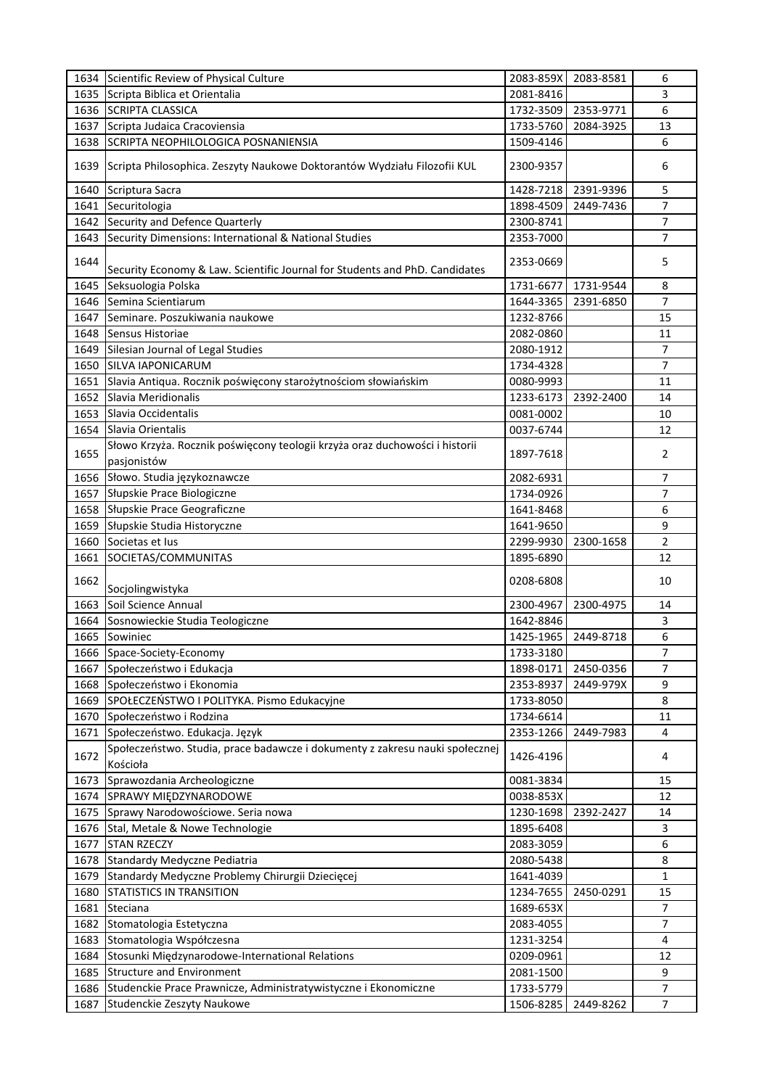| 1634 | Scientific Review of Physical Culture                                                      | 2083-859X | 2083-8581 | 6              |
|------|--------------------------------------------------------------------------------------------|-----------|-----------|----------------|
| 1635 | Scripta Biblica et Orientalia                                                              | 2081-8416 |           | 3              |
|      | 1636 SCRIPTA CLASSICA                                                                      | 1732-3509 | 2353-9771 | 6              |
| 1637 | Scripta Judaica Cracoviensia                                                               | 1733-5760 | 2084-3925 | 13             |
| 1638 | SCRIPTA NEOPHILOLOGICA POSNANIENSIA                                                        | 1509-4146 |           | 6              |
| 1639 | Scripta Philosophica. Zeszyty Naukowe Doktorantów Wydziału Filozofii KUL                   | 2300-9357 |           | 6              |
| 1640 | Scriptura Sacra                                                                            | 1428-7218 | 2391-9396 | 5              |
| 1641 | Securitologia                                                                              | 1898-4509 | 2449-7436 | 7              |
| 1642 | Security and Defence Quarterly                                                             | 2300-8741 |           | 7              |
| 1643 | Security Dimensions: International & National Studies                                      | 2353-7000 |           | 7              |
| 1644 | Security Economy & Law. Scientific Journal for Students and PhD. Candidates                | 2353-0669 |           | 5              |
| 1645 | Seksuologia Polska                                                                         | 1731-6677 | 1731-9544 | 8              |
| 1646 | Semina Scientiarum                                                                         | 1644-3365 | 2391-6850 | $\overline{7}$ |
| 1647 | Seminare. Poszukiwania naukowe                                                             | 1232-8766 |           | 15             |
| 1648 | Sensus Historiae                                                                           | 2082-0860 |           | 11             |
| 1649 | Silesian Journal of Legal Studies                                                          | 2080-1912 |           | $\overline{7}$ |
| 1650 | <b>SILVA IAPONICARUM</b>                                                                   | 1734-4328 |           | $\overline{7}$ |
| 1651 | Slavia Antiqua. Rocznik poświęcony starożytnościom słowiańskim                             | 0080-9993 |           | 11             |
|      | Slavia Meridionalis                                                                        |           |           |                |
| 1652 |                                                                                            | 1233-6173 | 2392-2400 | 14             |
| 1653 | Slavia Occidentalis                                                                        | 0081-0002 |           | 10             |
| 1654 | Slavia Orientalis                                                                          | 0037-6744 |           | 12             |
| 1655 | Słowo Krzyża. Rocznik poświęcony teologii krzyża oraz duchowości i historii<br>pasjonistów | 1897-7618 |           | 2              |
| 1656 | Słowo. Studia językoznawcze                                                                | 2082-6931 |           | 7              |
| 1657 | Słupskie Prace Biologiczne                                                                 | 1734-0926 |           | 7              |
| 1658 | Słupskie Prace Geograficzne                                                                | 1641-8468 |           | 6              |
| 1659 | Słupskie Studia Historyczne                                                                | 1641-9650 |           | 9              |
| 1660 | Societas et lus                                                                            | 2299-9930 | 2300-1658 | $\overline{2}$ |
| 1661 | SOCIETAS/COMMUNITAS                                                                        | 1895-6890 |           | 12             |
| 1662 | Socjolingwistyka                                                                           | 0208-6808 |           | 10             |
| 1663 | Soil Science Annual                                                                        | 2300-4967 | 2300-4975 | 14             |
| 1664 | Sosnowieckie Studia Teologiczne                                                            | 1642-8846 |           | 3              |
| 1665 | Sowiniec                                                                                   | 1425-1965 | 2449-8718 | 6              |
| 1666 | Space-Society-Economy                                                                      | 1733-3180 |           | $\prime$       |
| 1667 | Społeczeństwo i Edukacja                                                                   | 1898-0171 | 2450-0356 | 7              |
|      |                                                                                            |           |           |                |
| 1668 | Społeczeństwo i Ekonomia                                                                   | 2353-8937 | 2449-979X | 9              |
| 1669 | SPOŁECZEŃSTWO I POLITYKA. Pismo Edukacyjne                                                 | 1733-8050 |           | 8              |
| 1670 | Społeczeństwo i Rodzina                                                                    | 1734-6614 |           | 11             |
| 1671 | Społeczeństwo. Edukacja. Język                                                             | 2353-1266 | 2449-7983 | 4              |
| 1672 | Społeczeństwo. Studia, prace badawcze i dokumenty z zakresu nauki społecznej<br>Kościoła   | 1426-4196 |           | 4              |
| 1673 | Sprawozdania Archeologiczne                                                                | 0081-3834 |           | 15             |
| 1674 | SPRAWY MIEDZYNARODOWE                                                                      | 0038-853X |           | 12             |
| 1675 | Sprawy Narodowościowe. Seria nowa                                                          | 1230-1698 | 2392-2427 | 14             |
| 1676 | Stal, Metale & Nowe Technologie                                                            | 1895-6408 |           | 3              |
| 1677 | <b>STAN RZECZY</b>                                                                         | 2083-3059 |           | 6              |
| 1678 | Standardy Medyczne Pediatria                                                               | 2080-5438 |           | 8              |
| 1679 | Standardy Medyczne Problemy Chirurgii Dziecięcej                                           | 1641-4039 |           | 1              |
| 1680 | STATISTICS IN TRANSITION                                                                   | 1234-7655 | 2450-0291 | 15             |
| 1681 | Steciana                                                                                   | 1689-653X |           | 7              |
| 1682 | Stomatologia Estetyczna                                                                    | 2083-4055 |           | 7              |
| 1683 | Stomatologia Współczesna                                                                   | 1231-3254 |           | 4              |
| 1684 | Stosunki Międzynarodowe-International Relations                                            | 0209-0961 |           | 12             |
|      | <b>Structure and Environment</b>                                                           | 2081-1500 |           | 9              |
| 1685 |                                                                                            |           |           |                |
| 1686 | Studenckie Prace Prawnicze, Administratywistyczne i Ekonomiczne                            | 1733-5779 |           | 7              |
| 1687 | Studenckie Zeszyty Naukowe                                                                 | 1506-8285 | 2449-8262 | 7              |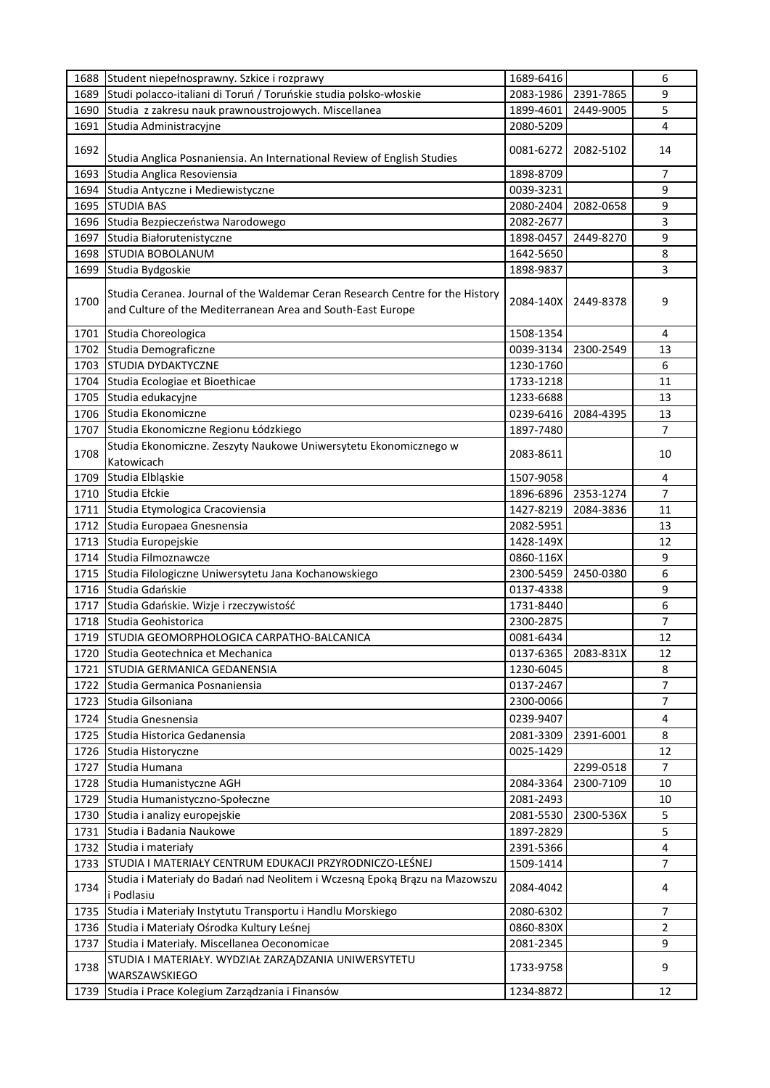| Studi polacco-italiani di Toruń / Toruńskie studia polsko-włoskie<br>1689<br>2083-1986<br>2391-7865<br>Studia z zakresu nauk prawnoustrojowych. Miscellanea<br>1690<br>1899-4601<br>2449-9005<br>Studia Administracyjne<br>1691<br>2080-5209<br>1692<br>0081-6272<br>2082-5102<br>Studia Anglica Posnaniensia. An International Review of English Studies<br>1693<br>Studia Anglica Resoviensia<br>1898-8709<br>1694<br>Studia Antyczne i Mediewistyczne<br>0039-3231<br><b>STUDIA BAS</b><br>1695<br>2080-2404<br>2082-0658<br>Studia Bezpieczeństwa Narodowego<br>2082-2677<br>1696<br>2449-8270<br>1697<br>Studia Białorutenistyczne<br>1898-0457<br><b>STUDIA BOBOLANUM</b><br>1698<br>1642-5650<br>1699<br>Studia Bydgoskie<br>1898-9837 | 9<br>5<br>4<br>14<br>7<br>9<br>9<br>3<br>9<br>8<br>3<br>9<br>4 |
|-----------------------------------------------------------------------------------------------------------------------------------------------------------------------------------------------------------------------------------------------------------------------------------------------------------------------------------------------------------------------------------------------------------------------------------------------------------------------------------------------------------------------------------------------------------------------------------------------------------------------------------------------------------------------------------------------------------------------------------------------|----------------------------------------------------------------|
|                                                                                                                                                                                                                                                                                                                                                                                                                                                                                                                                                                                                                                                                                                                                               |                                                                |
|                                                                                                                                                                                                                                                                                                                                                                                                                                                                                                                                                                                                                                                                                                                                               |                                                                |
|                                                                                                                                                                                                                                                                                                                                                                                                                                                                                                                                                                                                                                                                                                                                               |                                                                |
|                                                                                                                                                                                                                                                                                                                                                                                                                                                                                                                                                                                                                                                                                                                                               |                                                                |
|                                                                                                                                                                                                                                                                                                                                                                                                                                                                                                                                                                                                                                                                                                                                               |                                                                |
|                                                                                                                                                                                                                                                                                                                                                                                                                                                                                                                                                                                                                                                                                                                                               |                                                                |
|                                                                                                                                                                                                                                                                                                                                                                                                                                                                                                                                                                                                                                                                                                                                               |                                                                |
|                                                                                                                                                                                                                                                                                                                                                                                                                                                                                                                                                                                                                                                                                                                                               |                                                                |
|                                                                                                                                                                                                                                                                                                                                                                                                                                                                                                                                                                                                                                                                                                                                               |                                                                |
|                                                                                                                                                                                                                                                                                                                                                                                                                                                                                                                                                                                                                                                                                                                                               |                                                                |
|                                                                                                                                                                                                                                                                                                                                                                                                                                                                                                                                                                                                                                                                                                                                               |                                                                |
| Studia Ceranea. Journal of the Waldemar Ceran Research Centre for the History<br>1700<br>2084-140X<br>2449-8378<br>and Culture of the Mediterranean Area and South-East Europe                                                                                                                                                                                                                                                                                                                                                                                                                                                                                                                                                                |                                                                |
| 1701 Studia Choreologica<br>1508-1354                                                                                                                                                                                                                                                                                                                                                                                                                                                                                                                                                                                                                                                                                                         |                                                                |
| Studia Demograficzne<br>1702<br>0039-3134<br>2300-2549                                                                                                                                                                                                                                                                                                                                                                                                                                                                                                                                                                                                                                                                                        | 13                                                             |
| 1703<br><b>STUDIA DYDAKTYCZNE</b><br>1230-1760                                                                                                                                                                                                                                                                                                                                                                                                                                                                                                                                                                                                                                                                                                | 6                                                              |
| 1704<br>Studia Ecologiae et Bioethicae<br>1733-1218                                                                                                                                                                                                                                                                                                                                                                                                                                                                                                                                                                                                                                                                                           | 11                                                             |
| 1705<br>Studia edukacyjne<br>1233-6688                                                                                                                                                                                                                                                                                                                                                                                                                                                                                                                                                                                                                                                                                                        | 13                                                             |
| 1706<br>Studia Ekonomiczne<br>0239-6416<br>2084-4395                                                                                                                                                                                                                                                                                                                                                                                                                                                                                                                                                                                                                                                                                          | 13                                                             |
| 1897-7480<br>1707<br>Studia Ekonomiczne Regionu Łódzkiego                                                                                                                                                                                                                                                                                                                                                                                                                                                                                                                                                                                                                                                                                     | 7                                                              |
| Studia Ekonomiczne. Zeszyty Naukowe Uniwersytetu Ekonomicznego w<br>1708<br>2083-8611<br>Katowicach                                                                                                                                                                                                                                                                                                                                                                                                                                                                                                                                                                                                                                           | 10                                                             |
| 1709<br>Studia Elbląskie<br>1507-9058                                                                                                                                                                                                                                                                                                                                                                                                                                                                                                                                                                                                                                                                                                         | 4                                                              |
| 1710<br>Studia Ełckie<br>1896-6896<br>2353-1274                                                                                                                                                                                                                                                                                                                                                                                                                                                                                                                                                                                                                                                                                               | $\overline{7}$                                                 |
| 1711<br>Studia Etymologica Cracoviensia<br>1427-8219<br>2084-3836                                                                                                                                                                                                                                                                                                                                                                                                                                                                                                                                                                                                                                                                             | 11                                                             |
| Studia Europaea Gnesnensia<br>1712<br>2082-5951                                                                                                                                                                                                                                                                                                                                                                                                                                                                                                                                                                                                                                                                                               | 13                                                             |
| Studia Europejskie<br>1428-149X<br>1713                                                                                                                                                                                                                                                                                                                                                                                                                                                                                                                                                                                                                                                                                                       | 12                                                             |
| 1714 Studia Filmoznawcze<br>0860-116X                                                                                                                                                                                                                                                                                                                                                                                                                                                                                                                                                                                                                                                                                                         | 9                                                              |
| 2300-5459<br>1715 Studia Filologiczne Uniwersytetu Jana Kochanowskiego<br>2450-0380                                                                                                                                                                                                                                                                                                                                                                                                                                                                                                                                                                                                                                                           | 6                                                              |
| Studia Gdańskie<br>1716<br>0137-4338                                                                                                                                                                                                                                                                                                                                                                                                                                                                                                                                                                                                                                                                                                          | 9                                                              |
| Studia Gdańskie. Wizje i rzeczywistość<br>1717<br>1731-8440                                                                                                                                                                                                                                                                                                                                                                                                                                                                                                                                                                                                                                                                                   | 6                                                              |
| Studia Geohistorica<br>1718<br>2300-2875                                                                                                                                                                                                                                                                                                                                                                                                                                                                                                                                                                                                                                                                                                      | 7                                                              |
| STUDIA GEOMORPHOLOGICA CARPATHO-BALCANICA<br>0081-6434<br>1719                                                                                                                                                                                                                                                                                                                                                                                                                                                                                                                                                                                                                                                                                | 12                                                             |
| 1720 Studia Geotechnica et Mechanica<br>0137-6365<br>2083-831X                                                                                                                                                                                                                                                                                                                                                                                                                                                                                                                                                                                                                                                                                | 12                                                             |
| STUDIA GERMANICA GEDANENSIA<br>1721<br>1230-6045                                                                                                                                                                                                                                                                                                                                                                                                                                                                                                                                                                                                                                                                                              | 8                                                              |
| 1722 Studia Germanica Posnaniensia<br>0137-2467                                                                                                                                                                                                                                                                                                                                                                                                                                                                                                                                                                                                                                                                                               | $\overline{7}$                                                 |
| 1723 Studia Gilsoniana<br>2300-0066                                                                                                                                                                                                                                                                                                                                                                                                                                                                                                                                                                                                                                                                                                           | 7                                                              |
| 1724 Studia Gnesnensia<br>0239-9407                                                                                                                                                                                                                                                                                                                                                                                                                                                                                                                                                                                                                                                                                                           | $\overline{4}$                                                 |
| 1725<br>Studia Historica Gedanensia<br>2081-3309<br>2391-6001                                                                                                                                                                                                                                                                                                                                                                                                                                                                                                                                                                                                                                                                                 | 8                                                              |
| 0025-1429<br>1726 Studia Historyczne                                                                                                                                                                                                                                                                                                                                                                                                                                                                                                                                                                                                                                                                                                          | 12                                                             |
| 1727 Studia Humana<br>2299-0518                                                                                                                                                                                                                                                                                                                                                                                                                                                                                                                                                                                                                                                                                                               | $\overline{7}$                                                 |
| 1728 Studia Humanistyczne AGH<br>2084-3364<br>2300-7109                                                                                                                                                                                                                                                                                                                                                                                                                                                                                                                                                                                                                                                                                       | 10                                                             |
| 1729 Studia Humanistyczno-Społeczne<br>2081-2493                                                                                                                                                                                                                                                                                                                                                                                                                                                                                                                                                                                                                                                                                              | 10                                                             |
| Studia i analizy europejskie<br>1730<br>2081-5530<br>2300-536X                                                                                                                                                                                                                                                                                                                                                                                                                                                                                                                                                                                                                                                                                | 5                                                              |
| Studia i Badania Naukowe<br>1897-2829<br>1731                                                                                                                                                                                                                                                                                                                                                                                                                                                                                                                                                                                                                                                                                                 | 5                                                              |
| 1732 Studia i materiały<br>2391-5366                                                                                                                                                                                                                                                                                                                                                                                                                                                                                                                                                                                                                                                                                                          | 4                                                              |
| STUDIA I MATERIAŁY CENTRUM EDUKACJI PRZYRODNICZO-LEŚNEJ<br>1733<br>1509-1414                                                                                                                                                                                                                                                                                                                                                                                                                                                                                                                                                                                                                                                                  | 7                                                              |
| Studia i Materiały do Badań nad Neolitem i Wczesną Epoką Brązu na Mazowszu<br>1734<br>2084-4042<br>i Podlasiu                                                                                                                                                                                                                                                                                                                                                                                                                                                                                                                                                                                                                                 | 4                                                              |
| Studia i Materiały Instytutu Transportu i Handlu Morskiego<br>1735<br>2080-6302                                                                                                                                                                                                                                                                                                                                                                                                                                                                                                                                                                                                                                                               | $\overline{7}$                                                 |
| 1736<br>Studia i Materiały Ośrodka Kultury Leśnej<br>0860-830X                                                                                                                                                                                                                                                                                                                                                                                                                                                                                                                                                                                                                                                                                | 2                                                              |
| 1737<br>Studia i Materiały. Miscellanea Oeconomicae<br>2081-2345                                                                                                                                                                                                                                                                                                                                                                                                                                                                                                                                                                                                                                                                              | 9                                                              |
| STUDIA I MATERIAŁY. WYDZIAŁ ZARZĄDZANIA UNIWERSYTETU<br>1738<br>1733-9758<br>WARSZAWSKIEGO                                                                                                                                                                                                                                                                                                                                                                                                                                                                                                                                                                                                                                                    | 9                                                              |
| 1234-8872<br>1739<br>Studia i Prace Kolegium Zarządzania i Finansów                                                                                                                                                                                                                                                                                                                                                                                                                                                                                                                                                                                                                                                                           | 12                                                             |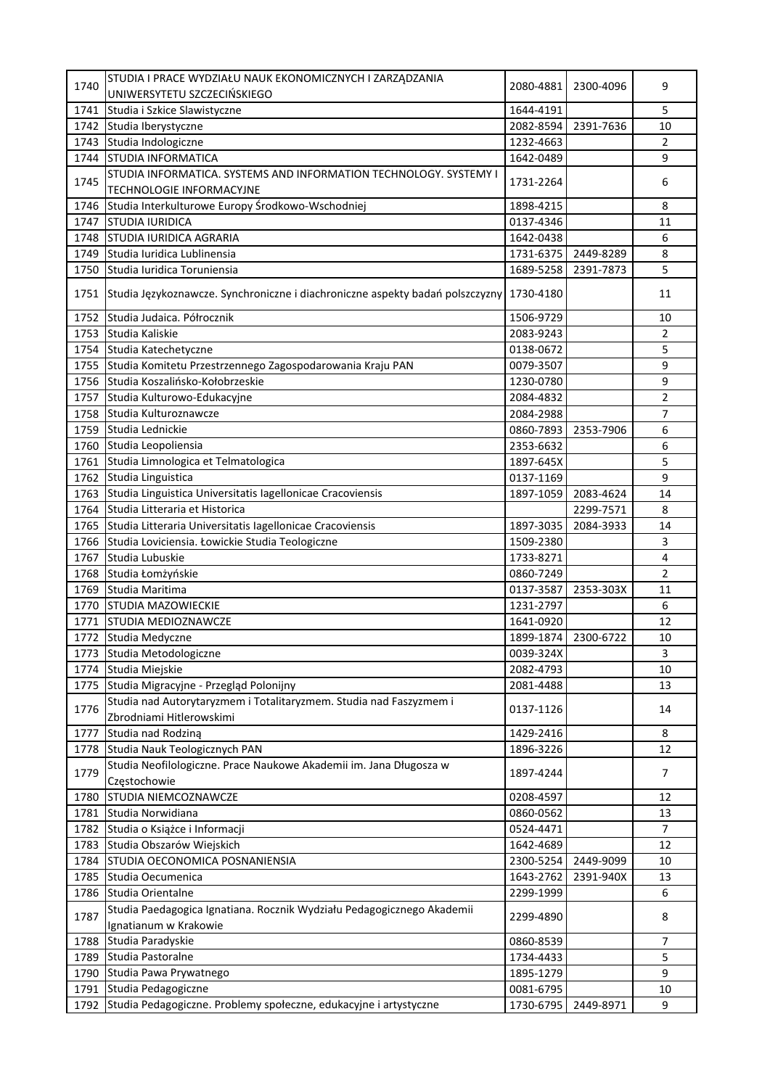| 1740 | STUDIA I PRACE WYDZIAŁU NAUK EKONOMICZNYCH I ZARZĄDZANIA                                      | 2080-4881 | 2300-4096 | 9              |
|------|-----------------------------------------------------------------------------------------------|-----------|-----------|----------------|
|      | UNIWERSYTETU SZCZECIŃSKIEGO                                                                   |           |           |                |
| 1741 | Studia i Szkice Slawistyczne                                                                  | 1644-4191 |           | 5              |
| 1742 | Studia Iberystyczne                                                                           | 2082-8594 | 2391-7636 | 10             |
| 1743 | Studia Indologiczne                                                                           | 1232-4663 |           | $\overline{2}$ |
| 1744 | <b>STUDIA INFORMATICA</b>                                                                     | 1642-0489 |           | 9              |
| 1745 | STUDIA INFORMATICA. SYSTEMS AND INFORMATION TECHNOLOGY. SYSTEMY I<br>TECHNOLOGIE INFORMACYJNE | 1731-2264 |           | 6              |
| 1746 | Studia Interkulturowe Europy Środkowo-Wschodniej                                              | 1898-4215 |           | 8              |
| 1747 | <b>STUDIA IURIDICA</b>                                                                        | 0137-4346 |           | 11             |
| 1748 | <b>STUDIA IURIDICA AGRARIA</b>                                                                | 1642-0438 |           | 6              |
|      |                                                                                               |           |           |                |
| 1749 | Studia Iuridica Lublinensia                                                                   | 1731-6375 | 2449-8289 | 8              |
| 1750 | Studia Iuridica Toruniensia                                                                   | 1689-5258 | 2391-7873 | 5              |
| 1751 | Studia Językoznawcze. Synchroniczne i diachroniczne aspekty badań polszczyzny                 | 1730-4180 |           | 11             |
| 1752 | Studia Judaica. Półrocznik                                                                    | 1506-9729 |           | 10             |
| 1753 | Studia Kaliskie                                                                               | 2083-9243 |           | $\overline{2}$ |
| 1754 | Studia Katechetyczne                                                                          | 0138-0672 |           | 5              |
| 1755 | Studia Komitetu Przestrzennego Zagospodarowania Kraju PAN                                     | 0079-3507 |           | 9              |
|      | 1756 Studia Koszalińsko-Kołobrzeskie                                                          | 1230-0780 |           | 9              |
| 1757 | Studia Kulturowo-Edukacyjne                                                                   | 2084-4832 |           | 2              |
| 1758 | Studia Kulturoznawcze                                                                         | 2084-2988 |           | 7              |
| 1759 | Studia Lednickie                                                                              | 0860-7893 | 2353-7906 | 6              |
| 1760 | Studia Leopoliensia                                                                           | 2353-6632 |           | 6              |
|      |                                                                                               |           |           |                |
| 1761 | Studia Limnologica et Telmatologica                                                           | 1897-645X |           | 5              |
| 1762 | Studia Linguistica                                                                            | 0137-1169 |           | 9              |
| 1763 | Studia Linguistica Universitatis Iagellonicae Cracoviensis                                    | 1897-1059 | 2083-4624 | 14             |
| 1764 | Studia Litteraria et Historica                                                                |           | 2299-7571 | 8              |
| 1765 | Studia Litteraria Universitatis Iagellonicae Cracoviensis                                     | 1897-3035 | 2084-3933 | 14             |
| 1766 | Studia Loviciensia. Łowickie Studia Teologiczne                                               | 1509-2380 |           | 3              |
| 1767 | Studia Lubuskie                                                                               | 1733-8271 |           | 4              |
| 1768 | Studia Łomżyńskie                                                                             | 0860-7249 |           | $\overline{2}$ |
| 1769 | Studia Maritima                                                                               | 0137-3587 | 2353-303X | 11             |
| 1770 | <b>STUDIA MAZOWIECKIE</b>                                                                     | 1231-2797 |           | 6              |
| 1771 | STUDIA MEDIOZNAWCZE                                                                           | 1641-0920 |           | 12             |
| 1772 | Studia Medyczne                                                                               | 1899-1874 | 2300-6722 | 10             |
|      | 1773 Studia Metodologiczne                                                                    | 0039-324X |           | 3              |
| 1774 | Studia Miejskie                                                                               | 2082-4793 |           | 10             |
| 1775 | Studia Migracyjne - Przegląd Polonijny                                                        | 2081-4488 |           | 13             |
|      | Studia nad Autorytaryzmem i Totalitaryzmem. Studia nad Faszyzmem i                            |           |           |                |
| 1776 | Zbrodniami Hitlerowskimi                                                                      | 0137-1126 |           | 14             |
| 1777 | Studia nad Rodziną                                                                            | 1429-2416 |           | 8              |
| 1778 | Studia Nauk Teologicznych PAN                                                                 | 1896-3226 |           | 12             |
|      | Studia Neofilologiczne. Prace Naukowe Akademii im. Jana Długosza w                            |           |           |                |
| 1779 | Częstochowie                                                                                  | 1897-4244 |           | 7              |
| 1780 | STUDIA NIEMCOZNAWCZE                                                                          | 0208-4597 |           | 12             |
| 1781 | Studia Norwidiana                                                                             | 0860-0562 |           | 13             |
| 1782 | Studia o Książce i Informacji                                                                 | 0524-4471 |           | $\overline{7}$ |
| 1783 | Studia Obszarów Wiejskich                                                                     | 1642-4689 |           | 12             |
| 1784 | STUDIA OECONOMICA POSNANIENSIA                                                                | 2300-5254 | 2449-9099 | 10             |
| 1785 | Studia Oecumenica                                                                             | 1643-2762 | 2391-940X | 13             |
| 1786 | Studia Orientalne                                                                             | 2299-1999 |           | 6              |
| 1787 | Studia Paedagogica Ignatiana. Rocznik Wydziału Pedagogicznego Akademii                        | 2299-4890 |           | 8              |
|      | Ignatianum w Krakowie                                                                         |           |           |                |
| 1788 | Studia Paradyskie                                                                             | 0860-8539 |           | 7              |
| 1789 | Studia Pastoralne                                                                             | 1734-4433 |           | 5              |
| 1790 | Studia Pawa Prywatnego                                                                        | 1895-1279 |           | 9              |
| 1791 | Studia Pedagogiczne                                                                           | 0081-6795 |           | 10             |
| 1792 | Studia Pedagogiczne. Problemy społeczne, edukacyjne i artystyczne                             | 1730-6795 | 2449-8971 | 9              |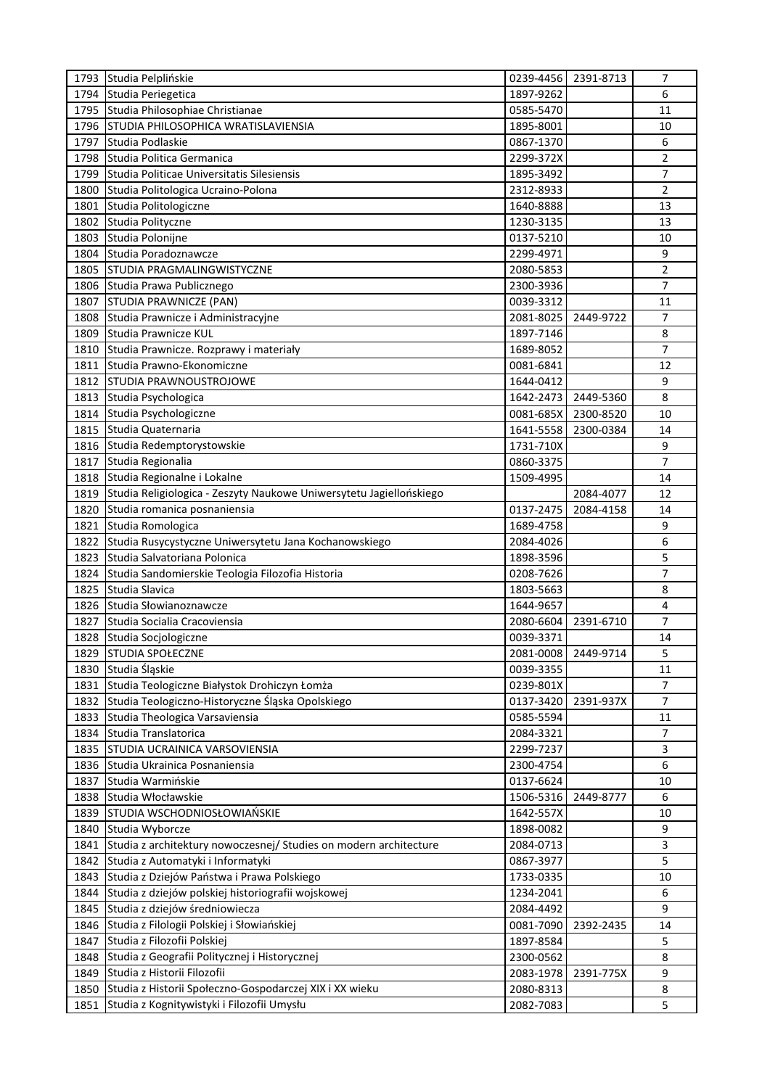|      | 1793 Studia Pelplińskie                                             |           | 0239-4456 2391-8713 | 7              |
|------|---------------------------------------------------------------------|-----------|---------------------|----------------|
| 1794 | Studia Periegetica                                                  | 1897-9262 |                     | 6              |
| 1795 | Studia Philosophiae Christianae                                     | 0585-5470 |                     | 11             |
| 1796 | STUDIA PHILOSOPHICA WRATISLAVIENSIA                                 | 1895-8001 |                     | 10             |
| 1797 | Studia Podlaskie                                                    | 0867-1370 |                     | 6              |
| 1798 | Studia Politica Germanica                                           | 2299-372X |                     | 2              |
| 1799 | Studia Politicae Universitatis Silesiensis                          | 1895-3492 |                     | 7              |
| 1800 | Studia Politologica Ucraino-Polona                                  | 2312-8933 |                     | 2              |
| 1801 | Studia Politologiczne                                               | 1640-8888 |                     | 13             |
| 1802 | Studia Polityczne                                                   | 1230-3135 |                     | 13             |
| 1803 | Studia Polonijne                                                    | 0137-5210 |                     | 10             |
| 1804 | Studia Poradoznawcze                                                | 2299-4971 |                     | 9              |
| 1805 | <b>STUDIA PRAGMALINGWISTYCZNE</b>                                   | 2080-5853 |                     | $\overline{2}$ |
| 1806 | Studia Prawa Publicznego                                            | 2300-3936 |                     | 7              |
| 1807 | STUDIA PRAWNICZE (PAN)                                              | 0039-3312 |                     | 11             |
| 1808 | Studia Prawnicze i Administracyjne                                  | 2081-8025 | 2449-9722           | 7              |
| 1809 | Studia Prawnicze KUL                                                | 1897-7146 |                     | 8              |
| 1810 | Studia Prawnicze. Rozprawy i materiały                              | 1689-8052 |                     | 7              |
| 1811 | Studia Prawno-Ekonomiczne                                           | 0081-6841 |                     | 12             |
| 1812 | <b>STUDIA PRAWNOUSTROJOWE</b>                                       | 1644-0412 |                     | 9              |
| 1813 | Studia Psychologica                                                 | 1642-2473 | 2449-5360           | 8              |
| 1814 | Studia Psychologiczne                                               | 0081-685X | 2300-8520           | 10             |
| 1815 | Studia Quaternaria                                                  | 1641-5558 | 2300-0384           | 14             |
| 1816 | Studia Redemptorystowskie                                           | 1731-710X |                     | 9              |
| 1817 | Studia Regionalia                                                   | 0860-3375 |                     | $\overline{7}$ |
| 1818 | Studia Regionalne i Lokalne                                         | 1509-4995 |                     | 14             |
| 1819 | Studia Religiologica - Zeszyty Naukowe Uniwersytetu Jagiellońskiego |           | 2084-4077           | 12             |
| 1820 | Studia romanica posnaniensia                                        | 0137-2475 | 2084-4158           | 14             |
| 1821 | Studia Romologica                                                   | 1689-4758 |                     | 9              |
| 1822 | Studia Rusycystyczne Uniwersytetu Jana Kochanowskiego               | 2084-4026 |                     | 6              |
| 1823 | Studia Salvatoriana Polonica                                        | 1898-3596 |                     | 5              |
| 1824 | Studia Sandomierskie Teologia Filozofia Historia                    | 0208-7626 |                     | 7              |
| 1825 | Studia Slavica                                                      | 1803-5663 |                     | 8              |
| 1826 | Studia Słowianoznawcze                                              | 1644-9657 |                     | 4              |
| 1827 | Studia Socialia Cracoviensia                                        | 2080-6604 | 2391-6710           | 7              |
| 1828 | Studia Socjologiczne                                                | 0039-3371 |                     | 14             |
|      | 1829 STUDIA SPOŁECZNE                                               | 2081-0008 | 2449-9714           | 5              |
| 1830 | Studia Śląskie                                                      | 0039-3355 |                     | 11             |
| 1831 | Studia Teologiczne Białystok Drohiczyn Łomża                        | 0239-801X |                     | $\overline{7}$ |
| 1832 | Studia Teologiczno-Historyczne Śląska Opolskiego                    | 0137-3420 | 2391-937X           | $\overline{7}$ |
| 1833 | Studia Theologica Varsaviensia                                      | 0585-5594 |                     | 11             |
| 1834 | Studia Translatorica                                                | 2084-3321 |                     | $\overline{7}$ |
| 1835 | STUDIA UCRAINICA VARSOVIENSIA                                       | 2299-7237 |                     | 3              |
| 1836 | Studia Ukrainica Posnaniensia                                       | 2300-4754 |                     | 6              |
| 1837 | Studia Warmińskie                                                   | 0137-6624 |                     | 10             |
| 1838 | Studia Włocławskie                                                  | 1506-5316 | 2449-8777           | 6              |
| 1839 | STUDIA WSCHODNIOSŁOWIAŃSKIE                                         | 1642-557X |                     | 10             |
| 1840 | Studia Wyborcze                                                     | 1898-0082 |                     | 9              |
| 1841 | Studia z architektury nowoczesnej/ Studies on modern architecture   | 2084-0713 |                     | 3              |
| 1842 | Studia z Automatyki i Informatyki                                   | 0867-3977 |                     | 5              |
| 1843 | Studia z Dziejów Państwa i Prawa Polskiego                          | 1733-0335 |                     | 10             |
| 1844 | Studia z dziejów polskiej historiografii wojskowej                  | 1234-2041 |                     | 6              |
| 1845 | Studia z dziejów średniowiecza                                      | 2084-4492 |                     | 9              |
| 1846 | Studia z Filologii Polskiej i Słowiańskiej                          | 0081-7090 | 2392-2435           | 14             |
| 1847 | Studia z Filozofii Polskiej                                         | 1897-8584 |                     | 5              |
| 1848 | Studia z Geografii Politycznej i Historycznej                       | 2300-0562 |                     | 8              |
| 1849 | Studia z Historii Filozofii                                         | 2083-1978 | 2391-775X           | 9              |
| 1850 | Studia z Historii Społeczno-Gospodarczej XIX i XX wieku             | 2080-8313 |                     | $\bf 8$        |
| 1851 | Studia z Kognitywistyki i Filozofii Umysłu                          | 2082-7083 |                     | 5              |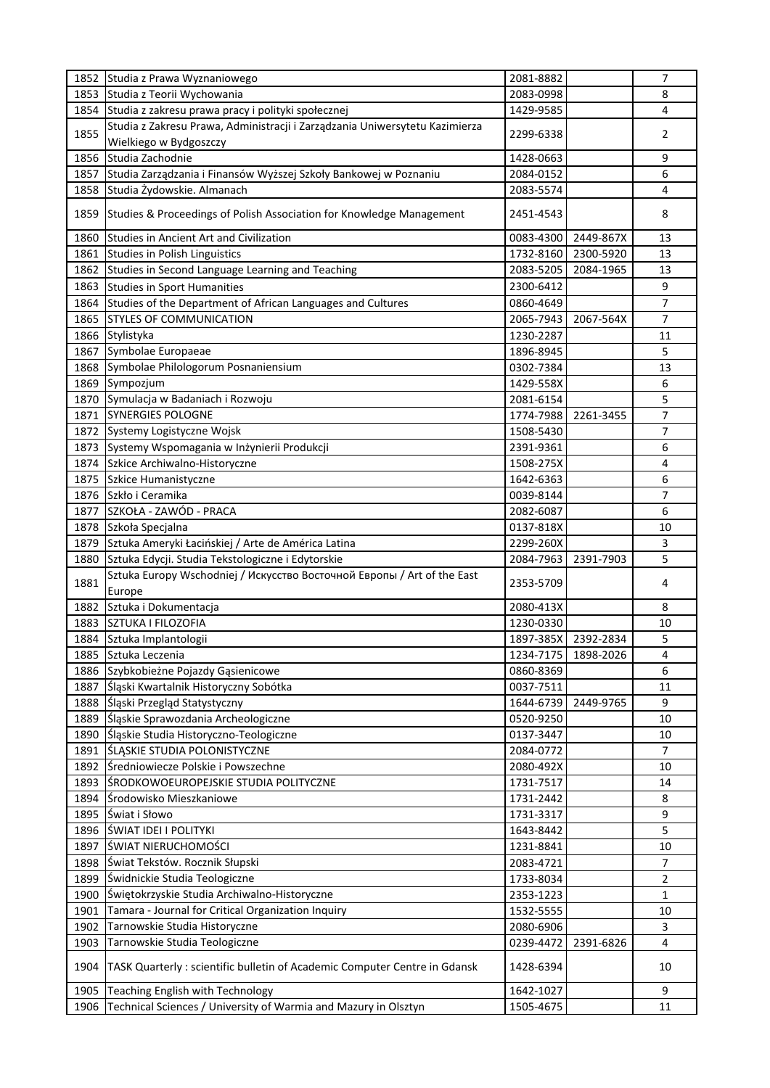| 1852 | Studia z Prawa Wyznaniowego                                                 | 2081-8882 |           | 7              |
|------|-----------------------------------------------------------------------------|-----------|-----------|----------------|
| 1853 | Studia z Teorii Wychowania                                                  | 2083-0998 |           | 8              |
| 1854 | Studia z zakresu prawa pracy i polityki społecznej                          | 1429-9585 |           | $\overline{4}$ |
|      | Studia z Zakresu Prawa, Administracji i Zarządzania Uniwersytetu Kazimierza |           |           |                |
| 1855 | Wielkiego w Bydgoszczy                                                      | 2299-6338 |           | 2              |
| 1856 | Studia Zachodnie                                                            | 1428-0663 |           | 9              |
| 1857 | Studia Zarządzania i Finansów Wyższej Szkoły Bankowej w Poznaniu            | 2084-0152 |           | 6              |
| 1858 | Studia Żydowskie. Almanach                                                  | 2083-5574 |           | 4              |
|      |                                                                             |           |           |                |
| 1859 | Studies & Proceedings of Polish Association for Knowledge Management        | 2451-4543 |           | 8              |
| 1860 | <b>Studies in Ancient Art and Civilization</b>                              | 0083-4300 | 2449-867X | 13             |
| 1861 | Studies in Polish Linguistics                                               | 1732-8160 | 2300-5920 | 13             |
| 1862 | Studies in Second Language Learning and Teaching                            | 2083-5205 | 2084-1965 | 13             |
| 1863 | <b>Studies in Sport Humanities</b>                                          | 2300-6412 |           | 9              |
| 1864 | Studies of the Department of African Languages and Cultures                 | 0860-4649 |           | 7              |
| 1865 | <b>STYLES OF COMMUNICATION</b>                                              | 2065-7943 | 2067-564X | 7              |
| 1866 | Stylistyka                                                                  | 1230-2287 |           | 11             |
| 1867 | Symbolae Europaeae                                                          | 1896-8945 |           | 5              |
|      |                                                                             |           |           | 13             |
| 1868 | Symbolae Philologorum Posnaniensium                                         | 0302-7384 |           |                |
| 1869 | Sympozjum                                                                   | 1429-558X |           | 6              |
| 1870 | Symulacja w Badaniach i Rozwoju                                             | 2081-6154 |           | 5              |
| 1871 | <b>SYNERGIES POLOGNE</b>                                                    | 1774-7988 | 2261-3455 | $\overline{7}$ |
| 1872 | Systemy Logistyczne Wojsk                                                   | 1508-5430 |           | 7              |
| 1873 | Systemy Wspomagania w Inżynierii Produkcji                                  | 2391-9361 |           | 6              |
| 1874 | Szkice Archiwalno-Historyczne                                               | 1508-275X |           | 4              |
| 1875 | Szkice Humanistyczne                                                        | 1642-6363 |           | 6              |
| 1876 | Szkło i Ceramika                                                            | 0039-8144 |           | 7              |
| 1877 | SZKOŁA - ZAWÓD - PRACA                                                      | 2082-6087 |           | 6              |
| 1878 | Szkoła Specjalna                                                            | 0137-818X |           | 10             |
| 1879 | Sztuka Ameryki Łacińskiej / Arte de América Latina                          | 2299-260X |           | 3              |
| 1880 | Sztuka Edycji. Studia Tekstologiczne i Edytorskie                           | 2084-7963 | 2391-7903 | 5              |
|      | Sztuka Europy Wschodniej / Искусство Восточной Европы / Art of the East     |           |           |                |
| 1881 | Europe                                                                      | 2353-5709 |           | 4              |
| 1882 |                                                                             | 2080-413X |           |                |
|      | Sztuka i Dokumentacja                                                       |           |           | 8              |
| 1883 | <b>SZTUKA I FILOZOFIA</b>                                                   | 1230-0330 |           | 10             |
| 1884 | Sztuka Implantologii                                                        | 1897-385X | 2392-2834 | 5              |
| 1885 | Sztuka Leczenia                                                             | 1234-7175 | 1898-2026 | $\pmb{4}$      |
| 1886 | Szybkobieżne Pojazdy Gąsienicowe                                            | 0860-8369 |           | 6              |
| 1887 | Śląski Kwartalnik Historyczny Sobótka                                       | 0037-7511 |           | 11             |
| 1888 | Śląski Przegląd Statystyczny                                                | 1644-6739 | 2449-9765 | 9              |
| 1889 | Śląskie Sprawozdania Archeologiczne                                         | 0520-9250 |           | 10             |
| 1890 | Śląskie Studia Historyczno-Teologiczne                                      | 0137-3447 |           | 10             |
| 1891 | <b>ŚLĄSKIE STUDIA POLONISTYCZNE</b>                                         | 2084-0772 |           | $\overline{7}$ |
| 1892 | Średniowiecze Polskie i Powszechne                                          | 2080-492X |           | 10             |
| 1893 | <b>SRODKOWOEUROPEJSKIE STUDIA POLITYCZNE</b>                                | 1731-7517 |           | 14             |
| 1894 | Środowisko Mieszkaniowe                                                     | 1731-2442 |           | 8              |
| 1895 | Świat i Słowo                                                               | 1731-3317 |           | 9              |
| 1896 | <b>ŚWIAT IDEI I POLITYKI</b>                                                | 1643-8442 |           | 5              |
| 1897 | <b>ŚWIAT NIERUCHOMOŚCI</b>                                                  |           |           | 10             |
|      |                                                                             | 1231-8841 |           |                |
| 1898 | Świat Tekstów. Rocznik Słupski                                              | 2083-4721 |           | $\overline{7}$ |
| 1899 | Świdnickie Studia Teologiczne                                               | 1733-8034 |           | $\overline{2}$ |
| 1900 | Świętokrzyskie Studia Archiwalno-Historyczne                                | 2353-1223 |           | 1              |
| 1901 | Tamara - Journal for Critical Organization Inquiry                          | 1532-5555 |           | 10             |
| 1902 | Tarnowskie Studia Historyczne                                               | 2080-6906 |           | 3              |
| 1903 | Tarnowskie Studia Teologiczne                                               | 0239-4472 | 2391-6826 | 4              |
| 1904 | TASK Quarterly : scientific bulletin of Academic Computer Centre in Gdansk  | 1428-6394 |           | 10             |
| 1905 | Teaching English with Technology                                            | 1642-1027 |           | 9              |
| 1906 | Technical Sciences / University of Warmia and Mazury in Olsztyn             | 1505-4675 |           | 11             |
|      |                                                                             |           |           |                |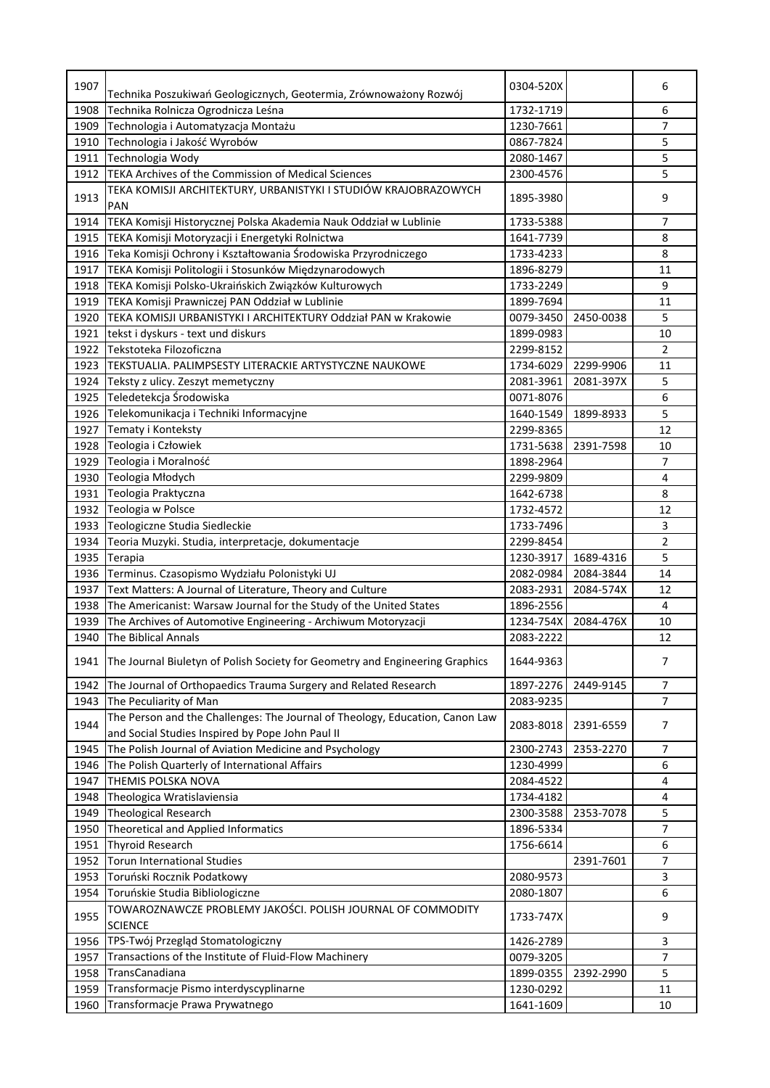| 1907         | Technika Poszukiwań Geologicznych, Geotermia, Zrównoważony Rozwój                                                                | 0304-520X              |           | 6              |
|--------------|----------------------------------------------------------------------------------------------------------------------------------|------------------------|-----------|----------------|
| 1908         | Technika Rolnicza Ogrodnicza Leśna                                                                                               | 1732-1719              |           | 6              |
| 1909         | Technologia i Automatyzacja Montażu                                                                                              | 1230-7661              |           | 7              |
| 1910         | Technologia i Jakość Wyrobów                                                                                                     | 0867-7824              |           | 5              |
| 1911         | Technologia Wody                                                                                                                 | 2080-1467              |           | 5              |
| 1912         | TEKA Archives of the Commission of Medical Sciences                                                                              | 2300-4576              |           | 5              |
| 1913         | TEKA KOMISJI ARCHITEKTURY, URBANISTYKI I STUDIÓW KRAJOBRAZOWYCH<br><b>PAN</b>                                                    | 1895-3980              |           | 9              |
| 1914         | TEKA Komisji Historycznej Polska Akademia Nauk Oddział w Lublinie                                                                | 1733-5388              |           | 7              |
| 1915         | TEKA Komisji Motoryzacji i Energetyki Rolnictwa                                                                                  | 1641-7739              |           | 8              |
| 1916         | Teka Komisji Ochrony i Kształtowania Środowiska Przyrodniczego                                                                   | 1733-4233              |           | 8              |
| 1917         | TEKA Komisji Politologii i Stosunków Międzynarodowych                                                                            | 1896-8279              |           | 11             |
| 1918         | TEKA Komisji Polsko-Ukraińskich Związków Kulturowych                                                                             | 1733-2249              |           | 9              |
| 1919         | TEKA Komisji Prawniczej PAN Oddział w Lublinie                                                                                   | 1899-7694              |           | 11             |
| 1920         | TEKA KOMISJI URBANISTYKI I ARCHITEKTURY Oddział PAN w Krakowie                                                                   | 0079-3450              | 2450-0038 | 5              |
| 1921         | tekst i dyskurs - text und diskurs                                                                                               | 1899-0983              |           | 10             |
| 1922         | Tekstoteka Filozoficzna                                                                                                          | 2299-8152              |           | $\overline{2}$ |
| 1923         | TEKSTUALIA. PALIMPSESTY LITERACKIE ARTYSTYCZNE NAUKOWE                                                                           | 1734-6029              | 2299-9906 | 11             |
| 1924         | Teksty z ulicy. Zeszyt memetyczny                                                                                                | 2081-3961              | 2081-397X | 5              |
| 1925         | Teledetekcja Środowiska                                                                                                          | 0071-8076              |           | 6              |
| 1926         | Telekomunikacja i Techniki Informacyjne                                                                                          | 1640-1549              | 1899-8933 | 5              |
| 1927         | Tematy i Konteksty                                                                                                               | 2299-8365              |           | 12             |
| 1928         | Teologia i Człowiek                                                                                                              | 1731-5638              | 2391-7598 | 10             |
| 1929         | Teologia i Moralność                                                                                                             | 1898-2964              |           | 7              |
| 1930         | Teologia Młodych                                                                                                                 | 2299-9809              |           | $\overline{4}$ |
| 1931         | Teologia Praktyczna                                                                                                              | 1642-6738              |           | 8              |
| 1932         | Teologia w Polsce                                                                                                                | 1732-4572              |           | 12             |
| 1933         | Teologiczne Studia Siedleckie                                                                                                    | 1733-7496              |           | 3              |
| 1934         |                                                                                                                                  | 2299-8454              |           | $\overline{2}$ |
| 1935         | Teoria Muzyki. Studia, interpretacje, dokumentacje                                                                               | 1230-3917              | 1689-4316 | 5              |
|              | Terapia<br>Terminus. Czasopismo Wydziału Polonistyki UJ                                                                          | 2082-0984              | 2084-3844 | 14             |
| 1936<br>1937 | Text Matters: A Journal of Literature, Theory and Culture                                                                        |                        |           | 12             |
|              | The Americanist: Warsaw Journal for the Study of the United States                                                               | 2083-2931<br>1896-2556 | 2084-574X | 4              |
| 1938         |                                                                                                                                  |                        |           | 10             |
| 1939         | The Archives of Automotive Engineering - Archiwum Motoryzacji<br>The Biblical Annals                                             | 1234-754X              | 2084-476X |                |
| 1940         |                                                                                                                                  | 2083-2222              |           | 12             |
| 1941         | The Journal Biuletyn of Polish Society for Geometry and Engineering Graphics                                                     | 1644-9363              |           | 7              |
| 1942         | The Journal of Orthopaedics Trauma Surgery and Related Research                                                                  | 1897-2276              | 2449-9145 | $\overline{7}$ |
| 1943         | The Peculiarity of Man                                                                                                           | 2083-9235              |           | 7              |
| 1944         | The Person and the Challenges: The Journal of Theology, Education, Canon Law<br>and Social Studies Inspired by Pope John Paul II | 2083-8018              | 2391-6559 | $\overline{7}$ |
| 1945         | The Polish Journal of Aviation Medicine and Psychology                                                                           | 2300-2743              | 2353-2270 | 7              |
| 1946         | The Polish Quarterly of International Affairs                                                                                    | 1230-4999              |           | 6              |
| 1947         | THEMIS POLSKA NOVA                                                                                                               | 2084-4522              |           | 4              |
| 1948         | Theologica Wratislaviensia                                                                                                       | 1734-4182              |           | 4              |
| 1949         | <b>Theological Research</b>                                                                                                      | 2300-3588              | 2353-7078 | 5              |
| 1950         | Theoretical and Applied Informatics                                                                                              | 1896-5334              |           | 7              |
| 1951         | <b>Thyroid Research</b>                                                                                                          | 1756-6614              |           | 6              |
| 1952         | <b>Torun International Studies</b>                                                                                               |                        | 2391-7601 | $\overline{7}$ |
| 1953         | Toruński Rocznik Podatkowy                                                                                                       | 2080-9573              |           | 3              |
| 1954<br>1955 | Toruńskie Studia Bibliologiczne<br>TOWAROZNAWCZE PROBLEMY JAKOŚCI. POLISH JOURNAL OF COMMODITY                                   | 2080-1807<br>1733-747X |           | 6<br>9         |
|              | <b>SCIENCE</b>                                                                                                                   |                        |           |                |
| 1956         | TPS-Twój Przegląd Stomatologiczny                                                                                                | 1426-2789              |           | 3              |
| 1957         | Transactions of the Institute of Fluid-Flow Machinery                                                                            | 0079-3205              |           | 7              |
| 1958         | TransCanadiana                                                                                                                   | 1899-0355              | 2392-2990 | 5              |
| 1959         | Transformacje Pismo interdyscyplinarne                                                                                           | 1230-0292              |           | 11             |
| 1960         | Transformacje Prawa Prywatnego                                                                                                   | 1641-1609              |           | 10             |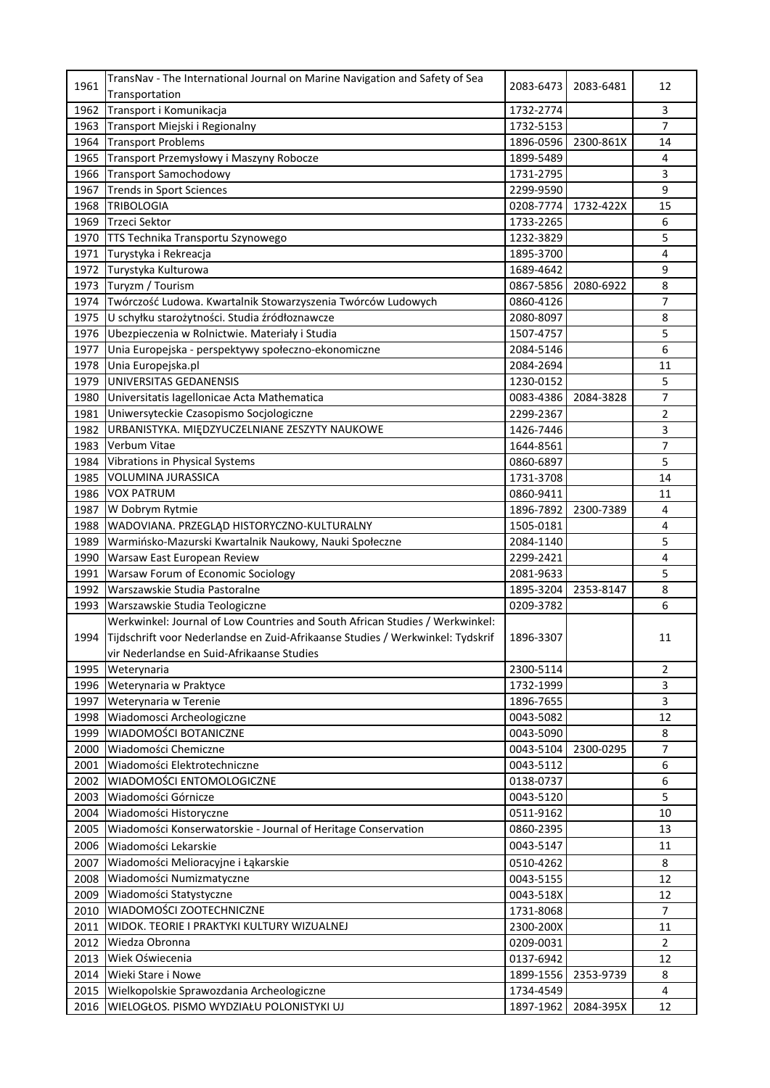| 1961 | TransNav - The International Journal on Marine Navigation and Safety of Sea    | 2083-6473 | 2083-6481 | 12             |
|------|--------------------------------------------------------------------------------|-----------|-----------|----------------|
|      | Transportation                                                                 |           |           |                |
| 1962 | Transport i Komunikacja                                                        | 1732-2774 |           | 3              |
| 1963 | Transport Miejski i Regionalny                                                 | 1732-5153 |           | 7              |
| 1964 | <b>Transport Problems</b>                                                      | 1896-0596 | 2300-861X | 14             |
| 1965 | Transport Przemysłowy i Maszyny Robocze                                        | 1899-5489 |           | 4              |
| 1966 | <b>Transport Samochodowy</b>                                                   | 1731-2795 |           | 3              |
| 1967 | <b>Trends in Sport Sciences</b>                                                | 2299-9590 |           | 9              |
| 1968 | <b>TRIBOLOGIA</b>                                                              | 0208-7774 | 1732-422X | 15             |
| 1969 | <b>Trzeci Sektor</b>                                                           | 1733-2265 |           | 6              |
| 1970 | TTS Technika Transportu Szynowego                                              | 1232-3829 |           | 5              |
| 1971 | Turystyka i Rekreacja                                                          | 1895-3700 |           | 4              |
| 1972 | Turystyka Kulturowa                                                            | 1689-4642 |           | 9              |
| 1973 | Turyzm / Tourism                                                               | 0867-5856 | 2080-6922 | 8              |
| 1974 | Twórczość Ludowa. Kwartalnik Stowarzyszenia Twórców Ludowych                   | 0860-4126 |           | 7              |
| 1975 | U schyłku starożytności. Studia źródłoznawcze                                  | 2080-8097 |           | 8              |
| 1976 | Ubezpieczenia w Rolnictwie. Materiały i Studia                                 | 1507-4757 |           | 5              |
| 1977 | Unia Europejska - perspektywy społeczno-ekonomiczne                            | 2084-5146 |           | 6              |
| 1978 | Unia Europejska.pl                                                             | 2084-2694 |           | 11             |
| 1979 | UNIVERSITAS GEDANENSIS                                                         | 1230-0152 |           | 5              |
| 1980 | Universitatis Iagellonicae Acta Mathematica                                    | 0083-4386 | 2084-3828 | 7              |
| 1981 | Uniwersyteckie Czasopismo Socjologiczne                                        | 2299-2367 |           | $\overline{2}$ |
| 1982 | URBANISTYKA. MIĘDZYUCZELNIANE ZESZYTY NAUKOWE                                  | 1426-7446 |           | 3              |
| 1983 | Verbum Vitae                                                                   | 1644-8561 |           | 7              |
| 1984 | <b>Vibrations in Physical Systems</b>                                          | 0860-6897 |           | 5              |
| 1985 | <b>VOLUMINA JURASSICA</b>                                                      | 1731-3708 |           | 14             |
| 1986 | <b>VOX PATRUM</b>                                                              | 0860-9411 |           | 11             |
| 1987 | W Dobrym Rytmie                                                                | 1896-7892 | 2300-7389 | 4              |
| 1988 | WADOVIANA. PRZEGLĄD HISTORYCZNO-KULTURALNY                                     | 1505-0181 |           | 4              |
| 1989 | Warmińsko-Mazurski Kwartalnik Naukowy, Nauki Społeczne                         | 2084-1140 |           | 5              |
| 1990 | Warsaw East European Review                                                    | 2299-2421 |           | 4              |
| 1991 | Warsaw Forum of Economic Sociology                                             | 2081-9633 |           | 5              |
| 1992 | Warszawskie Studia Pastoralne                                                  | 1895-3204 | 2353-8147 | 8              |
| 1993 | Warszawskie Studia Teologiczne                                                 | 0209-3782 |           | 6              |
|      | Werkwinkel: Journal of Low Countries and South African Studies / Werkwinkel:   |           |           |                |
| 1994 | Tijdschrift voor Nederlandse en Zuid-Afrikaanse Studies / Werkwinkel: Tydskrif | 1896-3307 |           | 11             |
|      | vir Nederlandse en Suid-Afrikaanse Studies                                     |           |           |                |
| 1995 | Weterynaria                                                                    | 2300-5114 |           | 2              |
| 1996 | Weterynaria w Praktyce                                                         | 1732-1999 |           | 3              |
| 1997 | Weterynaria w Terenie                                                          | 1896-7655 |           | 3              |
| 1998 | Wiadomosci Archeologiczne                                                      | 0043-5082 |           | 12             |
| 1999 | <b>WIADOMOŚCI BOTANICZNE</b>                                                   | 0043-5090 |           | 8              |
| 2000 | Wiadomości Chemiczne                                                           | 0043-5104 | 2300-0295 | 7              |
| 2001 | Wiadomości Elektrotechniczne                                                   | 0043-5112 |           | 6              |
| 2002 | WIADOMOŚCI ENTOMOLOGICZNE                                                      | 0138-0737 |           | 6              |
| 2003 | Wiadomości Górnicze                                                            | 0043-5120 |           | 5              |
| 2004 | Wiadomości Historyczne                                                         | 0511-9162 |           | 10             |
| 2005 | Wiadomości Konserwatorskie - Journal of Heritage Conservation                  | 0860-2395 |           | 13             |
| 2006 | Wiadomości Lekarskie                                                           | 0043-5147 |           | 11             |
| 2007 | Wiadomości Melioracyjne i Łąkarskie                                            | 0510-4262 |           | 8              |
| 2008 | Wiadomości Numizmatyczne                                                       | 0043-5155 |           | 12             |
| 2009 | Wiadomości Statystyczne                                                        | 0043-518X |           | 12             |
| 2010 | WIADOMOŚCI ZOOTECHNICZNE                                                       | 1731-8068 |           | $\overline{7}$ |
| 2011 | WIDOK. TEORIE I PRAKTYKI KULTURY WIZUALNEJ                                     | 2300-200X |           | 11             |
| 2012 | Wiedza Obronna                                                                 | 0209-0031 |           | $\overline{2}$ |
| 2013 | Wiek Oświecenia                                                                | 0137-6942 |           | 12             |
| 2014 | Wieki Stare i Nowe                                                             | 1899-1556 | 2353-9739 | 8              |
| 2015 | Wielkopolskie Sprawozdania Archeologiczne                                      | 1734-4549 |           | 4              |
| 2016 | WIELOGŁOS. PISMO WYDZIAŁU POLONISTYKI UJ                                       | 1897-1962 | 2084-395X | 12             |
|      |                                                                                |           |           |                |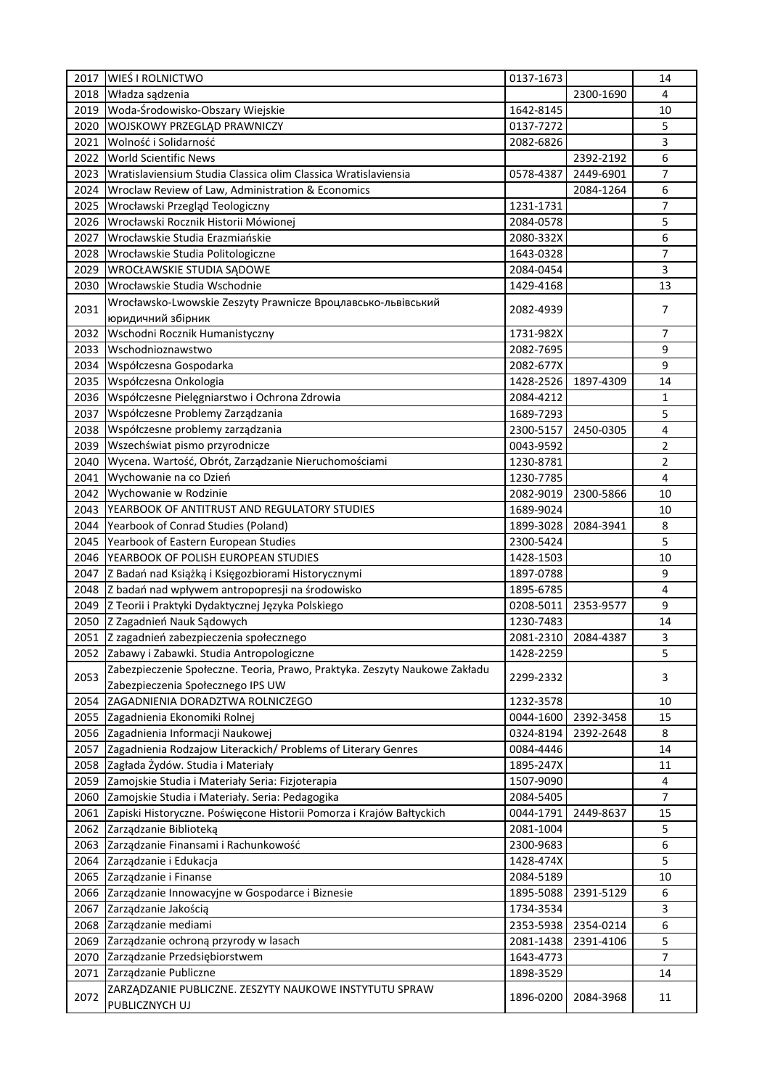| 2017 | WIEŚ I ROLNICTWO                                                           | 0137-1673 |           | 14             |
|------|----------------------------------------------------------------------------|-----------|-----------|----------------|
| 2018 | Władza sądzenia                                                            |           | 2300-1690 | 4              |
| 2019 | Woda-Środowisko-Obszary Wiejskie                                           | 1642-8145 |           | 10             |
| 2020 | WOJSKOWY PRZEGLĄD PRAWNICZY                                                | 0137-7272 |           | 5              |
| 2021 | Wolność i Solidarność                                                      | 2082-6826 |           | 3              |
| 2022 | <b>World Scientific News</b>                                               |           | 2392-2192 | 6              |
| 2023 | Wratislaviensium Studia Classica olim Classica Wratislaviensia             | 0578-4387 | 2449-6901 | 7              |
| 2024 | Wroclaw Review of Law, Administration & Economics                          |           | 2084-1264 | 6              |
| 2025 | Wrocławski Przegląd Teologiczny                                            | 1231-1731 |           | 7              |
| 2026 | Wrocławski Rocznik Historii Mówionej                                       | 2084-0578 |           | 5              |
| 2027 | Wrocławskie Studia Erazmiańskie                                            | 2080-332X |           | 6              |
| 2028 | Wrocławskie Studia Politologiczne                                          |           |           | 7              |
|      |                                                                            | 1643-0328 |           | 3              |
| 2029 | WROCŁAWSKIE STUDIA SĄDOWE                                                  | 2084-0454 |           |                |
| 2030 | Wrocławskie Studia Wschodnie                                               | 1429-4168 |           | 13             |
| 2031 | Wrocławsko-Lwowskie Zeszyty Prawnicze Вроцлавсько-львівський               | 2082-4939 |           | 7              |
|      | юридичний збірник                                                          |           |           |                |
| 2032 | Wschodni Rocznik Humanistyczny                                             | 1731-982X |           | 7              |
| 2033 | Wschodnioznawstwo                                                          | 2082-7695 |           | 9              |
| 2034 | Współczesna Gospodarka                                                     | 2082-677X |           | 9              |
| 2035 | Współczesna Onkologia                                                      | 1428-2526 | 1897-4309 | 14             |
| 2036 | Współczesne Pielęgniarstwo i Ochrona Zdrowia                               | 2084-4212 |           | 1              |
| 2037 | Współczesne Problemy Zarządzania                                           | 1689-7293 |           | 5              |
| 2038 | Współczesne problemy zarządzania                                           | 2300-5157 | 2450-0305 | 4              |
| 2039 | Wszechświat pismo przyrodnicze                                             | 0043-9592 |           | 2              |
| 2040 | Wycena. Wartość, Obrót, Zarządzanie Nieruchomościami                       | 1230-8781 |           | 2              |
| 2041 | Wychowanie na co Dzień                                                     | 1230-7785 |           | 4              |
| 2042 | Wychowanie w Rodzinie                                                      | 2082-9019 | 2300-5866 | 10             |
| 2043 | YEARBOOK OF ANTITRUST AND REGULATORY STUDIES                               | 1689-9024 |           | 10             |
| 2044 | Yearbook of Conrad Studies (Poland)                                        | 1899-3028 | 2084-3941 | 8              |
| 2045 | Yearbook of Eastern European Studies                                       | 2300-5424 |           | 5              |
| 2046 | YEARBOOK OF POLISH EUROPEAN STUDIES                                        | 1428-1503 |           | 10             |
| 2047 | Z Badań nad Książką i Księgozbiorami Historycznymi                         | 1897-0788 |           | 9              |
| 2048 | Z badań nad wpływem antropopresji na środowisko                            | 1895-6785 |           | $\overline{4}$ |
| 2049 | Z Teorii i Praktyki Dydaktycznej Języka Polskiego                          | 0208-5011 | 2353-9577 | 9              |
| 2050 | Z Zagadnień Nauk Sądowych                                                  | 1230-7483 |           | 14             |
| 2051 | Z zagadnień zabezpieczenia społecznego                                     | 2081-2310 | 2084-4387 | 3              |
|      | Zabawy i Zabawki. Studia Antropologiczne                                   |           |           |                |
| 2052 |                                                                            | 1428-2259 |           | 5              |
| 2053 | Zabezpieczenie Społeczne. Teoria, Prawo, Praktyka. Zeszyty Naukowe Zakładu | 2299-2332 |           | 3              |
|      | Zabezpieczenia Społecznego IPS UW                                          |           |           |                |
| 2054 | ZAGADNIENIA DORADZTWA ROLNICZEGO                                           | 1232-3578 |           | 10             |
| 2055 | Zagadnienia Ekonomiki Rolnej                                               | 0044-1600 | 2392-3458 | 15             |
| 2056 | Zagadnienia Informacji Naukowej                                            | 0324-8194 | 2392-2648 | 8              |
| 2057 | Zagadnienia Rodzajow Literackich/ Problems of Literary Genres              | 0084-4446 |           | 14             |
| 2058 | Zagłada Żydów. Studia i Materiały                                          | 1895-247X |           | 11             |
| 2059 | Zamojskie Studia i Materiały Seria: Fizjoterapia                           | 1507-9090 |           | 4              |
| 2060 | Zamojskie Studia i Materiały. Seria: Pedagogika                            | 2084-5405 |           | $\overline{7}$ |
| 2061 | Zapiski Historyczne. Poświęcone Historii Pomorza i Krajów Bałtyckich       | 0044-1791 | 2449-8637 | 15             |
| 2062 | Zarządzanie Biblioteką                                                     | 2081-1004 |           | 5              |
| 2063 | Zarządzanie Finansami i Rachunkowość                                       | 2300-9683 |           | 6              |
| 2064 | Zarządzanie i Edukacja                                                     | 1428-474X |           | 5              |
| 2065 | Zarządzanie i Finanse                                                      | 2084-5189 |           | 10             |
| 2066 | Zarządzanie Innowacyjne w Gospodarce i Biznesie                            | 1895-5088 | 2391-5129 | 6              |
| 2067 | Zarządzanie Jakością                                                       | 1734-3534 |           | 3              |
| 2068 | Zarządzanie mediami                                                        | 2353-5938 | 2354-0214 | 6              |
| 2069 | Zarządzanie ochroną przyrody w lasach                                      | 2081-1438 | 2391-4106 | 5              |
| 2070 | Zarządzanie Przedsiębiorstwem                                              | 1643-4773 |           | 7              |
| 2071 | Zarządzanie Publiczne                                                      | 1898-3529 |           | 14             |
|      | ZARZĄDZANIE PUBLICZNE. ZESZYTY NAUKOWE INSTYTUTU SPRAW                     |           |           |                |
| 2072 | PUBLICZNYCH UJ                                                             | 1896-0200 | 2084-3968 | 11             |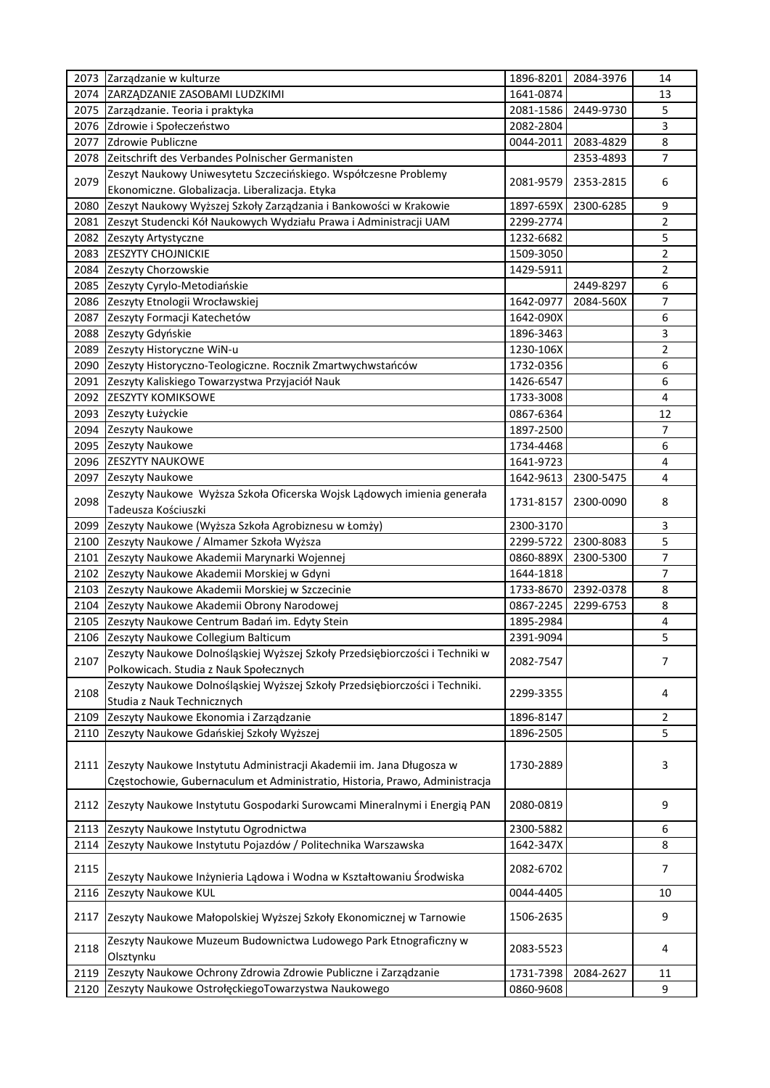|      | 2073 Zarządzanie w kulturze                                                  | 1896-8201 | 2084-3976 | 14             |
|------|------------------------------------------------------------------------------|-----------|-----------|----------------|
| 2074 | ZARZĄDZANIE ZASOBAMI LUDZKIMI                                                | 1641-0874 |           | 13             |
|      | 2075 Zarządzanie. Teoria i praktyka                                          | 2081-1586 | 2449-9730 | 5              |
| 2076 | Zdrowie i Społeczeństwo                                                      | 2082-2804 |           | 3              |
| 2077 | Zdrowie Publiczne                                                            | 0044-2011 | 2083-4829 | 8              |
| 2078 | Zeitschrift des Verbandes Polnischer Germanisten                             |           | 2353-4893 | 7              |
|      | Zeszyt Naukowy Uniwesytetu Szczecińskiego. Współczesne Problemy              |           |           |                |
| 2079 | Ekonomiczne. Globalizacja. Liberalizacja. Etyka                              | 2081-9579 | 2353-2815 | 6              |
| 2080 | Zeszyt Naukowy Wyższej Szkoły Zarządzania i Bankowości w Krakowie            | 1897-659X | 2300-6285 | 9              |
| 2081 | Zeszyt Studencki Kół Naukowych Wydziału Prawa i Administracji UAM            | 2299-2774 |           | 2              |
| 2082 | Zeszyty Artystyczne                                                          | 1232-6682 |           | 5              |
| 2083 | <b>ZESZYTY CHOJNICKIE</b>                                                    | 1509-3050 |           | 2              |
|      |                                                                              | 1429-5911 |           | 2              |
| 2084 | Zeszyty Chorzowskie                                                          |           |           |                |
| 2085 | Zeszyty Cyrylo-Metodiańskie                                                  |           | 2449-8297 | 6              |
| 2086 | Zeszyty Etnologii Wrocławskiej                                               | 1642-0977 | 2084-560X | 7              |
| 2087 | Zeszyty Formacji Katechetów                                                  | 1642-090X |           | 6              |
| 2088 | Zeszyty Gdyńskie                                                             | 1896-3463 |           | 3              |
| 2089 | Zeszyty Historyczne WiN-u                                                    | 1230-106X |           | $\overline{2}$ |
| 2090 | Zeszyty Historyczno-Teologiczne. Rocznik Zmartwychwstańców                   | 1732-0356 |           | 6              |
| 2091 | Zeszyty Kaliskiego Towarzystwa Przyjaciół Nauk                               | 1426-6547 |           | 6              |
| 2092 | <b>ZESZYTY KOMIKSOWE</b>                                                     | 1733-3008 |           | 4              |
| 2093 | Zeszyty Łużyckie                                                             | 0867-6364 |           | 12             |
| 2094 | Zeszyty Naukowe                                                              | 1897-2500 |           | 7              |
| 2095 | Zeszyty Naukowe                                                              | 1734-4468 |           | 6              |
| 2096 | <b>ZESZYTY NAUKOWE</b>                                                       | 1641-9723 |           | 4              |
| 2097 | Zeszyty Naukowe                                                              | 1642-9613 | 2300-5475 | 4              |
|      | Zeszyty Naukowe Wyższa Szkoła Oficerska Wojsk Lądowych imienia generała      |           |           |                |
| 2098 | Tadeusza Kościuszki                                                          | 1731-8157 | 2300-0090 | 8              |
| 2099 |                                                                              | 2300-3170 |           | 3              |
|      | Zeszyty Naukowe (Wyższa Szkoła Agrobiznesu w Łomży)                          |           |           |                |
| 2100 | Zeszyty Naukowe / Almamer Szkoła Wyższa                                      | 2299-5722 | 2300-8083 | 5              |
| 2101 | Zeszyty Naukowe Akademii Marynarki Wojennej                                  | 0860-889X | 2300-5300 | 7              |
| 2102 | Zeszyty Naukowe Akademii Morskiej w Gdyni                                    | 1644-1818 |           | 7              |
| 2103 | Zeszyty Naukowe Akademii Morskiej w Szczecinie                               | 1733-8670 | 2392-0378 | 8              |
| 2104 | Zeszyty Naukowe Akademii Obrony Narodowej                                    | 0867-2245 | 2299-6753 | 8              |
| 2105 | Zeszyty Naukowe Centrum Badań im. Edyty Stein                                | 1895-2984 |           | 4              |
| 2106 | Zeszyty Naukowe Collegium Balticum                                           | 2391-9094 |           | 5              |
| 2107 | Zeszyty Naukowe Dolnośląskiej Wyższej Szkoły Przedsiębiorczości i Techniki w |           |           | 7              |
|      | Polkowicach. Studia z Nauk Społecznych                                       | 2082-7547 |           |                |
|      | Zeszyty Naukowe Dolnośląskiej Wyższej Szkoły Przedsiębiorczości i Techniki.  |           |           |                |
| 2108 | Studia z Nauk Technicznych                                                   | 2299-3355 |           | 4              |
| 2109 | Zeszyty Naukowe Ekonomia i Zarządzanie                                       | 1896-8147 |           | $\overline{2}$ |
| 2110 | Zeszyty Naukowe Gdańskiej Szkoły Wyższej                                     | 1896-2505 |           | 5              |
|      |                                                                              |           |           |                |
| 2111 | Zeszyty Naukowe Instytutu Administracji Akademii im. Jana Długosza w         | 1730-2889 |           | 3              |
|      | Częstochowie, Gubernaculum et Administratio, Historia, Prawo, Administracja  |           |           |                |
|      |                                                                              |           |           |                |
| 2112 | Zeszyty Naukowe Instytutu Gospodarki Surowcami Mineralnymi i Energią PAN     | 2080-0819 |           | 9              |
|      |                                                                              |           |           |                |
| 2113 | Zeszyty Naukowe Instytutu Ogrodnictwa                                        | 2300-5882 |           | 6              |
| 2114 | Zeszyty Naukowe Instytutu Pojazdów / Politechnika Warszawska                 | 1642-347X |           | 8              |
| 2115 |                                                                              | 2082-6702 |           | 7              |
|      | Zeszyty Naukowe Inżynieria Lądowa i Wodna w Kształtowaniu Środwiska          |           |           |                |
| 2116 | Zeszyty Naukowe KUL                                                          | 0044-4405 |           | 10             |
| 2117 | Zeszyty Naukowe Małopolskiej Wyższej Szkoły Ekonomicznej w Tarnowie          | 1506-2635 |           | 9              |
|      |                                                                              |           |           |                |
| 2118 | Zeszyty Naukowe Muzeum Budownictwa Ludowego Park Etnograficzny w             | 2083-5523 |           | 4              |
|      | Olsztynku                                                                    |           |           |                |
| 2119 | Zeszyty Naukowe Ochrony Zdrowia Zdrowie Publiczne i Zarządzanie              | 1731-7398 | 2084-2627 | 11             |
| 2120 | Zeszyty Naukowe OstrołęckiegoTowarzystwa Naukowego                           | 0860-9608 |           | 9              |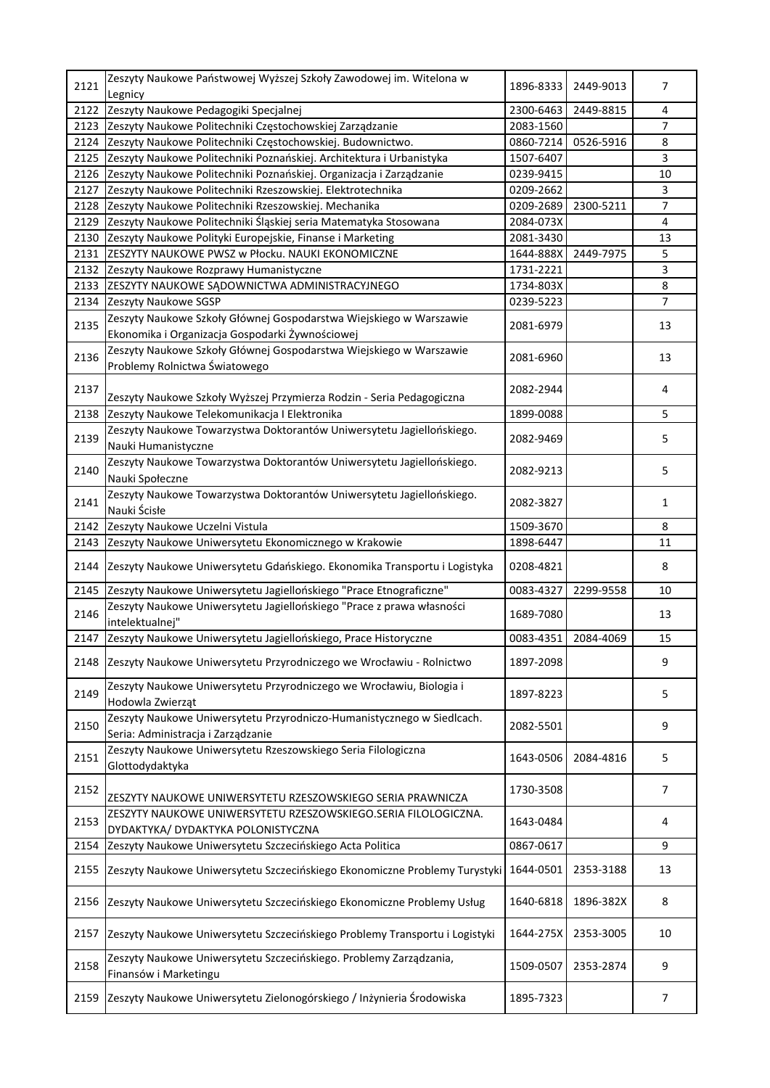| 2121 | Zeszyty Naukowe Państwowej Wyższej Szkoły Zawodowej im. Witelona w<br>Legnicy                                         | 1896-8333 | 2449-9013 | 7              |
|------|-----------------------------------------------------------------------------------------------------------------------|-----------|-----------|----------------|
| 2122 | Zeszyty Naukowe Pedagogiki Specjalnej                                                                                 | 2300-6463 | 2449-8815 | 4              |
| 2123 | Zeszyty Naukowe Politechniki Częstochowskiej Zarządzanie                                                              | 2083-1560 |           | 7              |
| 2124 | Zeszyty Naukowe Politechniki Częstochowskiej. Budownictwo.                                                            | 0860-7214 | 0526-5916 | 8              |
| 2125 | Zeszyty Naukowe Politechniki Poznańskiej. Architektura i Urbanistyka                                                  | 1507-6407 |           | 3              |
| 2126 | Zeszyty Naukowe Politechniki Poznańskiej. Organizacja i Zarządzanie                                                   | 0239-9415 |           | 10             |
| 2127 | Zeszyty Naukowe Politechniki Rzeszowskiej. Elektrotechnika                                                            | 0209-2662 |           | 3              |
| 2128 | Zeszyty Naukowe Politechniki Rzeszowskiej. Mechanika                                                                  | 0209-2689 | 2300-5211 | $\overline{7}$ |
| 2129 | Zeszyty Naukowe Politechniki Śląskiej seria Matematyka Stosowana                                                      | 2084-073X |           | 4              |
| 2130 | Zeszyty Naukowe Polityki Europejskie, Finanse i Marketing                                                             | 2081-3430 |           | 13             |
| 2131 | ZESZYTY NAUKOWE PWSZ w Płocku. NAUKI EKONOMICZNE                                                                      | 1644-888X | 2449-7975 | 5              |
| 2132 | Zeszyty Naukowe Rozprawy Humanistyczne                                                                                | 1731-2221 |           | 3              |
| 2133 | ZESZYTY NAUKOWE SĄDOWNICTWA ADMINISTRACYJNEGO                                                                         | 1734-803X |           | 8              |
| 2134 | Zeszyty Naukowe SGSP                                                                                                  | 0239-5223 |           | $\overline{7}$ |
| 2135 | Zeszyty Naukowe Szkoły Głównej Gospodarstwa Wiejskiego w Warszawie<br>Ekonomika i Organizacja Gospodarki Żywnościowej | 2081-6979 |           | 13             |
| 2136 | Zeszyty Naukowe Szkoły Głównej Gospodarstwa Wiejskiego w Warszawie<br>Problemy Rolnictwa Światowego                   | 2081-6960 |           | 13             |
| 2137 | Zeszyty Naukowe Szkoły Wyższej Przymierza Rodzin - Seria Pedagogiczna                                                 | 2082-2944 |           | 4              |
| 2138 | Zeszyty Naukowe Telekomunikacja I Elektronika                                                                         | 1899-0088 |           | 5              |
| 2139 | Zeszyty Naukowe Towarzystwa Doktorantów Uniwersytetu Jagiellońskiego.<br>Nauki Humanistyczne                          | 2082-9469 |           | 5              |
| 2140 | Zeszyty Naukowe Towarzystwa Doktorantów Uniwersytetu Jagiellońskiego.<br>Nauki Społeczne                              | 2082-9213 |           | 5              |
| 2141 | Zeszyty Naukowe Towarzystwa Doktorantów Uniwersytetu Jagiellońskiego.<br>Nauki Ścisłe                                 | 2082-3827 |           | $\mathbf{1}$   |
| 2142 | Zeszyty Naukowe Uczelni Vistula                                                                                       | 1509-3670 |           | 8              |
| 2143 | Zeszyty Naukowe Uniwersytetu Ekonomicznego w Krakowie                                                                 | 1898-6447 |           | 11             |
| 2144 | Zeszyty Naukowe Uniwersytetu Gdańskiego. Ekonomika Transportu i Logistyka                                             | 0208-4821 |           | 8              |
| 2145 | Zeszyty Naukowe Uniwersytetu Jagiellońskiego "Prace Etnograficzne"                                                    | 0083-4327 | 2299-9558 | 10             |
| 2146 | Zeszyty Naukowe Uniwersytetu Jagiellońskiego "Prace z prawa własności<br>intelektualnej"                              | 1689-7080 |           | 13             |
| 2147 | Zeszyty Naukowe Uniwersytetu Jagiellońskiego, Prace Historyczne                                                       | 0083-4351 | 2084-4069 | 15             |
| 2148 | Zeszyty Naukowe Uniwersytetu Przyrodniczego we Wrocławiu - Rolnictwo                                                  | 1897-2098 |           | 9              |
| 2149 | Zeszyty Naukowe Uniwersytetu Przyrodniczego we Wrocławiu, Biologia i<br>Hodowla Zwierząt                              | 1897-8223 |           | 5              |
| 2150 | Zeszyty Naukowe Uniwersytetu Przyrodniczo-Humanistycznego w Siedlcach.<br>Seria: Administracja i Zarządzanie          | 2082-5501 |           | 9              |
| 2151 | Zeszyty Naukowe Uniwersytetu Rzeszowskiego Seria Filologiczna<br>Glottodydaktyka                                      | 1643-0506 | 2084-4816 | 5              |
| 2152 | ZESZYTY NAUKOWE UNIWERSYTETU RZESZOWSKIEGO SERIA PRAWNICZA                                                            | 1730-3508 |           | $\overline{7}$ |
| 2153 | ZESZYTY NAUKOWE UNIWERSYTETU RZESZOWSKIEGO.SERIA FILOLOGICZNA.<br>DYDAKTYKA/ DYDAKTYKA POLONISTYCZNA                  | 1643-0484 |           | 4              |
| 2154 | Zeszyty Naukowe Uniwersytetu Szczecińskiego Acta Politica                                                             | 0867-0617 |           | 9              |
| 2155 | Zeszyty Naukowe Uniwersytetu Szczecińskiego Ekonomiczne Problemy Turystyki                                            | 1644-0501 | 2353-3188 | 13             |
| 2156 | Zeszyty Naukowe Uniwersytetu Szczecińskiego Ekonomiczne Problemy Usług                                                | 1640-6818 | 1896-382X | 8              |
| 2157 | Zeszyty Naukowe Uniwersytetu Szczecińskiego Problemy Transportu i Logistyki                                           | 1644-275X | 2353-3005 | 10             |
| 2158 | Zeszyty Naukowe Uniwersytetu Szczecińskiego. Problemy Zarządzania,<br>Finansów i Marketingu                           | 1509-0507 | 2353-2874 | 9              |
| 2159 | Zeszyty Naukowe Uniwersytetu Zielonogórskiego / Inżynieria Środowiska                                                 | 1895-7323 |           | 7              |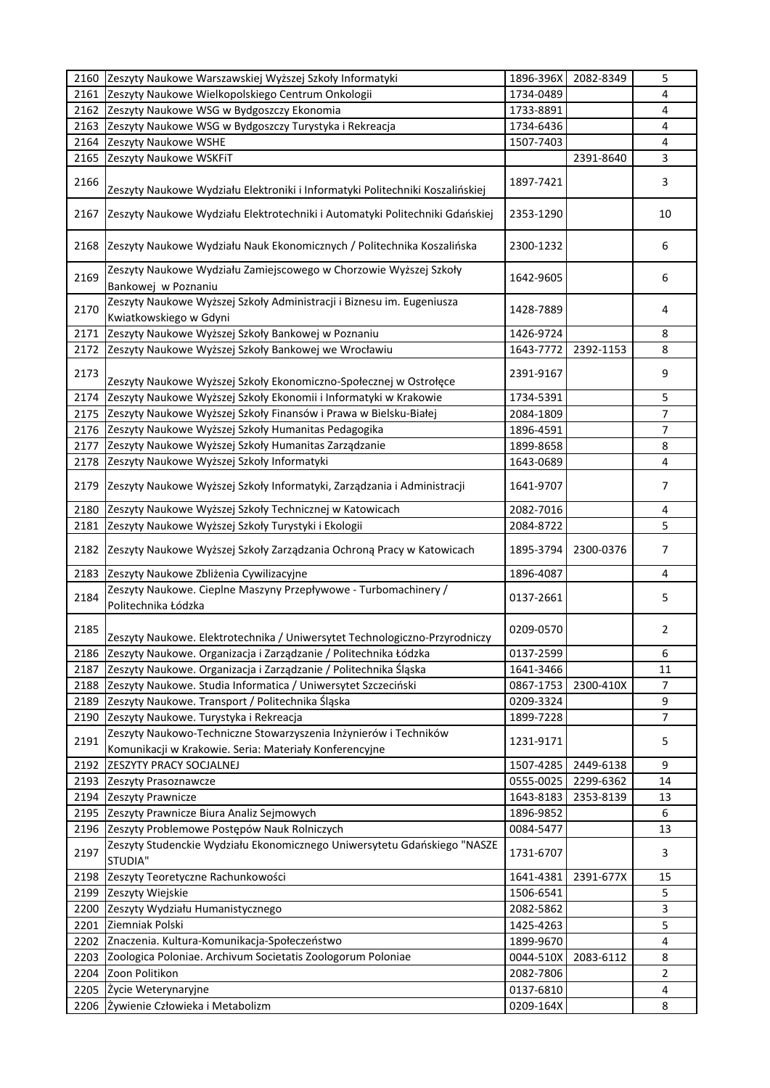| 2160 | Zeszyty Naukowe Warszawskiej Wyższej Szkoły Informatyki                                                                    | 1896-396X | 2082-8349 | 5              |
|------|----------------------------------------------------------------------------------------------------------------------------|-----------|-----------|----------------|
| 2161 | Zeszyty Naukowe Wielkopolskiego Centrum Onkologii                                                                          | 1734-0489 |           | 4              |
| 2162 | Zeszyty Naukowe WSG w Bydgoszczy Ekonomia                                                                                  | 1733-8891 |           | 4              |
| 2163 | Zeszyty Naukowe WSG w Bydgoszczy Turystyka i Rekreacja                                                                     | 1734-6436 |           | 4              |
| 2164 | Zeszyty Naukowe WSHE                                                                                                       | 1507-7403 |           | 4              |
| 2165 | Zeszyty Naukowe WSKFiT                                                                                                     |           | 2391-8640 | 3              |
|      |                                                                                                                            |           |           |                |
| 2166 | Zeszyty Naukowe Wydziału Elektroniki i Informatyki Politechniki Koszalińskiej                                              | 1897-7421 |           | 3              |
| 2167 | Zeszyty Naukowe Wydziału Elektrotechniki i Automatyki Politechniki Gdańskiej                                               | 2353-1290 |           | 10             |
| 2168 | Zeszyty Naukowe Wydziału Nauk Ekonomicznych / Politechnika Koszalińska                                                     | 2300-1232 |           | 6              |
| 2169 | Zeszyty Naukowe Wydziału Zamiejscowego w Chorzowie Wyższej Szkoły<br>Bankowej w Poznaniu                                   | 1642-9605 |           | 6              |
| 2170 | Zeszyty Naukowe Wyższej Szkoły Administracji i Biznesu im. Eugeniusza<br>Kwiatkowskiego w Gdyni                            | 1428-7889 |           | 4              |
| 2171 | Zeszyty Naukowe Wyższej Szkoły Bankowej w Poznaniu                                                                         | 1426-9724 |           | 8              |
| 2172 | Zeszyty Naukowe Wyższej Szkoły Bankowej we Wrocławiu                                                                       | 1643-7772 | 2392-1153 | 8              |
|      |                                                                                                                            |           |           |                |
| 2173 | Zeszyty Naukowe Wyższej Szkoły Ekonomiczno-Społecznej w Ostrołęce                                                          | 2391-9167 |           | 9              |
| 2174 | Zeszyty Naukowe Wyższej Szkoły Ekonomii i Informatyki w Krakowie                                                           | 1734-5391 |           | 5              |
| 2175 | Zeszyty Naukowe Wyższej Szkoły Finansów i Prawa w Bielsku-Białej                                                           | 2084-1809 |           | $\overline{7}$ |
| 2176 | Zeszyty Naukowe Wyższej Szkoły Humanitas Pedagogika                                                                        | 1896-4591 |           | 7              |
| 2177 | Zeszyty Naukowe Wyższej Szkoły Humanitas Zarządzanie                                                                       | 1899-8658 |           | 8              |
| 2178 | Zeszyty Naukowe Wyższej Szkoły Informatyki                                                                                 | 1643-0689 |           | 4              |
| 2179 | Zeszyty Naukowe Wyższej Szkoły Informatyki, Zarządzania i Administracji                                                    | 1641-9707 |           | 7              |
| 2180 | Zeszyty Naukowe Wyższej Szkoły Technicznej w Katowicach                                                                    | 2082-7016 |           | 4              |
| 2181 | Zeszyty Naukowe Wyższej Szkoły Turystyki i Ekologii                                                                        | 2084-8722 |           | 5              |
| 2182 | Zeszyty Naukowe Wyższej Szkoły Zarządzania Ochroną Pracy w Katowicach                                                      | 1895-3794 | 2300-0376 | 7              |
| 2183 | Zeszyty Naukowe Zbliżenia Cywilizacyjne                                                                                    | 1896-4087 |           | 4              |
| 2184 | Zeszyty Naukowe. Cieplne Maszyny Przepływowe - Turbomachinery /                                                            | 0137-2661 |           | 5              |
|      | Politechnika Łódzka                                                                                                        |           |           |                |
| 2185 | Zeszyty Naukowe. Elektrotechnika / Uniwersytet Technologiczno-Przyrodniczy                                                 | 0209-0570 |           | 2              |
| 2186 | Zeszyty Naukowe. Organizacja i Zarządzanie / Politechnika Łódzka                                                           | 0137-2599 |           | 6              |
| 2187 | Zeszyty Naukowe. Organizacja i Zarządzanie / Politechnika Śląska                                                           | 1641-3466 |           | 11             |
|      | 2188 Zeszyty Naukowe. Studia Informatica / Uniwersytet Szczeciński                                                         | 0867-1753 | 2300-410X | 7              |
| 2189 | Zeszyty Naukowe. Transport / Politechnika Śląska                                                                           | 0209-3324 |           | 9              |
| 2190 | Zeszyty Naukowe. Turystyka i Rekreacja                                                                                     | 1899-7228 |           | 7              |
| 2191 | Zeszyty Naukowo-Techniczne Stowarzyszenia Inżynierów i Techników<br>Komunikacji w Krakowie. Seria: Materiały Konferencyjne | 1231-9171 |           | 5              |
| 2192 | ZESZYTY PRACY SOCJALNEJ                                                                                                    | 1507-4285 | 2449-6138 | 9              |
| 2193 | Zeszyty Prasoznawcze                                                                                                       | 0555-0025 | 2299-6362 | 14             |
| 2194 | Zeszyty Prawnicze                                                                                                          | 1643-8183 | 2353-8139 | 13             |
| 2195 | Zeszyty Prawnicze Biura Analiz Sejmowych                                                                                   | 1896-9852 |           | 6              |
| 2196 | Zeszyty Problemowe Postępów Nauk Rolniczych                                                                                | 0084-5477 |           | 13             |
|      | Zeszyty Studenckie Wydziału Ekonomicznego Uniwersytetu Gdańskiego "NASZE                                                   |           |           |                |
| 2197 | STUDIA"                                                                                                                    | 1731-6707 |           | 3              |
| 2198 | Zeszyty Teoretyczne Rachunkowości                                                                                          | 1641-4381 | 2391-677X | 15             |
| 2199 | Zeszyty Wiejskie                                                                                                           | 1506-6541 |           | 5              |
| 2200 | Zeszyty Wydziału Humanistycznego                                                                                           | 2082-5862 |           | 3              |
| 2201 | Ziemniak Polski                                                                                                            | 1425-4263 |           | 5              |
| 2202 | Znaczenia. Kultura-Komunikacja-Społeczeństwo                                                                               | 1899-9670 |           | 4              |
| 2203 | Zoologica Poloniae. Archivum Societatis Zoologorum Poloniae                                                                | 0044-510X | 2083-6112 | 8              |
| 2204 | Zoon Politikon                                                                                                             | 2082-7806 |           | 2              |
| 2205 | Życie Weterynaryjne                                                                                                        | 0137-6810 |           | 4              |
| 2206 | Żywienie Człowieka i Metabolizm                                                                                            | 0209-164X |           | 8              |
|      |                                                                                                                            |           |           |                |